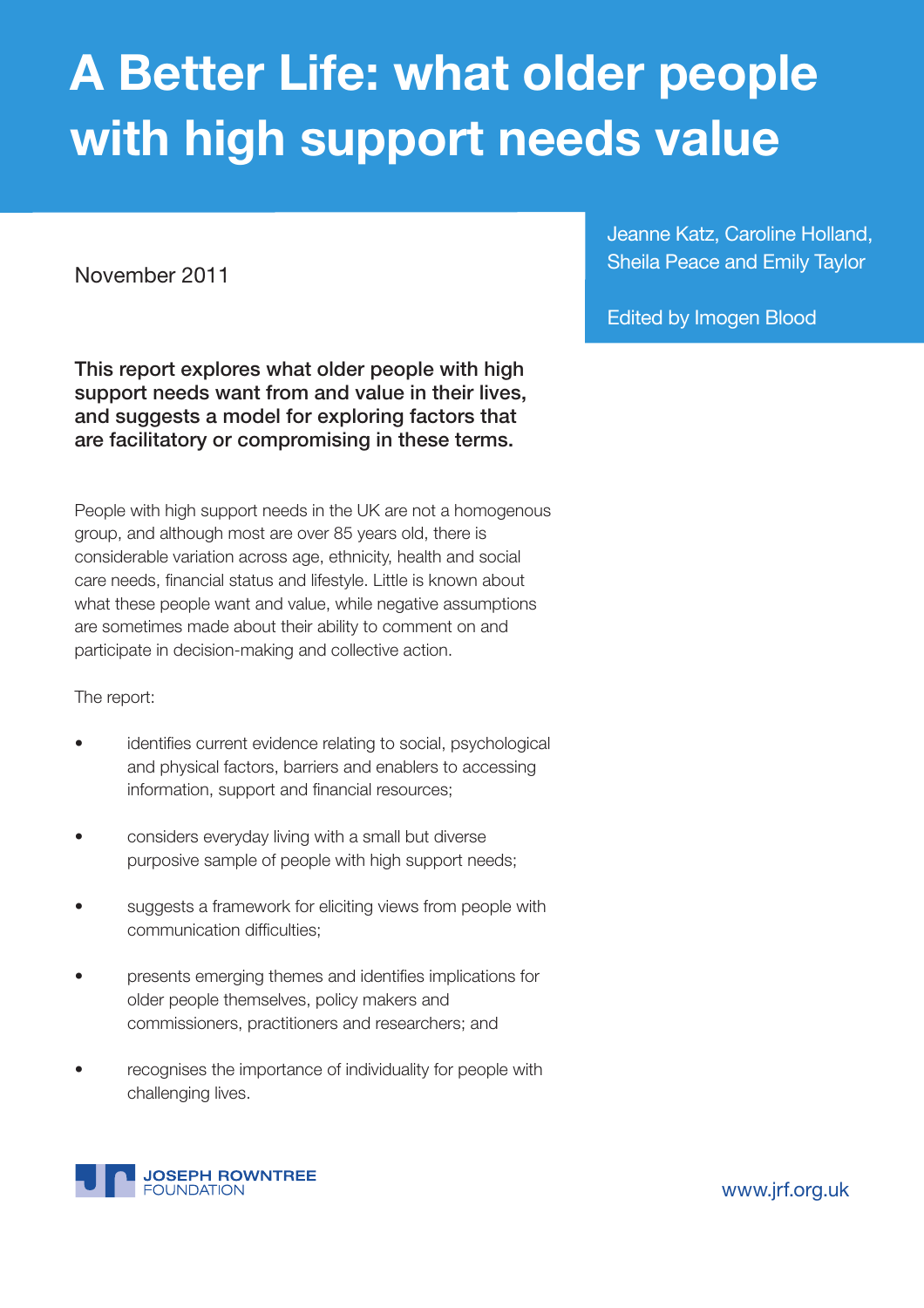# **A Better Life: what older people with high support needs value**

November 2011

**This report explores what older people with high support needs want from and value in their lives, and suggests a model for exploring factors that are facilitatory or compromising in these terms.**

People with high support needs in the UK are not a homogenous group, and although most are over 85 years old, there is considerable variation across age, ethnicity, health and social care needs, financial status and lifestyle. Little is known about what these people want and value, while negative assumptions are sometimes made about their ability to comment on and participate in decision-making and collective action.

The report:

- identifies current evidence relating to social, psychological and physical factors, barriers and enablers to accessing information, support and financial resources;
- considers everyday living with a small but diverse purposive sample of people with high support needs;
- suggests a framework for eliciting views from people with communication difficulties:
- presents emerging themes and identifies implications for older people themselves, policy makers and commissioners, practitioners and researchers; and
- recognises the importance of individuality for people with challenging lives.



Jeanne Katz, Caroline Holland, Sheila Peace and Emily Taylor

Edited by Imogen Blood

<www.jrf.org.uk>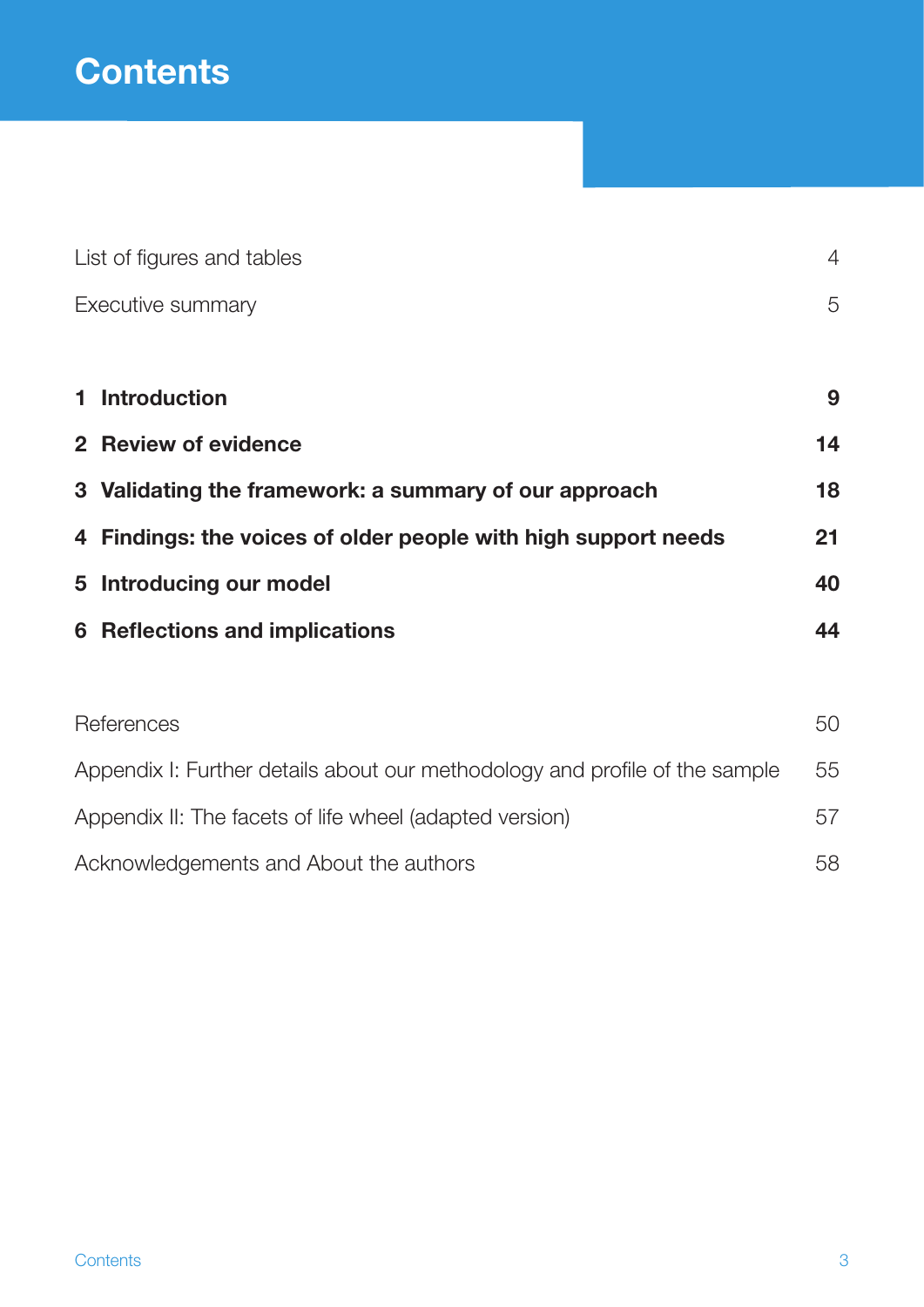|                                                                             | List of figures and tables                                     | $\overline{4}$ |  |
|-----------------------------------------------------------------------------|----------------------------------------------------------------|----------------|--|
|                                                                             | Executive summary                                              | 5              |  |
|                                                                             |                                                                |                |  |
|                                                                             | 1 Introduction                                                 | 9              |  |
|                                                                             | 2 Review of evidence                                           | 14             |  |
|                                                                             | 3 Validating the framework: a summary of our approach          | 18             |  |
|                                                                             | 4 Findings: the voices of older people with high support needs |                |  |
|                                                                             | 5 Introducing our model                                        |                |  |
|                                                                             | <b>6</b> Reflections and implications                          |                |  |
|                                                                             |                                                                |                |  |
|                                                                             | References                                                     | 50             |  |
| Appendix I: Further details about our methodology and profile of the sample |                                                                | 55             |  |
|                                                                             | Appendix II: The facets of life wheel (adapted version)<br>57  |                |  |
|                                                                             | 58<br>Acknowledgements and About the authors                   |                |  |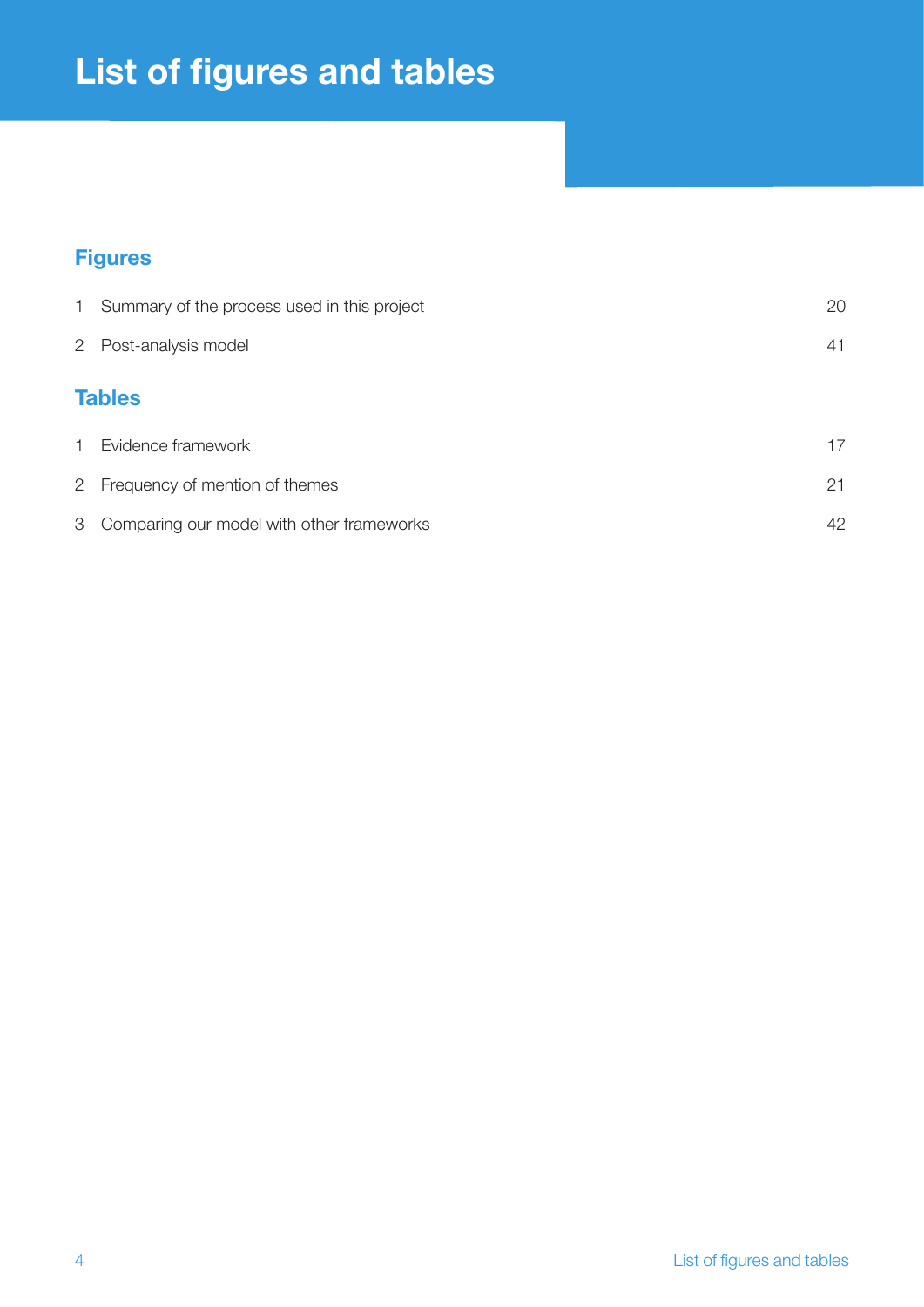## **List of figures and tables**

## **Figures**

| 1 Summary of the process used in this project | 20 |
|-----------------------------------------------|----|
| 2 Post-analysis model                         | 41 |
| <b>Tables</b>                                 |    |
| 1 Evidence framework                          | 17 |
| 2 Frequency of mention of themes              | 21 |
| 3 Comparing our model with other frameworks   | 42 |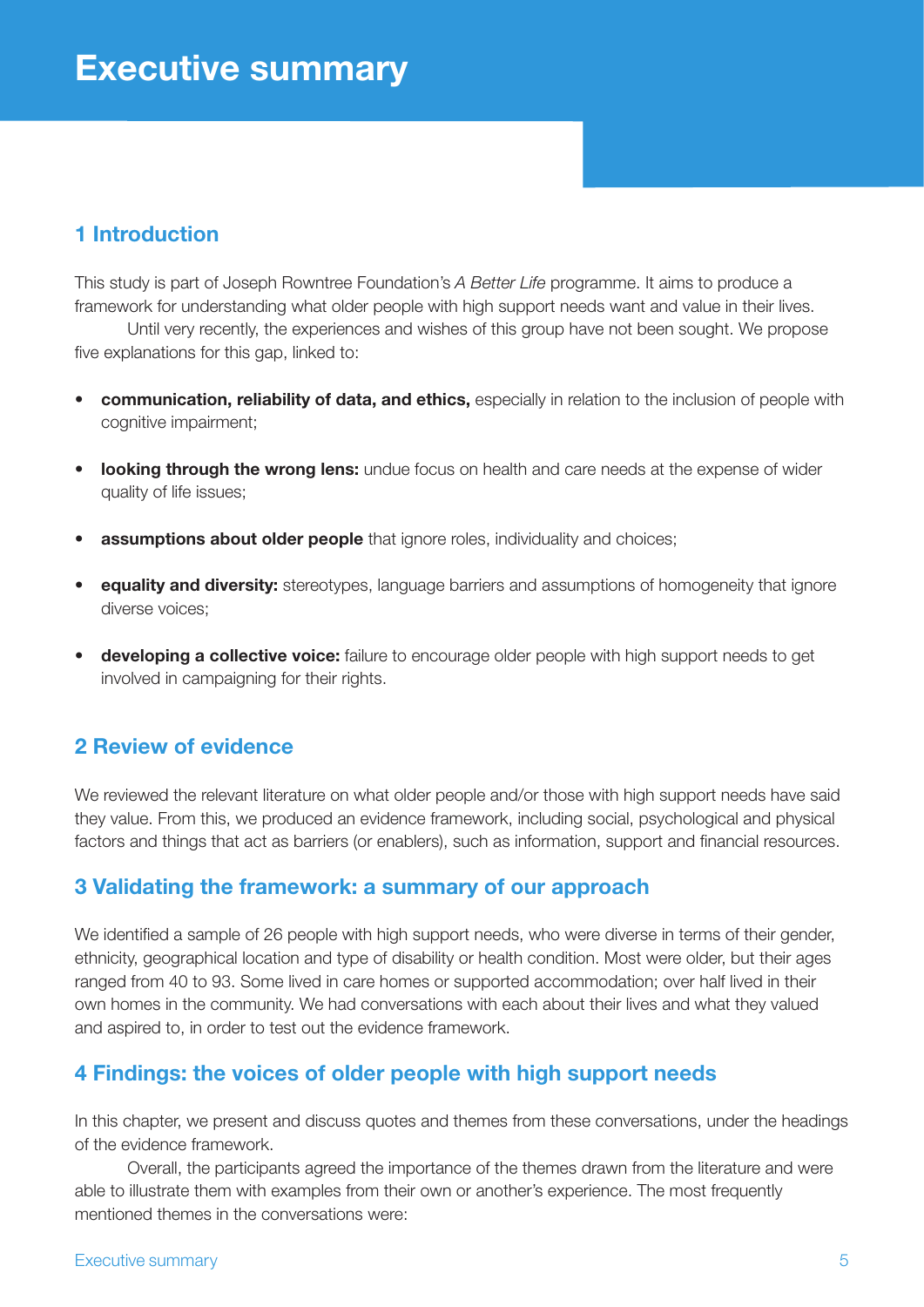## **1 Introduction**

This study is part of Joseph Rowntree Foundation's *A Better Life* programme. It aims to produce a framework for understanding what older people with high support needs want and value in their lives.

Until very recently, the experiences and wishes of this group have not been sought. We propose five explanations for this gap, linked to:

- **communication, reliability of data, and ethics,** especially in relation to the inclusion of people with cognitive impairment;
- • **looking through the wrong lens:** undue focus on health and care needs at the expense of wider quality of life issues;
- **assumptions about older people** that ignore roles, individuality and choices;
- • **equality and diversity:** stereotypes, language barriers and assumptions of homogeneity that ignore diverse voices;
- **developing a collective voice:** failure to encourage older people with high support needs to get involved in campaigning for their rights.

## **2 Review of evidence**

We reviewed the relevant literature on what older people and/or those with high support needs have said they value. From this, we produced an evidence framework, including social, psychological and physical factors and things that act as barriers (or enablers), such as information, support and financial resources.

### **3 Validating the framework: a summary of our approach**

We identified a sample of 26 people with high support needs, who were diverse in terms of their gender, ethnicity, geographical location and type of disability or health condition. Most were older, but their ages ranged from 40 to 93. Some lived in care homes or supported accommodation; over half lived in their own homes in the community. We had conversations with each about their lives and what they valued and aspired to, in order to test out the evidence framework.

## **4 Findings: the voices of older people with high support needs**

In this chapter, we present and discuss quotes and themes from these conversations, under the headings of the evidence framework.

Overall, the participants agreed the importance of the themes drawn from the literature and were able to illustrate them with examples from their own or another's experience. The most frequently mentioned themes in the conversations were: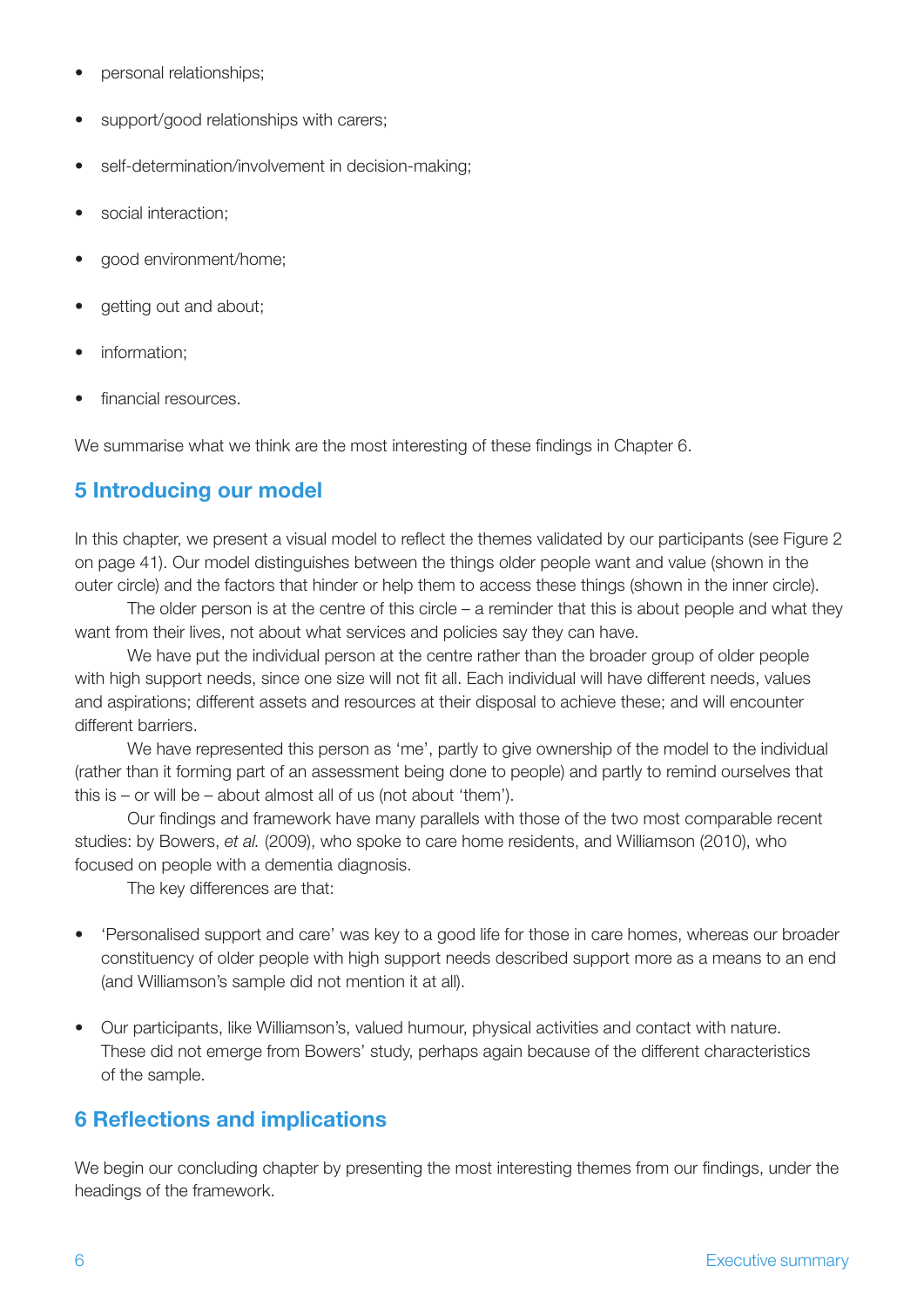- personal relationships;
- support/good relationships with carers;
- self-determination/involvement in decision-making;
- social interaction;
- good environment/home;
- getting out and about;
- information:
- financial resources.

We summarise what we think are the most interesting of these findings in Chapter 6.

## **5 Introducing our model**

In this chapter, we present a visual model to reflect the themes validated by our participants (see Figure 2 on page 41). Our model distinguishes between the things older people want and value (shown in the outer circle) and the factors that hinder or help them to access these things (shown in the inner circle).

The older person is at the centre of this circle – a reminder that this is about people and what they want from their lives, not about what services and policies say they can have.

We have put the individual person at the centre rather than the broader group of older people with high support needs, since one size will not fit all. Each individual will have different needs, values and aspirations; different assets and resources at their disposal to achieve these; and will encounter different barriers.

We have represented this person as 'me', partly to give ownership of the model to the individual (rather than it forming part of an assessment being done to people) and partly to remind ourselves that this is – or will be – about almost all of us (not about 'them').

Our findings and framework have many parallels with those of the two most comparable recent studies: by Bowers, *et al.* (2009), who spoke to care home residents, and Williamson (2010), who focused on people with a dementia diagnosis.

The key differences are that:

- 'Personalised support and care' was key to a good life for those in care homes, whereas our broader constituency of older people with high support needs described support more as a means to an end (and Williamson's sample did not mention it at all).
- • Our participants, like Williamson's, valued humour, physical activities and contact with nature. These did not emerge from Bowers' study, perhaps again because of the different characteristics of the sample.

### **6 Reflections and implications**

We begin our concluding chapter by presenting the most interesting themes from our findings, under the headings of the framework.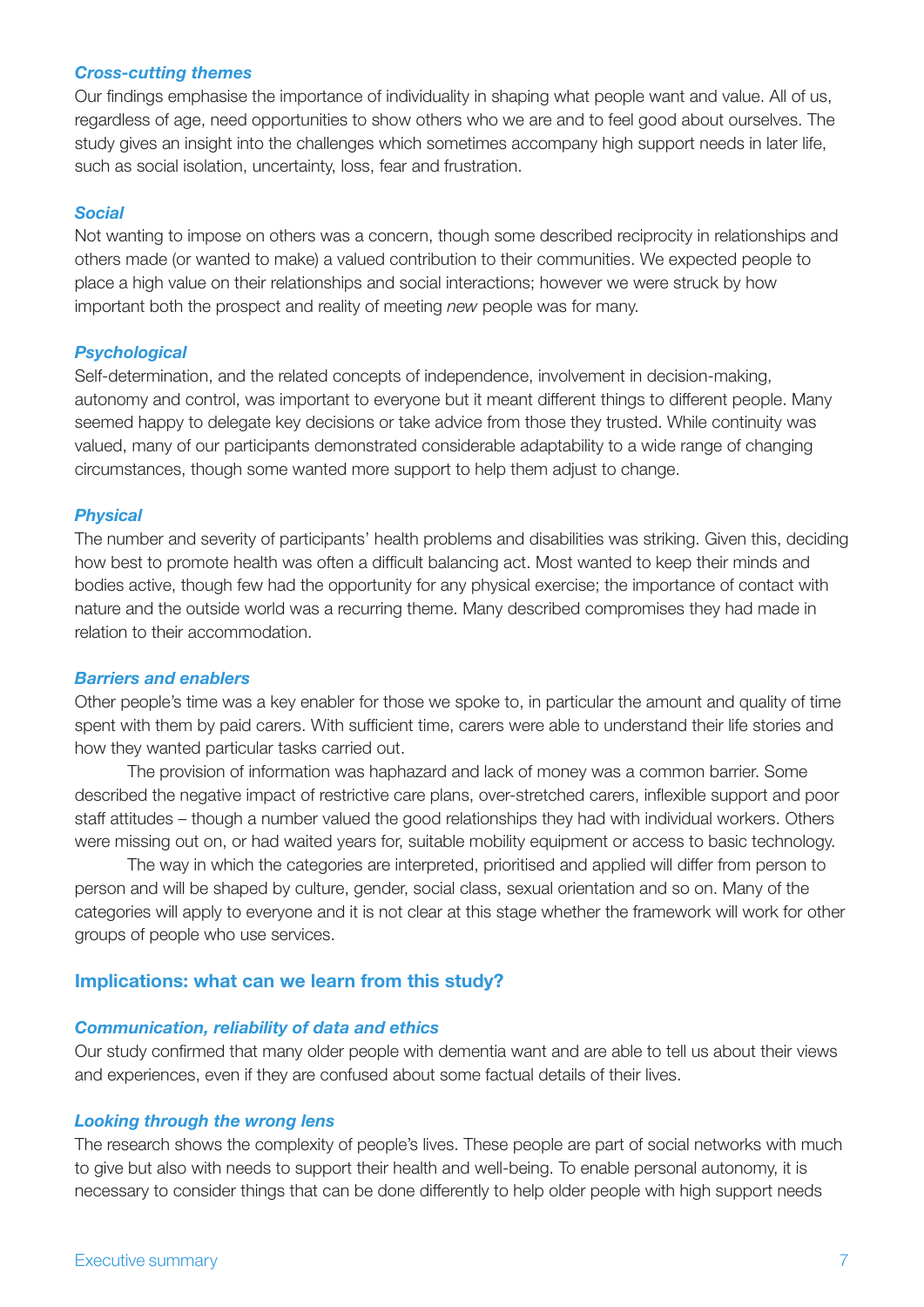#### *Cross-cutting themes*

Our findings emphasise the importance of individuality in shaping what people want and value. All of us, regardless of age, need opportunities to show others who we are and to feel good about ourselves. The study gives an insight into the challenges which sometimes accompany high support needs in later life, such as social isolation, uncertainty, loss, fear and frustration.

#### *Social*

Not wanting to impose on others was a concern, though some described reciprocity in relationships and others made (or wanted to make) a valued contribution to their communities. We expected people to place a high value on their relationships and social interactions; however we were struck by how important both the prospect and reality of meeting *new* people was for many.

#### *Psychological*

Self-determination, and the related concepts of independence, involvement in decision-making, autonomy and control, was important to everyone but it meant different things to different people. Many seemed happy to delegate key decisions or take advice from those they trusted. While continuity was valued, many of our participants demonstrated considerable adaptability to a wide range of changing circumstances, though some wanted more support to help them adjust to change.

#### *Physical*

The number and severity of participants' health problems and disabilities was striking. Given this, deciding how best to promote health was often a difficult balancing act. Most wanted to keep their minds and bodies active, though few had the opportunity for any physical exercise; the importance of contact with nature and the outside world was a recurring theme. Many described compromises they had made in relation to their accommodation.

#### *Barriers and enablers*

Other people's time was a key enabler for those we spoke to, in particular the amount and quality of time spent with them by paid carers. With sufficient time, carers were able to understand their life stories and how they wanted particular tasks carried out.

The provision of information was haphazard and lack of money was a common barrier. Some described the negative impact of restrictive care plans, over-stretched carers, inflexible support and poor staff attitudes – though a number valued the good relationships they had with individual workers. Others were missing out on, or had waited years for, suitable mobility equipment or access to basic technology.

The way in which the categories are interpreted, prioritised and applied will differ from person to person and will be shaped by culture, gender, social class, sexual orientation and so on. Many of the categories will apply to everyone and it is not clear at this stage whether the framework will work for other groups of people who use services.

#### **Implications: what can we learn from this study?**

#### *Communication, reliability of data and ethics*

Our study confirmed that many older people with dementia want and are able to tell us about their views and experiences, even if they are confused about some factual details of their lives.

#### *Looking through the wrong lens*

The research shows the complexity of people's lives. These people are part of social networks with much to give but also with needs to support their health and well-being. To enable personal autonomy, it is necessary to consider things that can be done differently to help older people with high support needs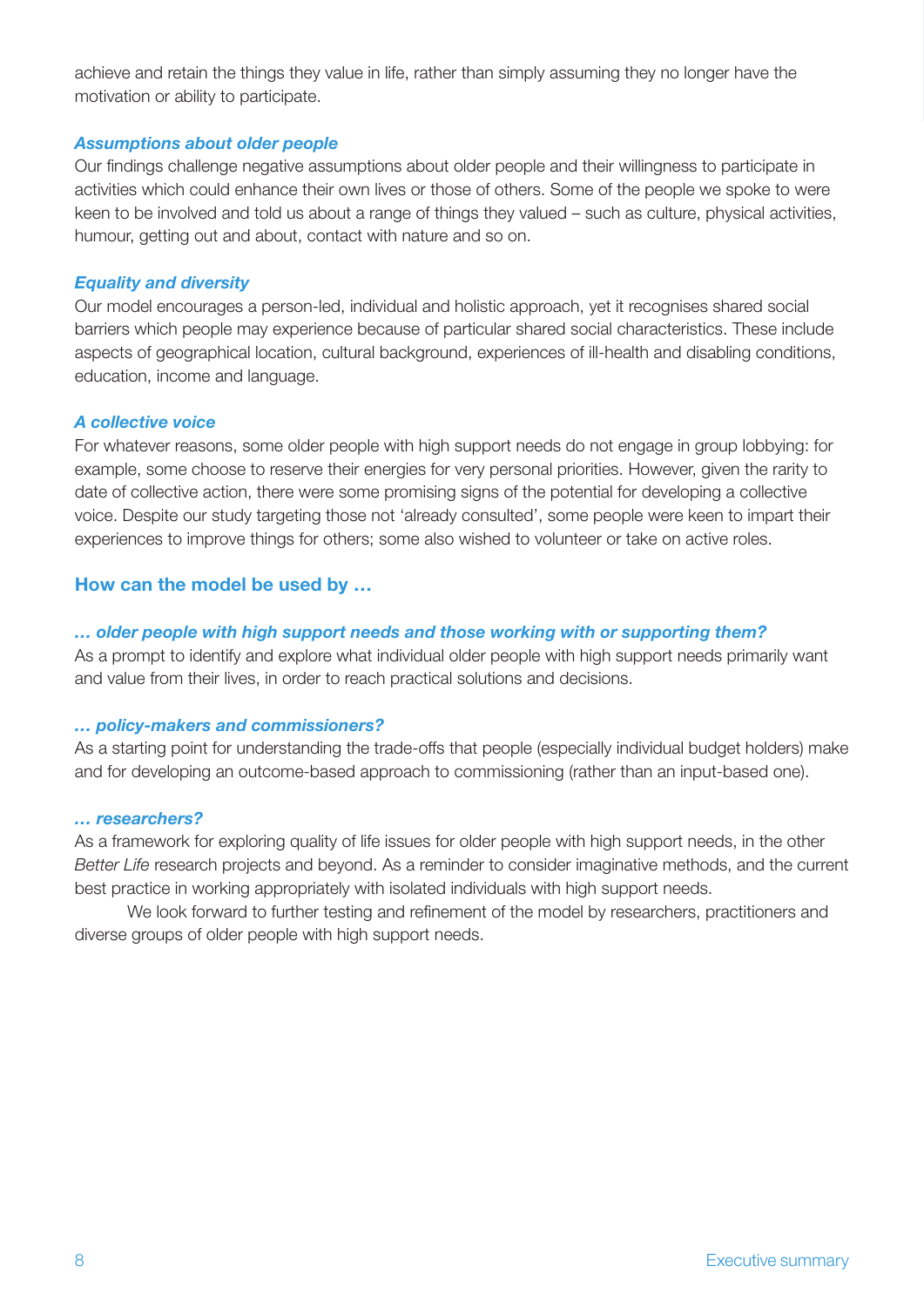achieve and retain the things they value in life, rather than simply assuming they no longer have the motivation or ability to participate.

#### *Assumptions about older people*

Our findings challenge negative assumptions about older people and their willingness to participate in activities which could enhance their own lives or those of others. Some of the people we spoke to were keen to be involved and told us about a range of things they valued – such as culture, physical activities, humour, getting out and about, contact with nature and so on.

#### *Equality and diversity*

Our model encourages a person-led, individual and holistic approach, yet it recognises shared social barriers which people may experience because of particular shared social characteristics. These include aspects of geographical location, cultural background, experiences of ill-health and disabling conditions, education, income and language.

#### *A collective voice*

For whatever reasons, some older people with high support needs do not engage in group lobbying: for example, some choose to reserve their energies for very personal priorities. However, given the rarity to date of collective action, there were some promising signs of the potential for developing a collective voice. Despite our study targeting those not 'already consulted', some people were keen to impart their experiences to improve things for others; some also wished to volunteer or take on active roles.

#### **How can the model be used by …**

#### *… older people with high support needs and those working with or supporting them?*

As a prompt to identify and explore what individual older people with high support needs primarily want and value from their lives, in order to reach practical solutions and decisions.

#### *… policy-makers and commissioners?*

As a starting point for understanding the trade-offs that people (especially individual budget holders) make and for developing an outcome-based approach to commissioning (rather than an input-based one).

#### *… researchers?*

As a framework for exploring quality of life issues for older people with high support needs, in the other *Better Life* research projects and beyond. As a reminder to consider imaginative methods, and the current best practice in working appropriately with isolated individuals with high support needs.

We look forward to further testing and refinement of the model by researchers, practitioners and diverse groups of older people with high support needs.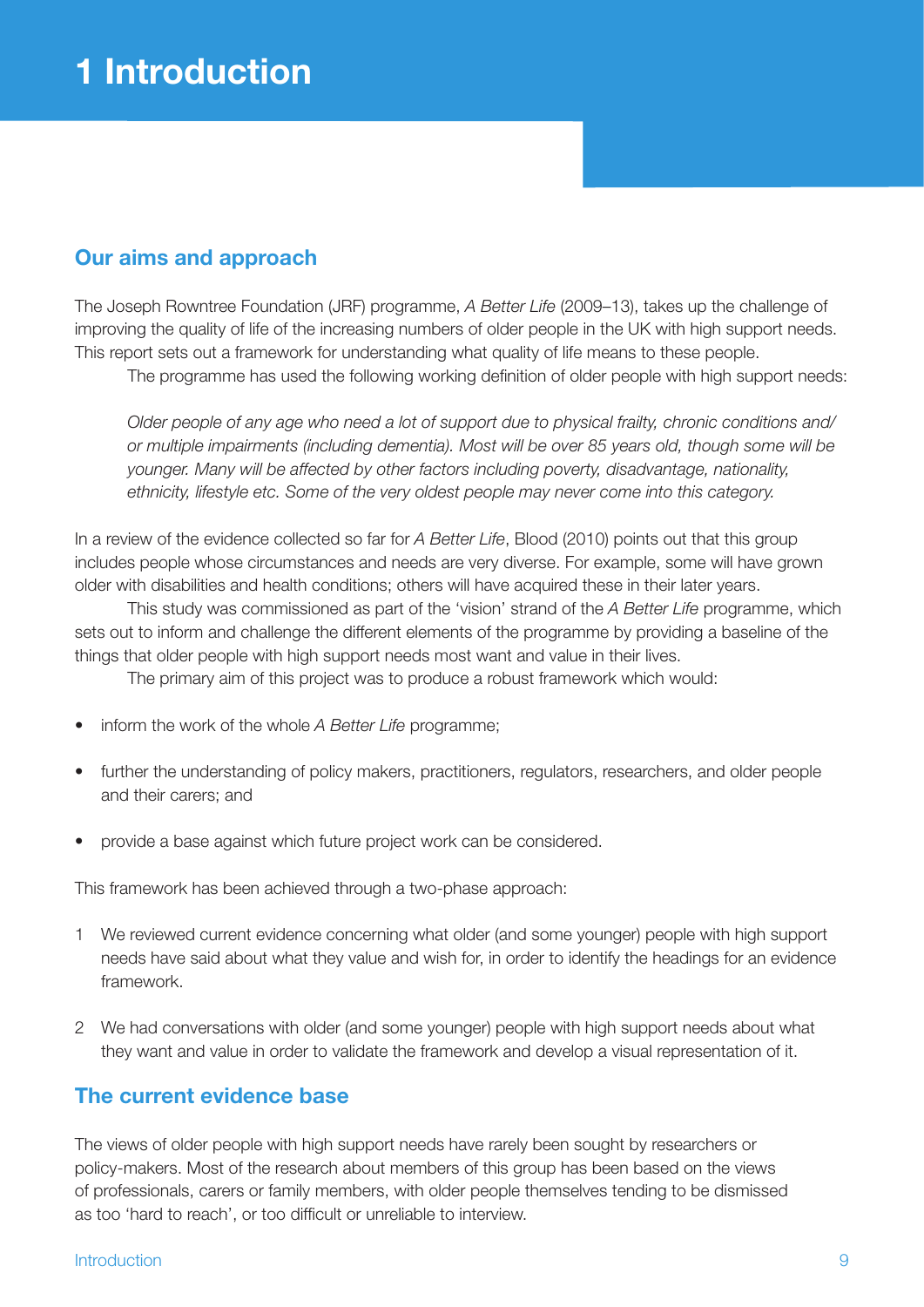## **Our aims and approach**

The Joseph Rowntree Foundation (JRF) programme, *A Better Life* (2009–13), takes up the challenge of improving the quality of life of the increasing numbers of older people in the UK with high support needs. This report sets out a framework for understanding what quality of life means to these people.

The programme has used the following working definition of older people with high support needs:

*Older people of any age who need a lot of support due to physical frailty, chronic conditions and/ or multiple impairments (including dementia). Most will be over 85 years old, though some will be younger. Many will be affected by other factors including poverty, disadvantage, nationality, ethnicity, lifestyle etc. Some of the very oldest people may never come into this category.*

In a review of the evidence collected so far for *A Better Life*, Blood (2010) points out that this group includes people whose circumstances and needs are very diverse. For example, some will have grown older with disabilities and health conditions; others will have acquired these in their later years.

This study was commissioned as part of the 'vision' strand of the *A Better Life* programme, which sets out to inform and challenge the different elements of the programme by providing a baseline of the things that older people with high support needs most want and value in their lives.

The primary aim of this project was to produce a robust framework which would:

- inform the work of the whole *A Better Life* programme;
- further the understanding of policy makers, practitioners, regulators, researchers, and older people and their carers; and
- provide a base against which future project work can be considered.

This framework has been achieved through a two-phase approach:

- 1 We reviewed current evidence concerning what older (and some younger) people with high support needs have said about what they value and wish for, in order to identify the headings for an evidence framework.
- 2 We had conversations with older (and some younger) people with high support needs about what they want and value in order to validate the framework and develop a visual representation of it.

#### **The current evidence base**

The views of older people with high support needs have rarely been sought by researchers or policy-makers. Most of the research about members of this group has been based on the views of professionals, carers or family members, with older people themselves tending to be dismissed as too 'hard to reach', or too difficult or unreliable to interview.

#### Introduction 9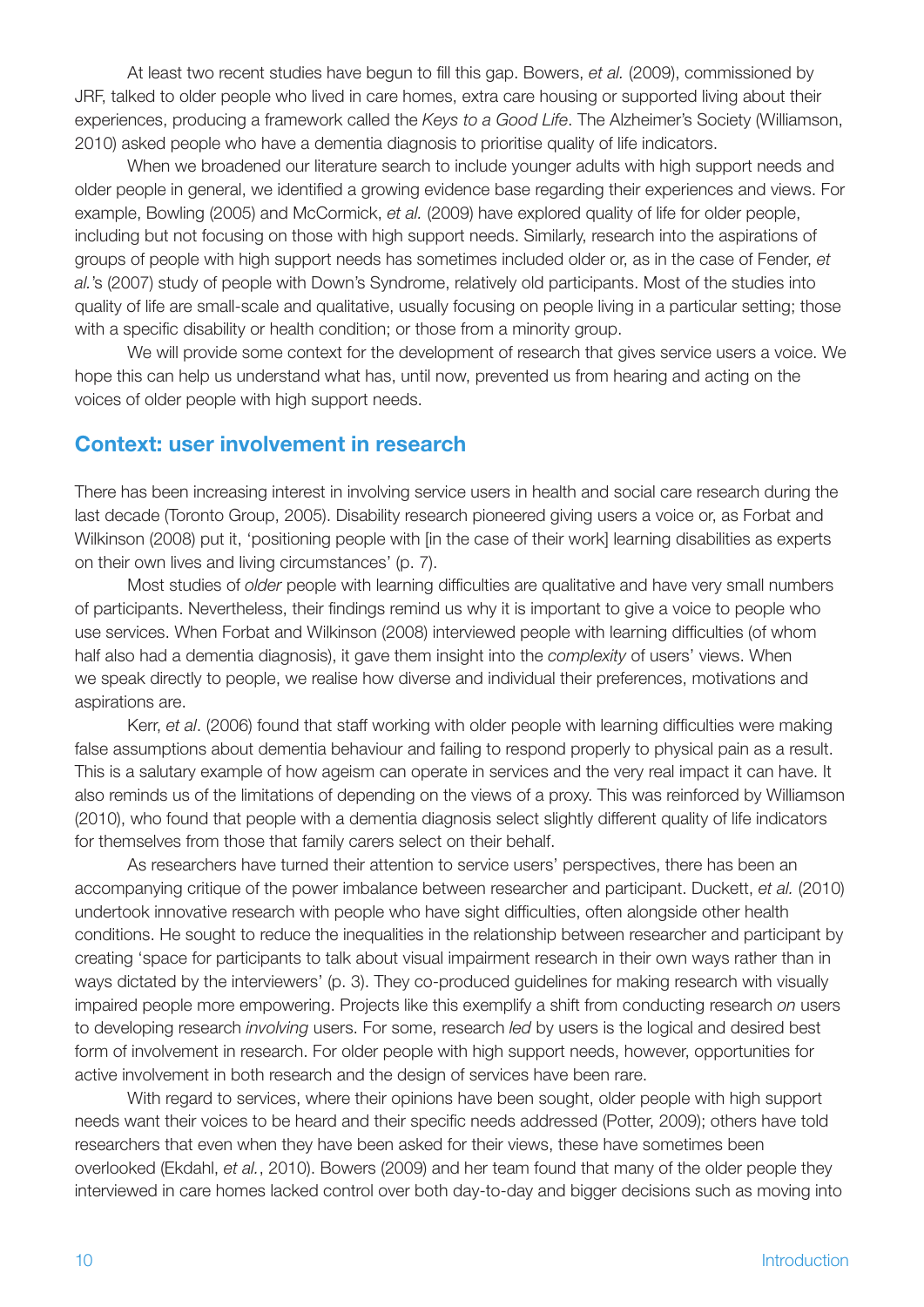At least two recent studies have begun to fill this gap. Bowers, *et al.* (2009), commissioned by JRF, talked to older people who lived in care homes, extra care housing or supported living about their experiences, producing a framework called the *Keys to a Good Life*. The Alzheimer's Society (Williamson, 2010) asked people who have a dementia diagnosis to prioritise quality of life indicators.

When we broadened our literature search to include younger adults with high support needs and older people in general, we identified a growing evidence base regarding their experiences and views. For example, Bowling (2005) and McCormick, *et al.* (2009) have explored quality of life for older people, including but not focusing on those with high support needs. Similarly, research into the aspirations of groups of people with high support needs has sometimes included older or, as in the case of Fender, *et al.*'s (2007) study of people with Down's Syndrome, relatively old participants. Most of the studies into quality of life are small-scale and qualitative, usually focusing on people living in a particular setting; those with a specific disability or health condition; or those from a minority group.

We will provide some context for the development of research that gives service users a voice. We hope this can help us understand what has, until now, prevented us from hearing and acting on the voices of older people with high support needs.

#### **Context: user involvement in research**

There has been increasing interest in involving service users in health and social care research during the last decade (Toronto Group, 2005). Disability research pioneered giving users a voice or, as Forbat and Wilkinson (2008) put it, 'positioning people with [in the case of their work] learning disabilities as experts on their own lives and living circumstances' (p. 7).

Most studies of *older* people with learning difficulties are qualitative and have very small numbers of participants. Nevertheless, their findings remind us why it is important to give a voice to people who use services. When Forbat and Wilkinson (2008) interviewed people with learning difficulties (of whom half also had a dementia diagnosis), it gave them insight into the *complexity* of users' views. When we speak directly to people, we realise how diverse and individual their preferences, motivations and aspirations are.

Kerr, *et al*. (2006) found that staff working with older people with learning difficulties were making false assumptions about dementia behaviour and failing to respond properly to physical pain as a result. This is a salutary example of how ageism can operate in services and the very real impact it can have. It also reminds us of the limitations of depending on the views of a proxy. This was reinforced by Williamson (2010), who found that people with a dementia diagnosis select slightly different quality of life indicators for themselves from those that family carers select on their behalf.

As researchers have turned their attention to service users' perspectives, there has been an accompanying critique of the power imbalance between researcher and participant. Duckett, *et al.* (2010) undertook innovative research with people who have sight difficulties, often alongside other health conditions. He sought to reduce the inequalities in the relationship between researcher and participant by creating 'space for participants to talk about visual impairment research in their own ways rather than in ways dictated by the interviewers' (p. 3). They co-produced guidelines for making research with visually impaired people more empowering. Projects like this exemplify a shift from conducting research *on* users to developing research *involving* users. For some, research *led* by users is the logical and desired best form of involvement in research. For older people with high support needs, however, opportunities for active involvement in both research and the design of services have been rare.

With regard to services, where their opinions have been sought, older people with high support needs want their voices to be heard and their specific needs addressed (Potter, 2009); others have told researchers that even when they have been asked for their views, these have sometimes been overlooked (Ekdahl, *et al.*, 2010). Bowers (2009) and her team found that many of the older people they interviewed in care homes lacked control over both day-to-day and bigger decisions such as moving into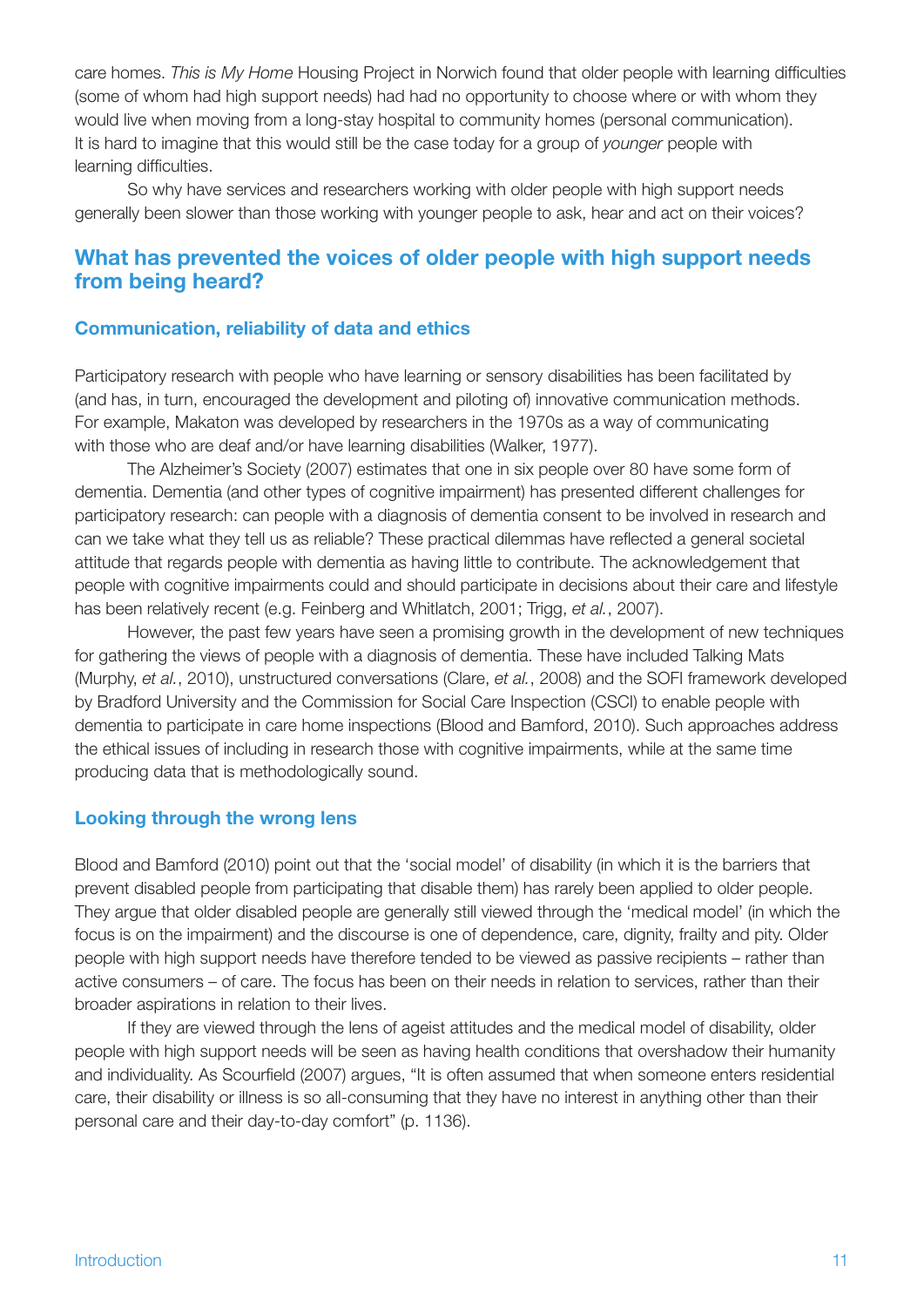care homes. *This is My Home* Housing Project in Norwich found that older people with learning difficulties (some of whom had high support needs) had had no opportunity to choose where or with whom they would live when moving from a long-stay hospital to community homes (personal communication). It is hard to imagine that this would still be the case today for a group of *younger* people with learning difficulties.

So why have services and researchers working with older people with high support needs generally been slower than those working with younger people to ask, hear and act on their voices?

#### **What has prevented the voices of older people with high support needs from being heard?**

#### **Communication, reliability of data and ethics**

Participatory research with people who have learning or sensory disabilities has been facilitated by (and has, in turn, encouraged the development and piloting of) innovative communication methods. For example, Makaton was developed by researchers in the 1970s as a way of communicating with those who are deaf and/or have learning disabilities (Walker, 1977).

The Alzheimer's Society (2007) estimates that one in six people over 80 have some form of dementia. Dementia (and other types of cognitive impairment) has presented different challenges for participatory research: can people with a diagnosis of dementia consent to be involved in research and can we take what they tell us as reliable? These practical dilemmas have reflected a general societal attitude that regards people with dementia as having little to contribute. The acknowledgement that people with cognitive impairments could and should participate in decisions about their care and lifestyle has been relatively recent (e.g. Feinberg and Whitlatch, 2001; Trigg, *et al.*, 2007).

However, the past few years have seen a promising growth in the development of new techniques for gathering the views of people with a diagnosis of dementia. These have included Talking Mats (Murphy, *et al.*, 2010), unstructured conversations (Clare, *et al.*, 2008) and the SOFI framework developed by Bradford University and the Commission for Social Care Inspection (CSCI) to enable people with dementia to participate in care home inspections (Blood and Bamford, 2010). Such approaches address the ethical issues of including in research those with cognitive impairments, while at the same time producing data that is methodologically sound.

#### **Looking through the wrong lens**

Blood and Bamford (2010) point out that the 'social model' of disability (in which it is the barriers that prevent disabled people from participating that disable them) has rarely been applied to older people. They argue that older disabled people are generally still viewed through the 'medical model' (in which the focus is on the impairment) and the discourse is one of dependence, care, dignity, frailty and pity. Older people with high support needs have therefore tended to be viewed as passive recipients – rather than active consumers – of care. The focus has been on their needs in relation to services, rather than their broader aspirations in relation to their lives.

If they are viewed through the lens of ageist attitudes and the medical model of disability, older people with high support needs will be seen as having health conditions that overshadow their humanity and individuality. As Scourfield (2007) argues, "It is often assumed that when someone enters residential care, their disability or illness is so all-consuming that they have no interest in anything other than their personal care and their day-to-day comfort" (p. 1136).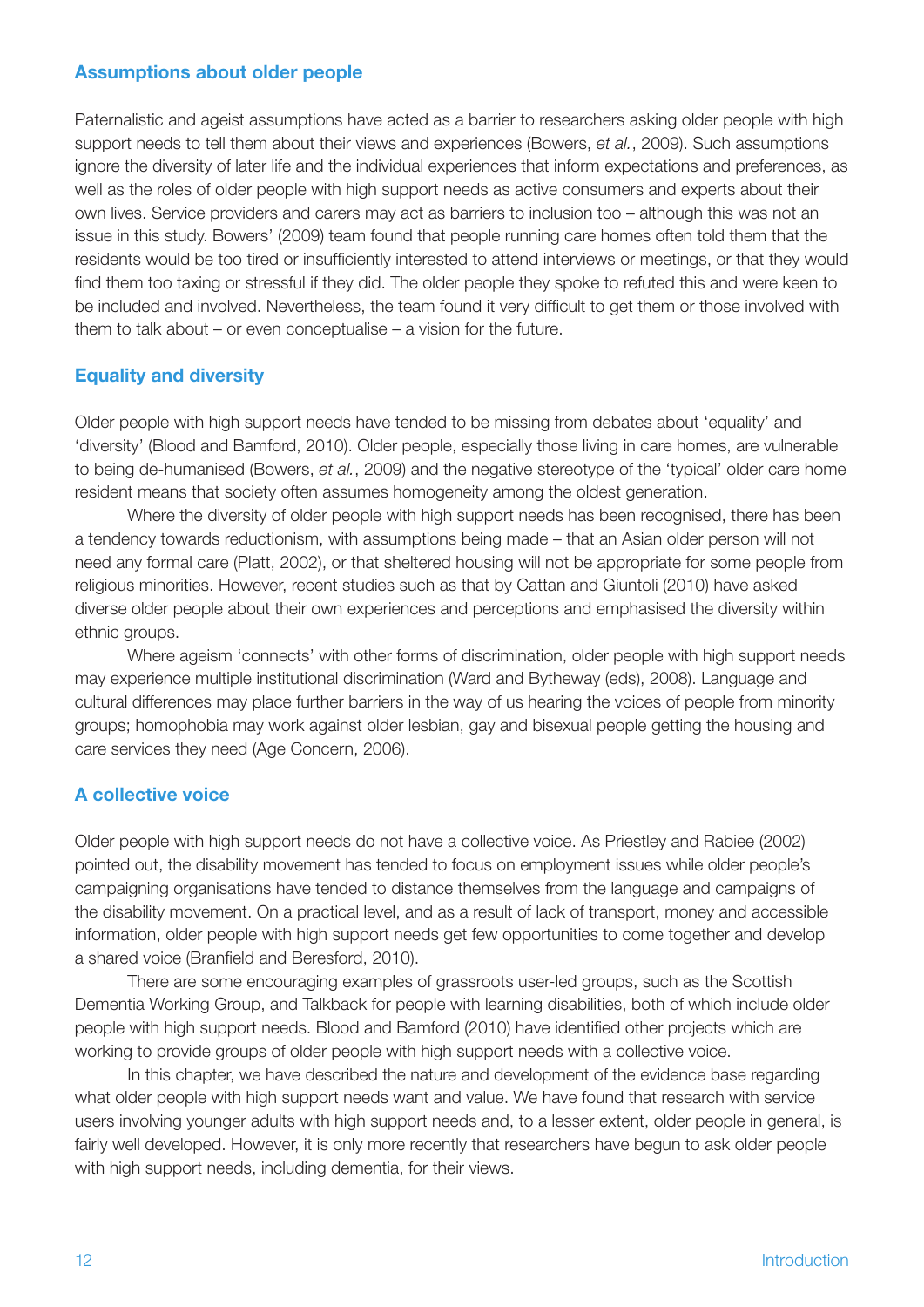#### **Assumptions about older people**

Paternalistic and ageist assumptions have acted as a barrier to researchers asking older people with high support needs to tell them about their views and experiences (Bowers, *et al.*, 2009). Such assumptions ignore the diversity of later life and the individual experiences that inform expectations and preferences, as well as the roles of older people with high support needs as active consumers and experts about their own lives. Service providers and carers may act as barriers to inclusion too – although this was not an issue in this study. Bowers' (2009) team found that people running care homes often told them that the residents would be too tired or insufficiently interested to attend interviews or meetings, or that they would find them too taxing or stressful if they did. The older people they spoke to refuted this and were keen to be included and involved. Nevertheless, the team found it very difficult to get them or those involved with them to talk about – or even conceptualise – a vision for the future.

#### **Equality and diversity**

Older people with high support needs have tended to be missing from debates about 'equality' and 'diversity' (Blood and Bamford, 2010). Older people, especially those living in care homes, are vulnerable to being de-humanised (Bowers, *et al.*, 2009) and the negative stereotype of the 'typical' older care home resident means that society often assumes homogeneity among the oldest generation.

Where the diversity of older people with high support needs has been recognised, there has been a tendency towards reductionism, with assumptions being made – that an Asian older person will not need any formal care (Platt, 2002), or that sheltered housing will not be appropriate for some people from religious minorities. However, recent studies such as that by Cattan and Giuntoli (2010) have asked diverse older people about their own experiences and perceptions and emphasised the diversity within ethnic groups.

Where ageism 'connects' with other forms of discrimination, older people with high support needs may experience multiple institutional discrimination (Ward and Bytheway (eds), 2008). Language and cultural differences may place further barriers in the way of us hearing the voices of people from minority groups; homophobia may work against older lesbian, gay and bisexual people getting the housing and care services they need (Age Concern, 2006).

#### **A collective voice**

Older people with high support needs do not have a collective voice. As Priestley and Rabiee (2002) pointed out, the disability movement has tended to focus on employment issues while older people's campaigning organisations have tended to distance themselves from the language and campaigns of the disability movement. On a practical level, and as a result of lack of transport, money and accessible information, older people with high support needs get few opportunities to come together and develop a shared voice (Branfield and Beresford, 2010).

There are some encouraging examples of grassroots user-led groups, such as the Scottish Dementia Working Group, and Talkback for people with learning disabilities, both of which include older people with high support needs. Blood and Bamford (2010) have identified other projects which are working to provide groups of older people with high support needs with a collective voice.

In this chapter, we have described the nature and development of the evidence base regarding what older people with high support needs want and value. We have found that research with service users involving younger adults with high support needs and, to a lesser extent, older people in general, is fairly well developed. However, it is only more recently that researchers have begun to ask older people with high support needs, including dementia, for their views.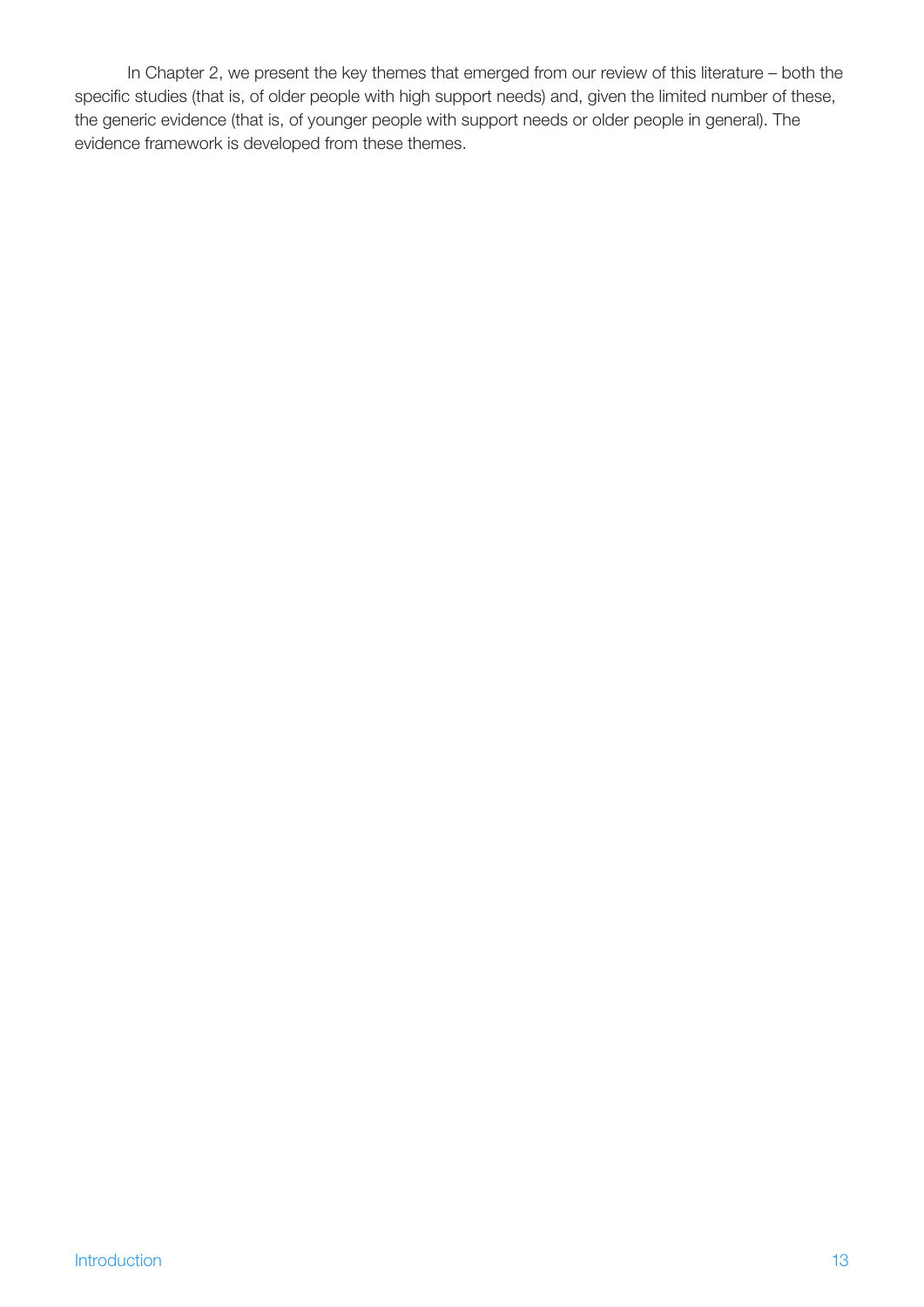In Chapter 2, we present the key themes that emerged from our review of this literature – both the specific studies (that is, of older people with high support needs) and, given the limited number of these, the generic evidence (that is, of younger people with support needs or older people in general). The evidence framework is developed from these themes.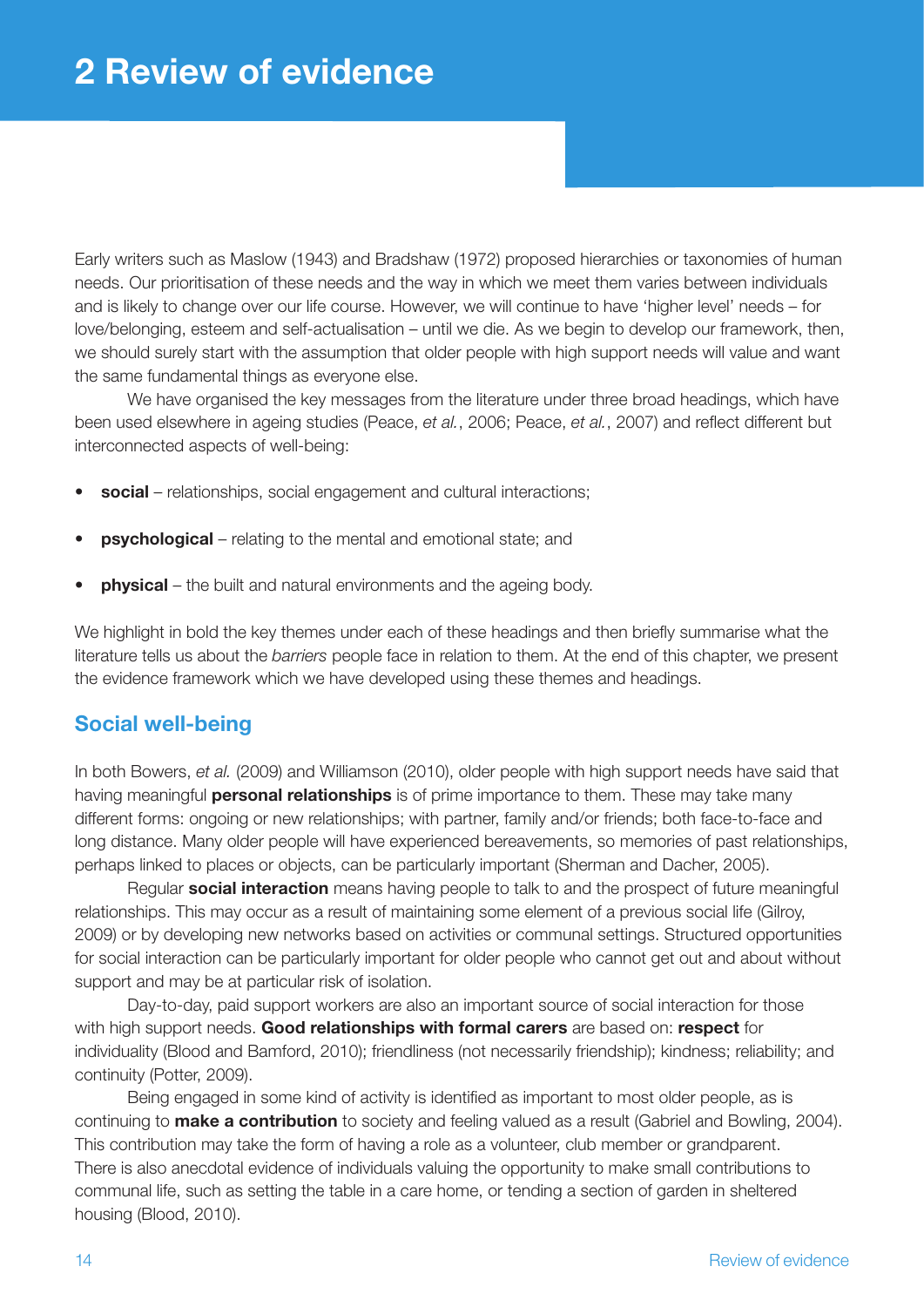Early writers such as Maslow (1943) and Bradshaw (1972) proposed hierarchies or taxonomies of human needs. Our prioritisation of these needs and the way in which we meet them varies between individuals and is likely to change over our life course. However, we will continue to have 'higher level' needs – for love/belonging, esteem and self-actualisation – until we die. As we begin to develop our framework, then, we should surely start with the assumption that older people with high support needs will value and want the same fundamental things as everyone else.

We have organised the key messages from the literature under three broad headings, which have been used elsewhere in ageing studies (Peace, *et al.*, 2006; Peace, *et al.*, 2007) and reflect different but interconnected aspects of well-being:

- **social** relationships, social engagement and cultural interactions;
- **psychological** relating to the mental and emotional state; and
- **physical** the built and natural environments and the ageing body.

We highlight in bold the key themes under each of these headings and then briefly summarise what the literature tells us about the *barriers* people face in relation to them. At the end of this chapter, we present the evidence framework which we have developed using these themes and headings.

### **Social well-being**

In both Bowers, *et al.* (2009) and Williamson (2010), older people with high support needs have said that having meaningful **personal relationships** is of prime importance to them. These may take many different forms: ongoing or new relationships; with partner, family and/or friends; both face-to-face and long distance. Many older people will have experienced bereavements, so memories of past relationships, perhaps linked to places or objects, can be particularly important (Sherman and Dacher, 2005).

Regular **social interaction** means having people to talk to and the prospect of future meaningful relationships. This may occur as a result of maintaining some element of a previous social life (Gilroy, 2009) or by developing new networks based on activities or communal settings. Structured opportunities for social interaction can be particularly important for older people who cannot get out and about without support and may be at particular risk of isolation.

Day-to-day, paid support workers are also an important source of social interaction for those with high support needs. **Good relationships with formal carers** are based on: **respect** for individuality (Blood and Bamford, 2010); friendliness (not necessarily friendship); kindness; reliability; and continuity (Potter, 2009).

Being engaged in some kind of activity is identified as important to most older people, as is continuing to **make a contribution** to society and feeling valued as a result (Gabriel and Bowling, 2004). This contribution may take the form of having a role as a volunteer, club member or grandparent. There is also anecdotal evidence of individuals valuing the opportunity to make small contributions to communal life, such as setting the table in a care home, or tending a section of garden in sheltered housing (Blood, 2010).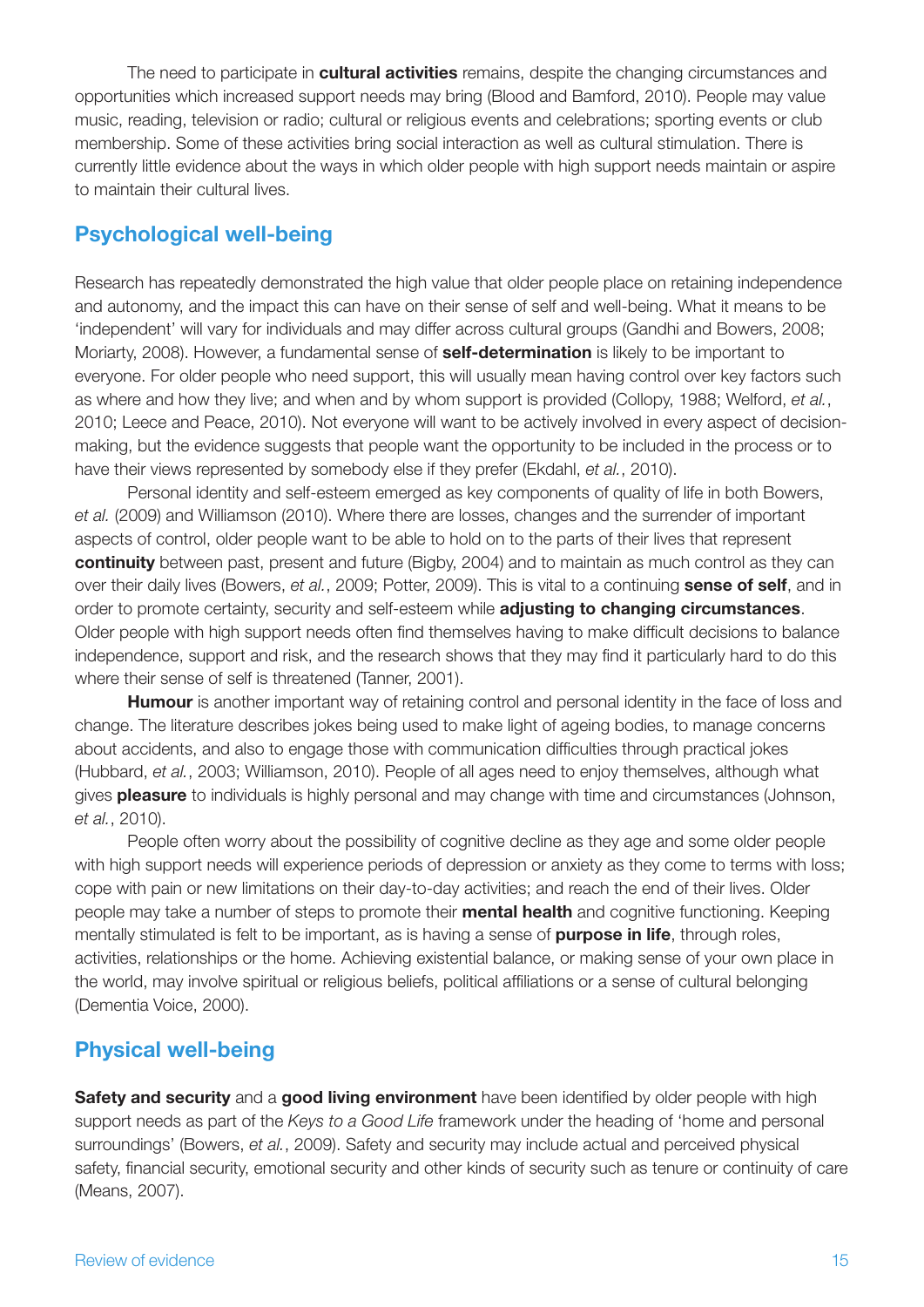The need to participate in **cultural activities** remains, despite the changing circumstances and opportunities which increased support needs may bring (Blood and Bamford, 2010). People may value music, reading, television or radio; cultural or religious events and celebrations; sporting events or club membership. Some of these activities bring social interaction as well as cultural stimulation. There is currently little evidence about the ways in which older people with high support needs maintain or aspire to maintain their cultural lives.

### **Psychological well-being**

Research has repeatedly demonstrated the high value that older people place on retaining independence and autonomy, and the impact this can have on their sense of self and well-being. What it means to be 'independent' will vary for individuals and may differ across cultural groups (Gandhi and Bowers, 2008; Moriarty, 2008). However, a fundamental sense of **self-determination** is likely to be important to everyone. For older people who need support, this will usually mean having control over key factors such as where and how they live; and when and by whom support is provided (Collopy, 1988; Welford, *et al.*, 2010; Leece and Peace, 2010). Not everyone will want to be actively involved in every aspect of decisionmaking, but the evidence suggests that people want the opportunity to be included in the process or to have their views represented by somebody else if they prefer (Ekdahl, *et al.*, 2010).

Personal identity and self-esteem emerged as key components of quality of life in both Bowers, *et al.* (2009) and Williamson (2010). Where there are losses, changes and the surrender of important aspects of control, older people want to be able to hold on to the parts of their lives that represent **continuity** between past, present and future (Bigby, 2004) and to maintain as much control as they can over their daily lives (Bowers, *et al.*, 2009; Potter, 2009). This is vital to a continuing **sense of self**, and in order to promote certainty, security and self-esteem while **adjusting to changing circumstances**. Older people with high support needs often find themselves having to make difficult decisions to balance independence, support and risk, and the research shows that they may find it particularly hard to do this where their sense of self is threatened (Tanner, 2001).

**Humour** is another important way of retaining control and personal identity in the face of loss and change. The literature describes jokes being used to make light of ageing bodies, to manage concerns about accidents, and also to engage those with communication difficulties through practical jokes (Hubbard, *et al.*, 2003; Williamson, 2010). People of all ages need to enjoy themselves, although what gives **pleasure** to individuals is highly personal and may change with time and circumstances (Johnson, *et al.*, 2010).

People often worry about the possibility of cognitive decline as they age and some older people with high support needs will experience periods of depression or anxiety as they come to terms with loss; cope with pain or new limitations on their day-to-day activities; and reach the end of their lives. Older people may take a number of steps to promote their **mental health** and cognitive functioning. Keeping mentally stimulated is felt to be important, as is having a sense of **purpose in life**, through roles, activities, relationships or the home. Achieving existential balance, or making sense of your own place in the world, may involve spiritual or religious beliefs, political affiliations or a sense of cultural belonging (Dementia Voice, 2000).

## **Physical well-being**

**Safety and security** and a **good living environment** have been identified by older people with high support needs as part of the *Keys to a Good Life* framework under the heading of 'home and personal surroundings' (Bowers, *et al.*, 2009). Safety and security may include actual and perceived physical safety, financial security, emotional security and other kinds of security such as tenure or continuity of care (Means, 2007).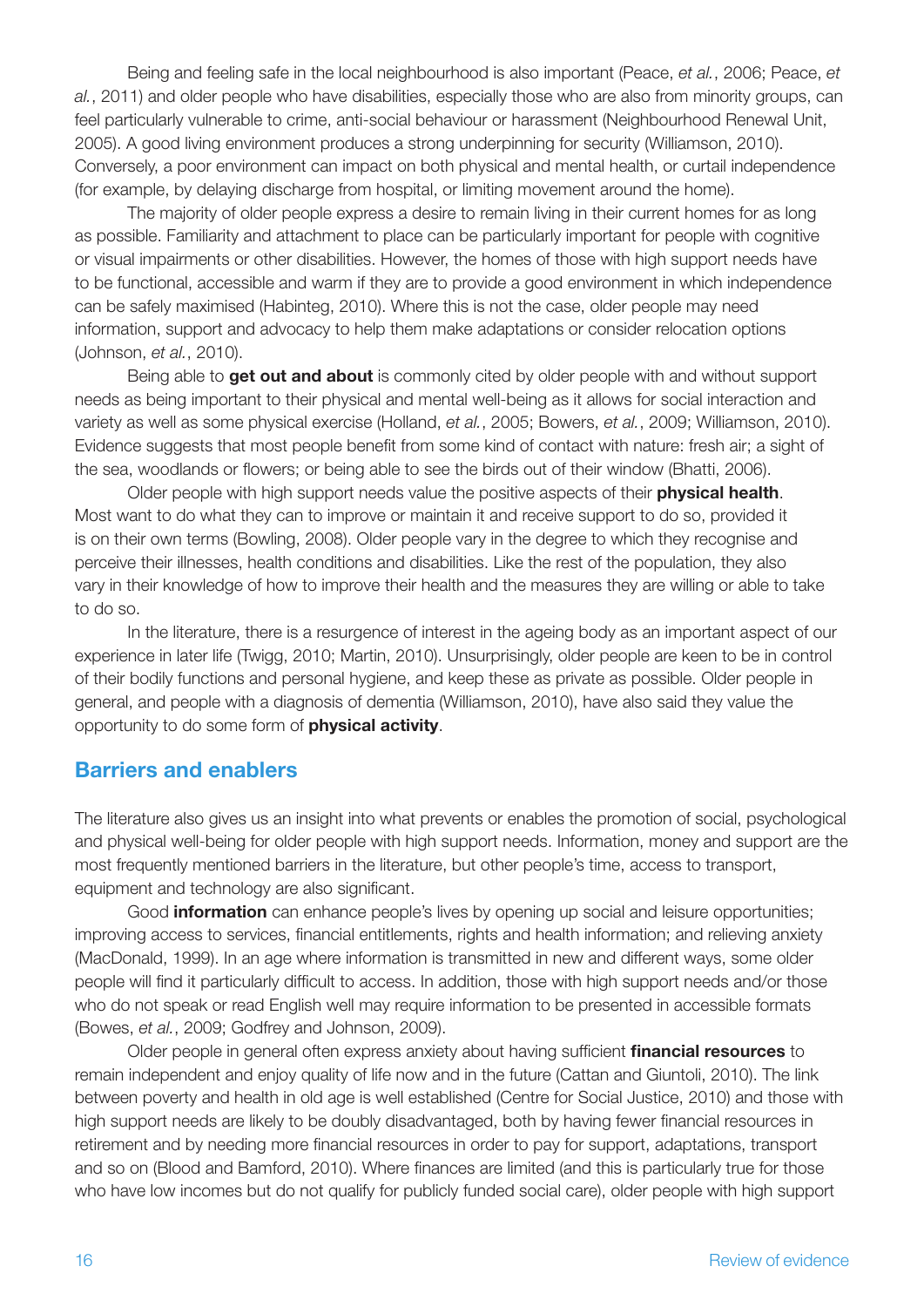Being and feeling safe in the local neighbourhood is also important (Peace, *et al.*, 2006; Peace, *et al.*, 2011) and older people who have disabilities, especially those who are also from minority groups, can feel particularly vulnerable to crime, anti-social behaviour or harassment (Neighbourhood Renewal Unit, 2005). A good living environment produces a strong underpinning for security (Williamson, 2010). Conversely, a poor environment can impact on both physical and mental health, or curtail independence (for example, by delaying discharge from hospital, or limiting movement around the home).

The majority of older people express a desire to remain living in their current homes for as long as possible. Familiarity and attachment to place can be particularly important for people with cognitive or visual impairments or other disabilities. However, the homes of those with high support needs have to be functional, accessible and warm if they are to provide a good environment in which independence can be safely maximised (Habinteg, 2010). Where this is not the case, older people may need information, support and advocacy to help them make adaptations or consider relocation options (Johnson, *et al.*, 2010).

Being able to **get out and about** is commonly cited by older people with and without support needs as being important to their physical and mental well-being as it allows for social interaction and variety as well as some physical exercise (Holland, *et al.*, 2005; Bowers, *et al.*, 2009; Williamson, 2010). Evidence suggests that most people benefit from some kind of contact with nature: fresh air; a sight of the sea, woodlands or flowers; or being able to see the birds out of their window (Bhatti, 2006).

Older people with high support needs value the positive aspects of their **physical health**. Most want to do what they can to improve or maintain it and receive support to do so, provided it is on their own terms (Bowling, 2008). Older people vary in the degree to which they recognise and perceive their illnesses, health conditions and disabilities. Like the rest of the population, they also vary in their knowledge of how to improve their health and the measures they are willing or able to take to do so.

In the literature, there is a resurgence of interest in the ageing body as an important aspect of our experience in later life (Twigg, 2010; Martin, 2010). Unsurprisingly, older people are keen to be in control of their bodily functions and personal hygiene, and keep these as private as possible. Older people in general, and people with a diagnosis of dementia (Williamson, 2010), have also said they value the opportunity to do some form of **physical activity**.

### **Barriers and enablers**

The literature also gives us an insight into what prevents or enables the promotion of social, psychological and physical well-being for older people with high support needs. Information, money and support are the most frequently mentioned barriers in the literature, but other people's time, access to transport, equipment and technology are also significant.

Good **information** can enhance people's lives by opening up social and leisure opportunities; improving access to services, financial entitlements, rights and health information; and relieving anxiety (MacDonald, 1999). In an age where information is transmitted in new and different ways, some older people will find it particularly difficult to access. In addition, those with high support needs and/or those who do not speak or read English well may require information to be presented in accessible formats (Bowes, *et al.*, 2009; Godfrey and Johnson, 2009).

Older people in general often express anxiety about having sufficient **financial resources** to remain independent and enjoy quality of life now and in the future (Cattan and Giuntoli, 2010). The link between poverty and health in old age is well established (Centre for Social Justice, 2010) and those with high support needs are likely to be doubly disadvantaged, both by having fewer financial resources in retirement and by needing more financial resources in order to pay for support, adaptations, transport and so on (Blood and Bamford, 2010). Where finances are limited (and this is particularly true for those who have low incomes but do not qualify for publicly funded social care), older people with high support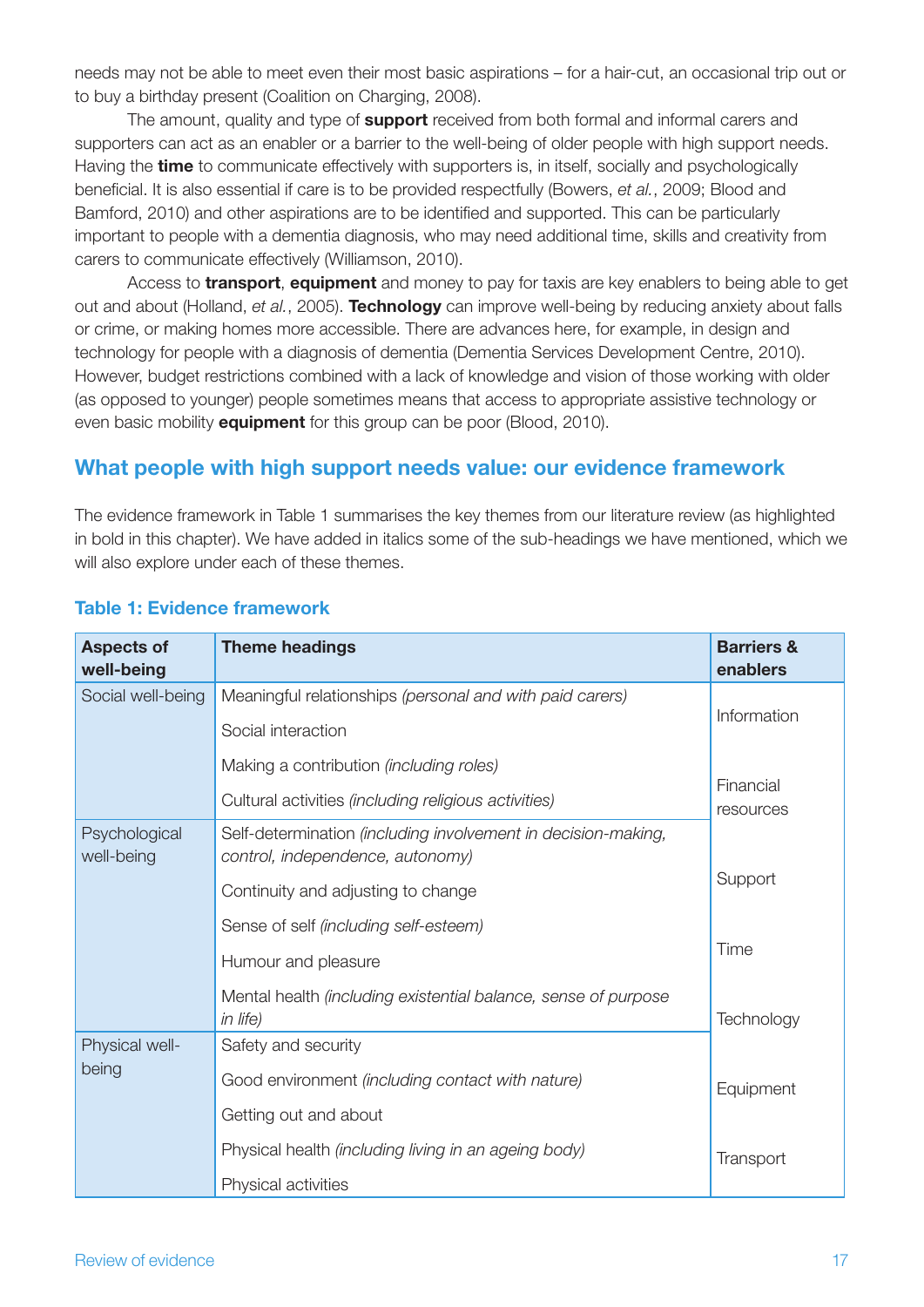needs may not be able to meet even their most basic aspirations – for a hair-cut, an occasional trip out or to buy a birthday present (Coalition on Charging, 2008).

The amount, quality and type of **support** received from both formal and informal carers and supporters can act as an enabler or a barrier to the well-being of older people with high support needs. Having the **time** to communicate effectively with supporters is, in itself, socially and psychologically beneficial. It is also essential if care is to be provided respectfully (Bowers, *et al.*, 2009; Blood and Bamford, 2010) and other aspirations are to be identified and supported. This can be particularly important to people with a dementia diagnosis, who may need additional time, skills and creativity from carers to communicate effectively (Williamson, 2010).

Access to **transport**, **equipment** and money to pay for taxis are key enablers to being able to get out and about (Holland, *et al.*, 2005). **Technology** can improve well-being by reducing anxiety about falls or crime, or making homes more accessible. There are advances here, for example, in design and technology for people with a diagnosis of dementia (Dementia Services Development Centre, 2010). However, budget restrictions combined with a lack of knowledge and vision of those working with older (as opposed to younger) people sometimes means that access to appropriate assistive technology or even basic mobility **equipment** for this group can be poor (Blood, 2010).

### **What people with high support needs value: our evidence framework**

The evidence framework in Table 1 summarises the key themes from our literature review (as highlighted in bold in this chapter). We have added in italics some of the sub-headings we have mentioned, which we will also explore under each of these themes.

| <b>Aspects of</b><br>well-being | <b>Theme headings</b>                                                                             | <b>Barriers &amp;</b><br>enablers |
|---------------------------------|---------------------------------------------------------------------------------------------------|-----------------------------------|
| Social well-being               | Meaningful relationships (personal and with paid carers)                                          |                                   |
|                                 | Social interaction                                                                                | Information                       |
|                                 | Making a contribution (including roles)                                                           |                                   |
|                                 | Cultural activities (including religious activities)                                              | Financial<br>resources            |
| Psychological<br>well-being     | Self-determination (including involvement in decision-making,<br>control, independence, autonomy) |                                   |
|                                 | Continuity and adjusting to change                                                                | Support                           |
|                                 | Sense of self (including self-esteem)                                                             |                                   |
|                                 | Humour and pleasure                                                                               | Time                              |
|                                 | Mental health (including existential balance, sense of purpose<br>in life)                        | Technology                        |
| Physical well-                  | Safety and security                                                                               |                                   |
| being                           | Good environment (including contact with nature)                                                  | Equipment                         |
|                                 | Getting out and about                                                                             |                                   |
|                                 | Physical health (including living in an ageing body)                                              | Transport                         |
|                                 | Physical activities                                                                               |                                   |

#### **Table 1: Evidence framework**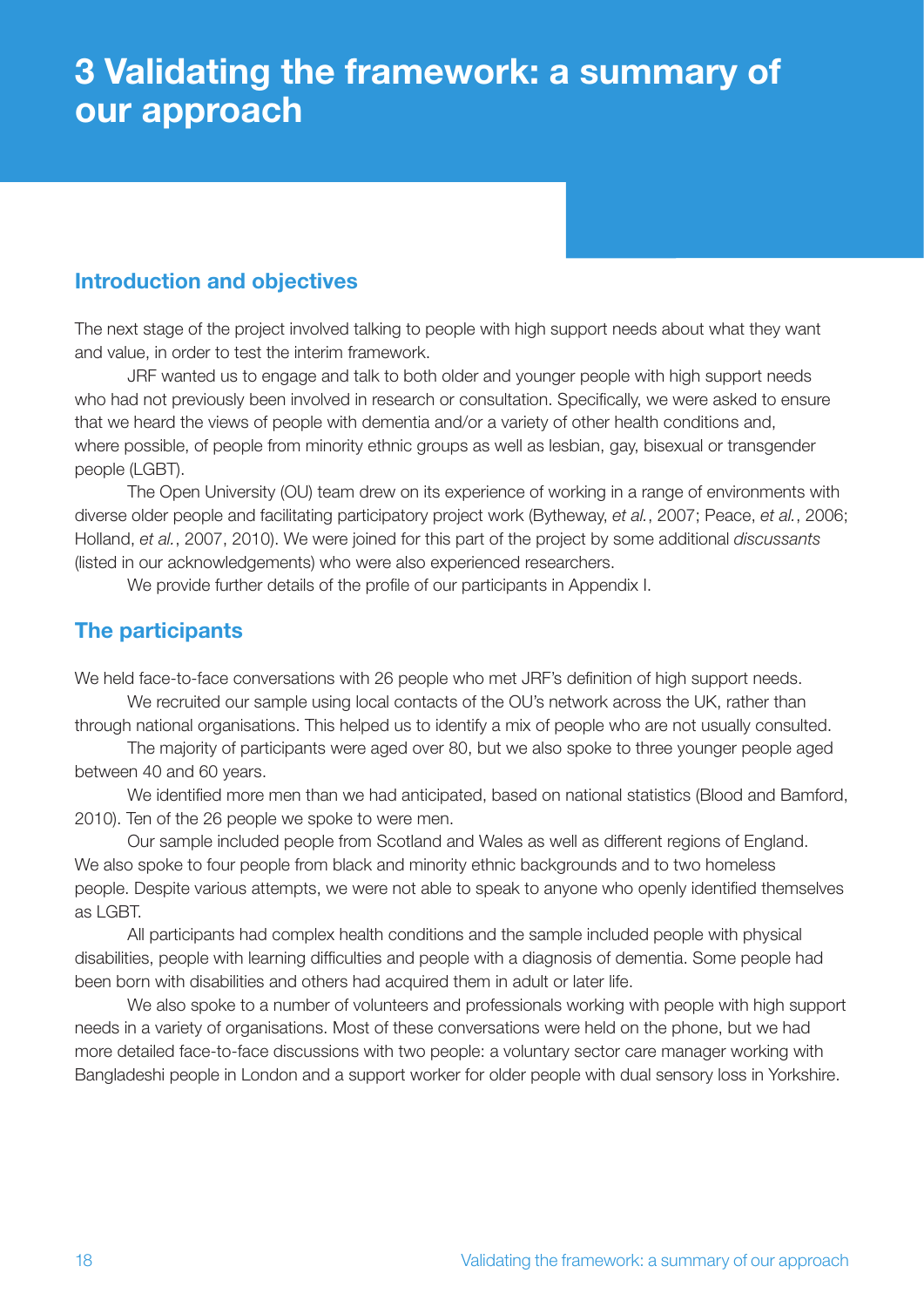## **3 Validating the framework: a summary of our approach**

## **Introduction and objectives**

The next stage of the project involved talking to people with high support needs about what they want and value, in order to test the interim framework.

JRF wanted us to engage and talk to both older and younger people with high support needs who had not previously been involved in research or consultation. Specifically, we were asked to ensure that we heard the views of people with dementia and/or a variety of other health conditions and, where possible, of people from minority ethnic groups as well as lesbian, gay, bisexual or transgender people (LGBT).

The Open University (OU) team drew on its experience of working in a range of environments with diverse older people and facilitating participatory project work (Bytheway, *et al.*, 2007; Peace, *et al.*, 2006; Holland, *et al.*, 2007, 2010). We were joined for this part of the project by some additional *discussants* (listed in our acknowledgements) who were also experienced researchers.

We provide further details of the profile of our participants in Appendix I.

## **The participants**

We held face-to-face conversations with 26 people who met JRF's definition of high support needs.

We recruited our sample using local contacts of the OU's network across the UK, rather than through national organisations. This helped us to identify a mix of people who are not usually consulted.

The majority of participants were aged over 80, but we also spoke to three younger people aged between 40 and 60 years.

We identified more men than we had anticipated, based on national statistics (Blood and Bamford, 2010). Ten of the 26 people we spoke to were men.

Our sample included people from Scotland and Wales as well as different regions of England. We also spoke to four people from black and minority ethnic backgrounds and to two homeless people. Despite various attempts, we were not able to speak to anyone who openly identified themselves as LGBT.

All participants had complex health conditions and the sample included people with physical disabilities, people with learning difficulties and people with a diagnosis of dementia. Some people had been born with disabilities and others had acquired them in adult or later life.

We also spoke to a number of volunteers and professionals working with people with high support needs in a variety of organisations. Most of these conversations were held on the phone, but we had more detailed face-to-face discussions with two people: a voluntary sector care manager working with Bangladeshi people in London and a support worker for older people with dual sensory loss in Yorkshire.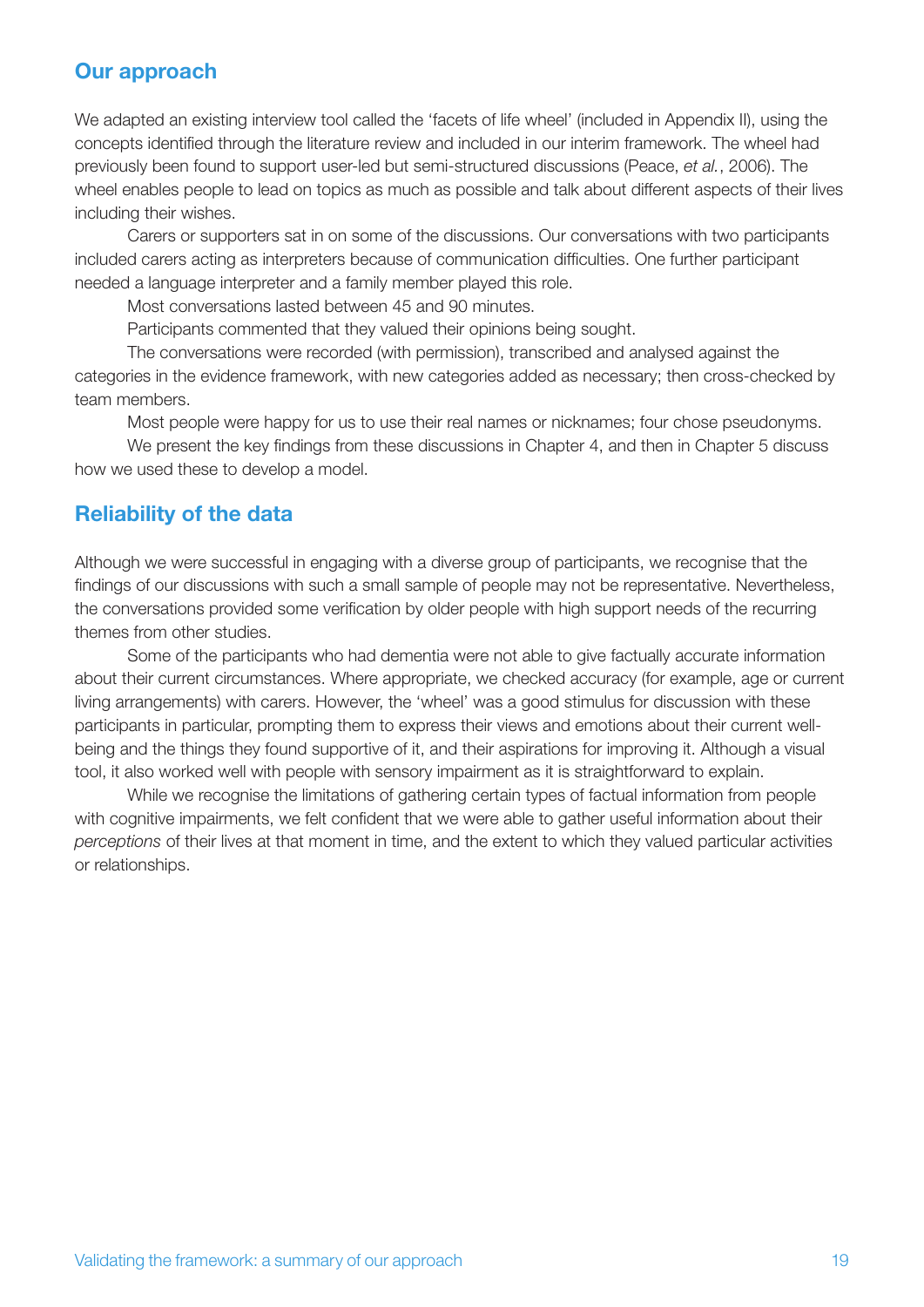### **Our approach**

We adapted an existing interview tool called the 'facets of life wheel' (included in Appendix II), using the concepts identified through the literature review and included in our interim framework. The wheel had previously been found to support user-led but semi-structured discussions (Peace, *et al.*, 2006). The wheel enables people to lead on topics as much as possible and talk about different aspects of their lives including their wishes.

Carers or supporters sat in on some of the discussions. Our conversations with two participants included carers acting as interpreters because of communication difficulties. One further participant needed a language interpreter and a family member played this role.

Most conversations lasted between 45 and 90 minutes.

Participants commented that they valued their opinions being sought.

The conversations were recorded (with permission), transcribed and analysed against the categories in the evidence framework, with new categories added as necessary; then cross-checked by team members.

Most people were happy for us to use their real names or nicknames; four chose pseudonyms.

We present the key findings from these discussions in Chapter 4, and then in Chapter 5 discuss how we used these to develop a model.

### **Reliability of the data**

Although we were successful in engaging with a diverse group of participants, we recognise that the findings of our discussions with such a small sample of people may not be representative. Nevertheless, the conversations provided some verification by older people with high support needs of the recurring themes from other studies.

Some of the participants who had dementia were not able to give factually accurate information about their current circumstances. Where appropriate, we checked accuracy (for example, age or current living arrangements) with carers. However, the 'wheel' was a good stimulus for discussion with these participants in particular, prompting them to express their views and emotions about their current wellbeing and the things they found supportive of it, and their aspirations for improving it. Although a visual tool, it also worked well with people with sensory impairment as it is straightforward to explain.

While we recognise the limitations of gathering certain types of factual information from people with cognitive impairments, we felt confident that we were able to gather useful information about their *perceptions* of their lives at that moment in time, and the extent to which they valued particular activities or relationships.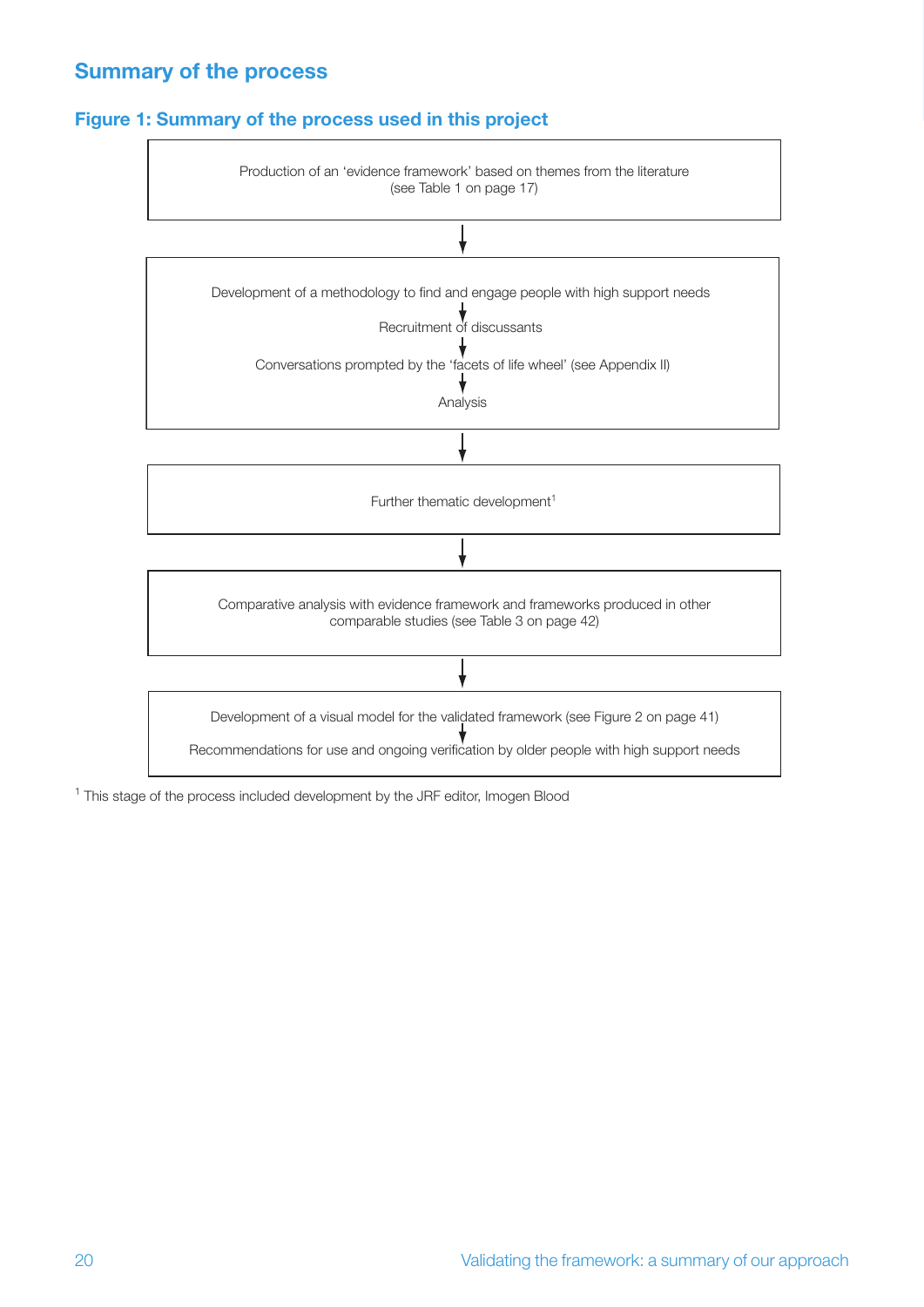## **Summary of the process**

#### **Figure 1: Summary of the process used in this project**



<sup>1</sup> This stage of the process included development by the JRF editor, Imogen Blood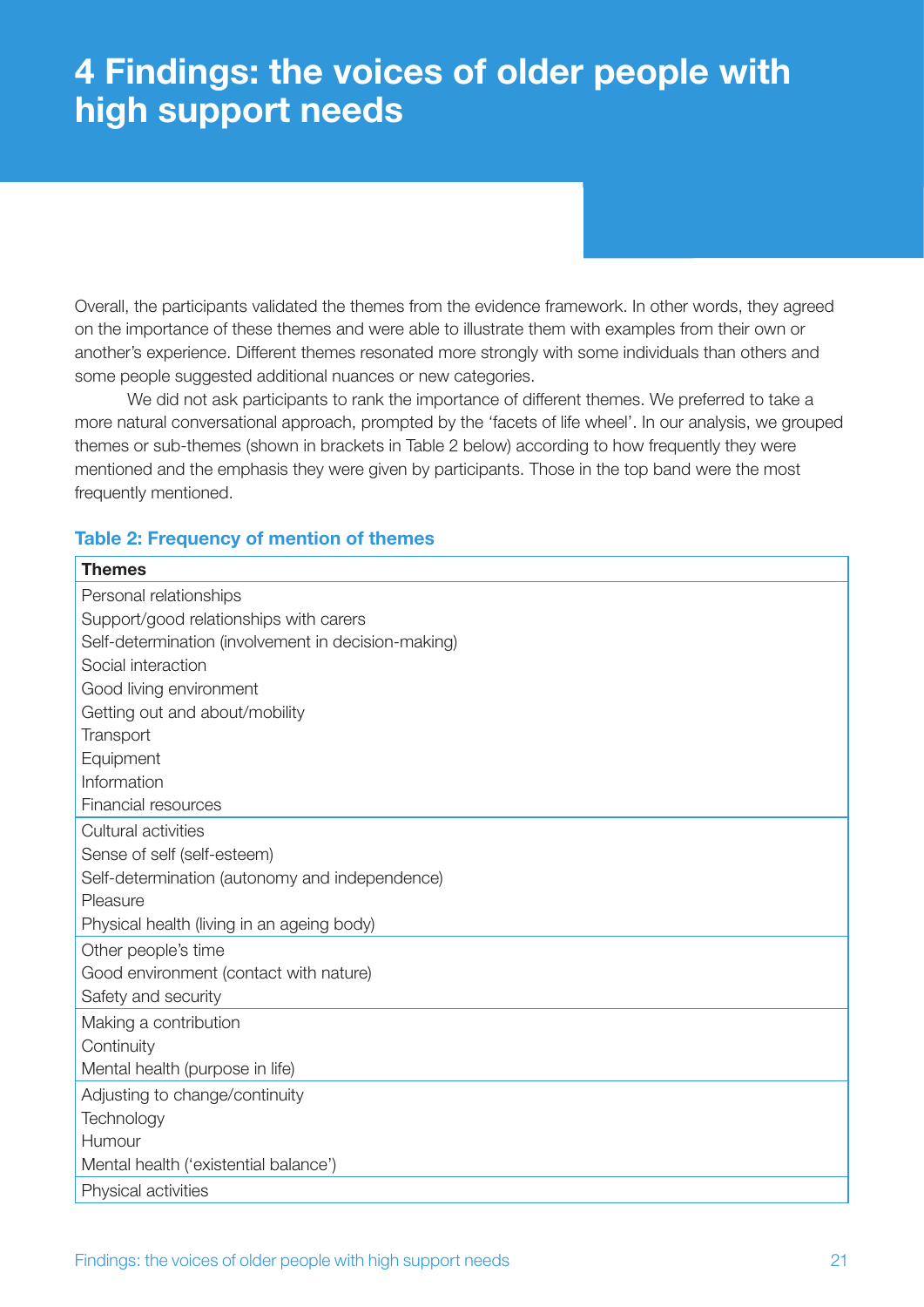## **4 Findings: the voices of older people with high support needs**

Overall, the participants validated the themes from the evidence framework. In other words, they agreed on the importance of these themes and were able to illustrate them with examples from their own or another's experience. Different themes resonated more strongly with some individuals than others and some people suggested additional nuances or new categories.

We did not ask participants to rank the importance of different themes. We preferred to take a more natural conversational approach, prompted by the 'facets of life wheel'. In our analysis, we grouped themes or sub-themes (shown in brackets in Table 2 below) according to how frequently they were mentioned and the emphasis they were given by participants. Those in the top band were the most frequently mentioned.

#### **Table 2: Frequency of mention of themes**

| <b>Themes</b>                                       |  |  |
|-----------------------------------------------------|--|--|
| Personal relationships                              |  |  |
| Support/good relationships with carers              |  |  |
| Self-determination (involvement in decision-making) |  |  |
| Social interaction                                  |  |  |
| Good living environment                             |  |  |
| Getting out and about/mobility                      |  |  |
| Transport                                           |  |  |
| Equipment                                           |  |  |
| Information                                         |  |  |
| <b>Financial resources</b>                          |  |  |
| Cultural activities                                 |  |  |
| Sense of self (self-esteem)                         |  |  |
| Self-determination (autonomy and independence)      |  |  |
| Pleasure                                            |  |  |
| Physical health (living in an ageing body)          |  |  |
| Other people's time                                 |  |  |
| Good environment (contact with nature)              |  |  |
| Safety and security                                 |  |  |
| Making a contribution                               |  |  |
| Continuity                                          |  |  |
| Mental health (purpose in life)                     |  |  |
| Adjusting to change/continuity                      |  |  |
| Technology                                          |  |  |
| Humour                                              |  |  |
| Mental health ('existential balance')               |  |  |
| Physical activities                                 |  |  |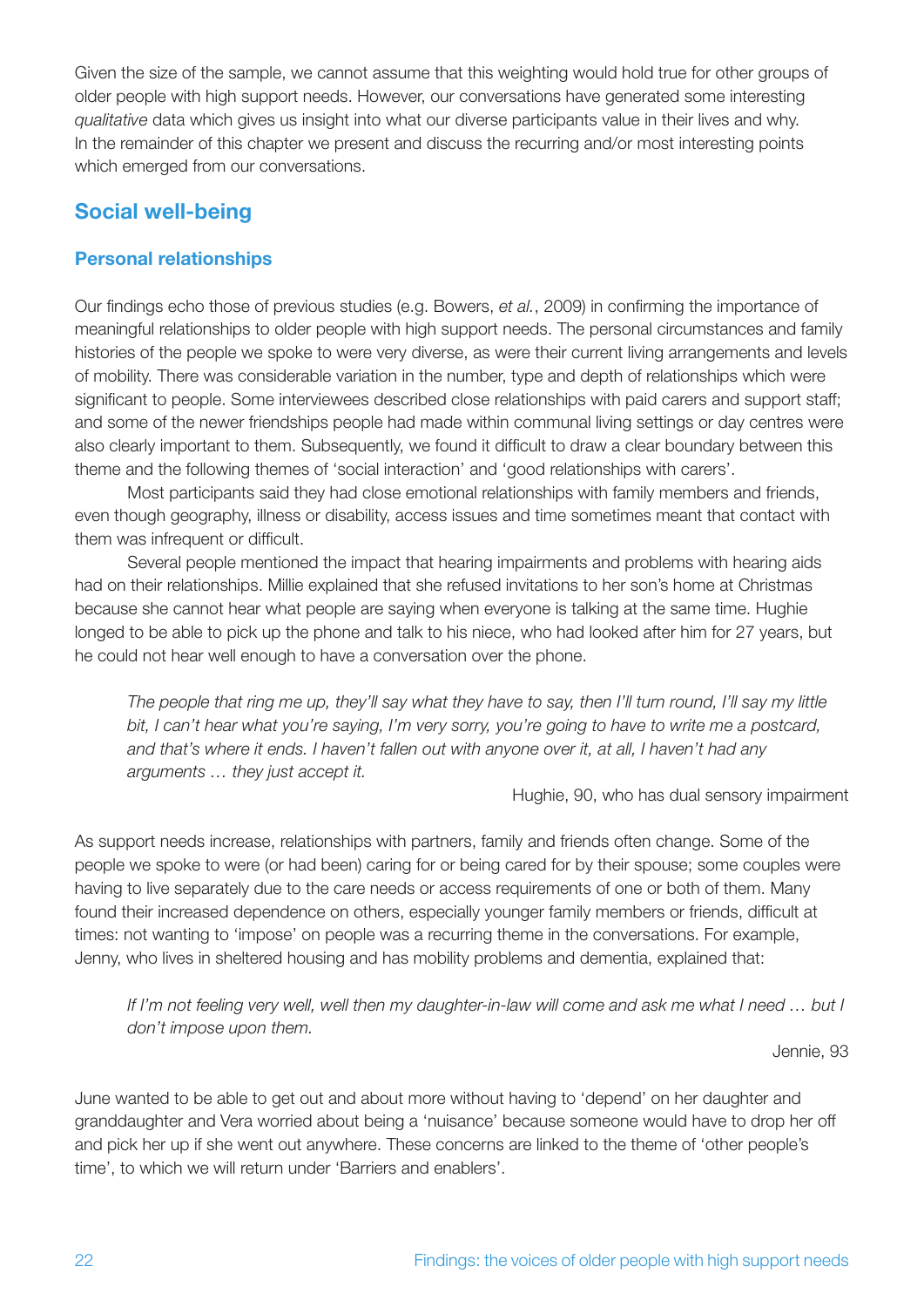Given the size of the sample, we cannot assume that this weighting would hold true for other groups of older people with high support needs. However, our conversations have generated some interesting *qualitative* data which gives us insight into what our diverse participants value in their lives and why. In the remainder of this chapter we present and discuss the recurring and/or most interesting points which emerged from our conversations.

## **Social well-being**

#### **Personal relationships**

Our findings echo those of previous studies (e.g. Bowers, *et al.*, 2009) in confirming the importance of meaningful relationships to older people with high support needs. The personal circumstances and family histories of the people we spoke to were very diverse, as were their current living arrangements and levels of mobility. There was considerable variation in the number, type and depth of relationships which were significant to people. Some interviewees described close relationships with paid carers and support staff; and some of the newer friendships people had made within communal living settings or day centres were also clearly important to them. Subsequently, we found it difficult to draw a clear boundary between this theme and the following themes of 'social interaction' and 'good relationships with carers'.

Most participants said they had close emotional relationships with family members and friends, even though geography, illness or disability, access issues and time sometimes meant that contact with them was infrequent or difficult.

Several people mentioned the impact that hearing impairments and problems with hearing aids had on their relationships. Millie explained that she refused invitations to her son's home at Christmas because she cannot hear what people are saying when everyone is talking at the same time. Hughie longed to be able to pick up the phone and talk to his niece, who had looked after him for 27 years, but he could not hear well enough to have a conversation over the phone.

*The people that ring me up, they'll say what they have to say, then I'll turn round, I'll say my little bit, I can't hear what you're saying, I'm very sorry, you're going to have to write me a postcard, and that's where it ends. I haven't fallen out with anyone over it, at all, I haven't had any arguments … they just accept it.*

Hughie, 90, who has dual sensory impairment

As support needs increase, relationships with partners, family and friends often change. Some of the people we spoke to were (or had been) caring for or being cared for by their spouse; some couples were having to live separately due to the care needs or access requirements of one or both of them. Many found their increased dependence on others, especially younger family members or friends, difficult at times: not wanting to 'impose' on people was a recurring theme in the conversations. For example, Jenny, who lives in sheltered housing and has mobility problems and dementia, explained that:

*If I'm not feeling very well, well then my daughter-in-law will come and ask me what I need ... but I don't impose upon them.*

Jennie, 93

June wanted to be able to get out and about more without having to 'depend' on her daughter and granddaughter and Vera worried about being a 'nuisance' because someone would have to drop her off and pick her up if she went out anywhere. These concerns are linked to the theme of 'other people's time', to which we will return under 'Barriers and enablers'.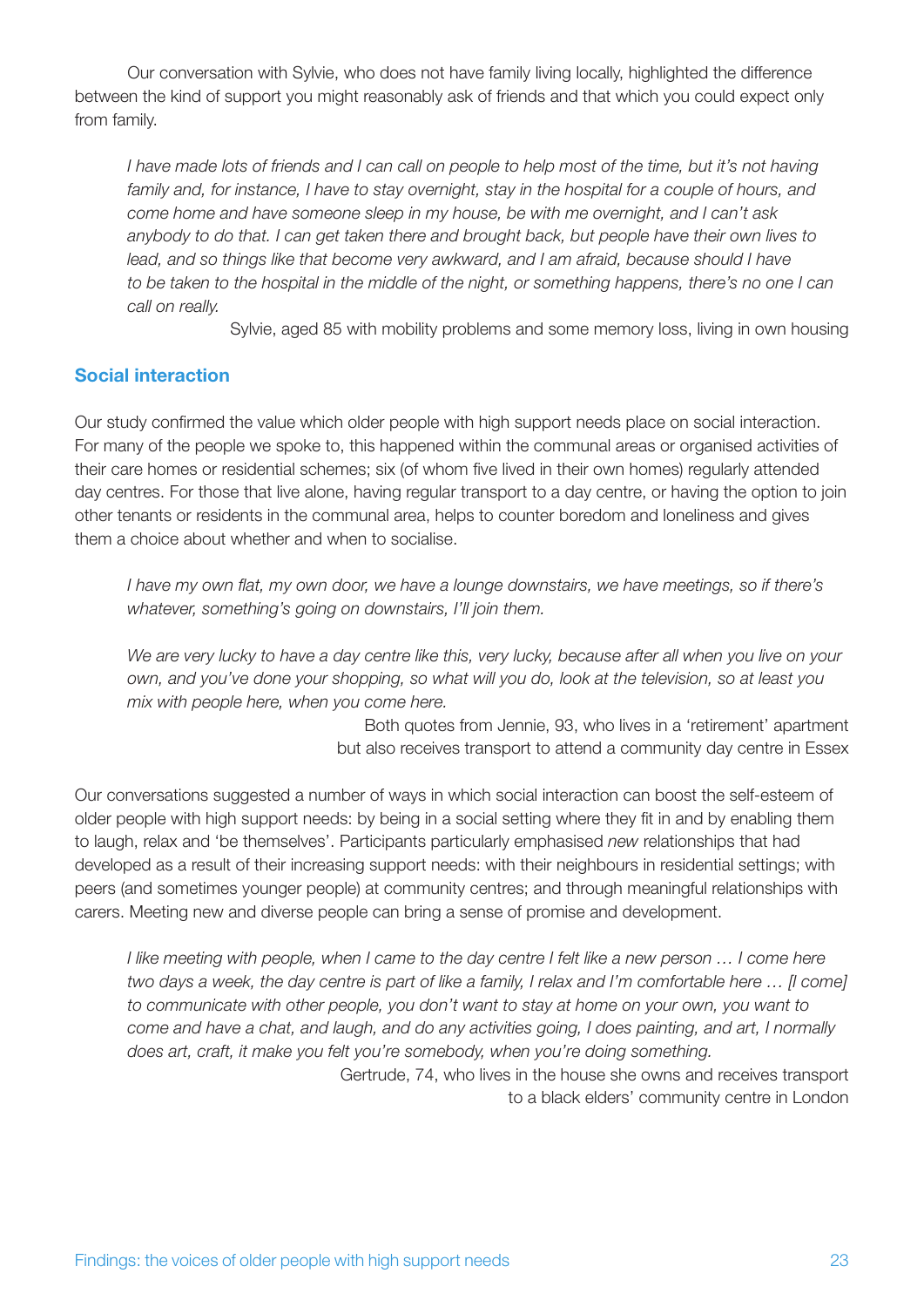Our conversation with Sylvie, who does not have family living locally, highlighted the difference between the kind of support you might reasonably ask of friends and that which you could expect only from family.

*I have made lots of friends and I can call on people to help most of the time, but it's not having* family and, for instance, I have to stay overnight, stay in the hospital for a couple of hours, and *come home and have someone sleep in my house, be with me overnight, and I can't ask anybody to do that. I can get taken there and brought back, but people have their own lives to lead, and so things like that become very awkward, and I am afraid, because should I have to be taken to the hospital in the middle of the night, or something happens, there's no one I can call on really.*

Sylvie, aged 85 with mobility problems and some memory loss, living in own housing

#### **Social interaction**

Our study confirmed the value which older people with high support needs place on social interaction. For many of the people we spoke to, this happened within the communal areas or organised activities of their care homes or residential schemes; six (of whom five lived in their own homes) regularly attended day centres. For those that live alone, having regular transport to a day centre, or having the option to join other tenants or residents in the communal area, helps to counter boredom and loneliness and gives them a choice about whether and when to socialise.

*I have my own flat, my own door, we have a lounge downstairs, we have meetings, so if there's whatever, something's going on downstairs, I'll join them.*

*We are very lucky to have a day centre like this, very lucky, because after all when you live on your own, and you've done your shopping, so what will you do, look at the television, so at least you mix with people here, when you come here.*

> Both quotes from Jennie, 93, who lives in a 'retirement' apartment but also receives transport to attend a community day centre in Essex

Our conversations suggested a number of ways in which social interaction can boost the self-esteem of older people with high support needs: by being in a social setting where they fit in and by enabling them to laugh, relax and 'be themselves'. Participants particularly emphasised *new* relationships that had developed as a result of their increasing support needs: with their neighbours in residential settings; with peers (and sometimes younger people) at community centres; and through meaningful relationships with carers. Meeting new and diverse people can bring a sense of promise and development.

*I like meeting with people, when I came to the day centre I felt like a new person ... I come here two days a week, the day centre is part of like a family, I relax and I'm comfortable here ... II comel to communicate with other people, you don't want to stay at home on your own, you want to come and have a chat, and laugh, and do any activities going, I does painting, and art, I normally does art, craft, it make you felt you're somebody, when you're doing something.*

Gertrude, 74, who lives in the house she owns and receives transport to a black elders' community centre in London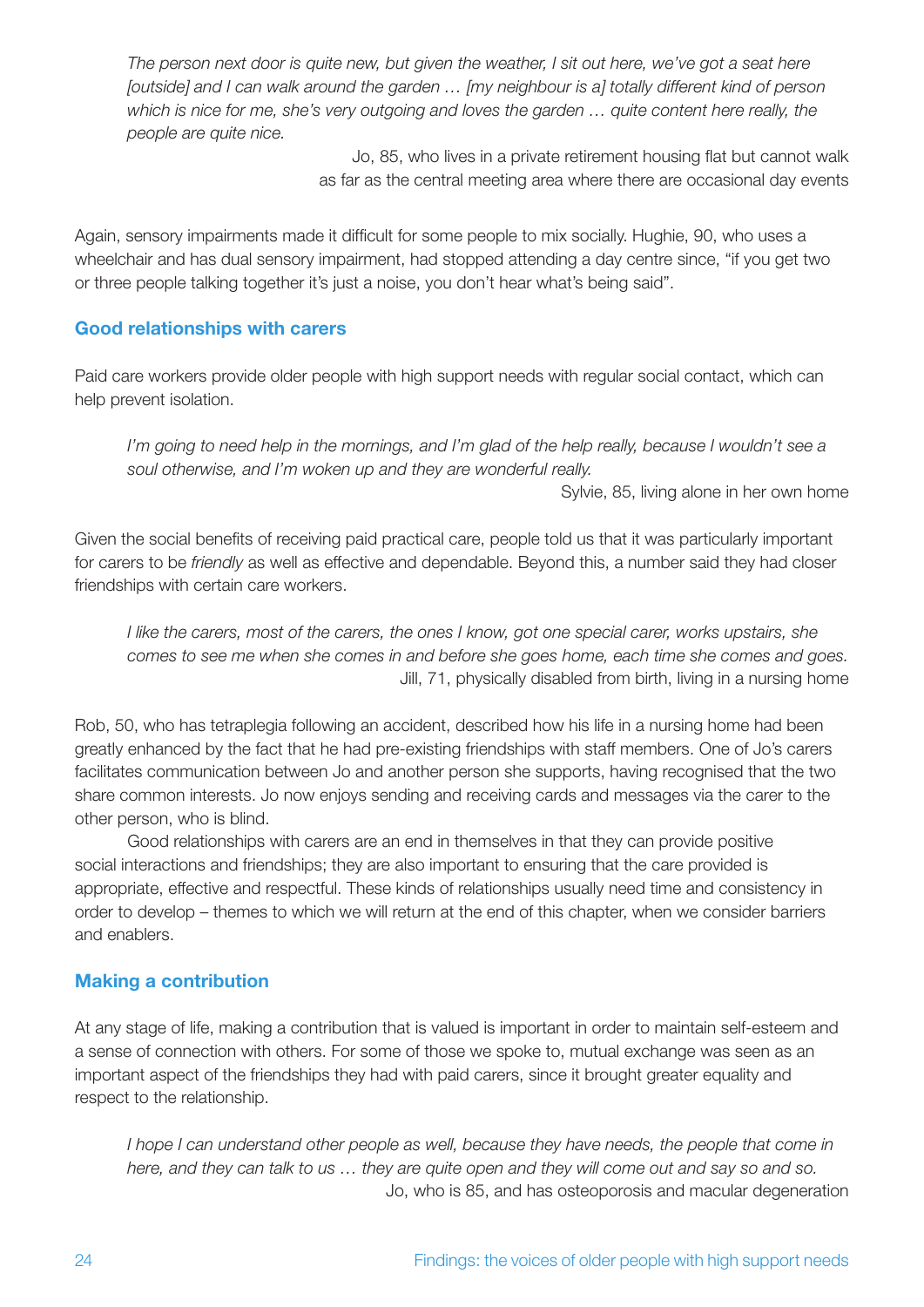*The person next door is quite new, but given the weather, I sit out here, we've got a seat here [outside] and I can walk around the garden … [my neighbour is a] totally different kind of person which is nice for me, she's very outgoing and loves the garden … quite content here really, the people are quite nice.*

> Jo, 85, who lives in a private retirement housing flat but cannot walk as far as the central meeting area where there are occasional day events

Again, sensory impairments made it difficult for some people to mix socially. Hughie, 90, who uses a wheelchair and has dual sensory impairment, had stopped attending a day centre since, "if you get two or three people talking together it's just a noise, you don't hear what's being said".

#### **Good relationships with carers**

Paid care workers provide older people with high support needs with regular social contact, which can help prevent isolation.

*I'm going to need help in the mornings, and I'm glad of the help really, because I wouldn't see a soul otherwise, and I'm woken up and they are wonderful really.*

Sylvie, 85, living alone in her own home

Given the social benefits of receiving paid practical care, people told us that it was particularly important for carers to be *friendly* as well as effective and dependable. Beyond this, a number said they had closer friendships with certain care workers.

*I like the carers, most of the carers, the ones I know, got one special carer, works upstairs, she comes to see me when she comes in and before she goes home, each time she comes and goes.* Jill, 71, physically disabled from birth, living in a nursing home

Rob, 50, who has tetraplegia following an accident, described how his life in a nursing home had been greatly enhanced by the fact that he had pre-existing friendships with staff members. One of Jo's carers facilitates communication between Jo and another person she supports, having recognised that the two share common interests. Jo now enjoys sending and receiving cards and messages via the carer to the other person, who is blind.

Good relationships with carers are an end in themselves in that they can provide positive social interactions and friendships; they are also important to ensuring that the care provided is appropriate, effective and respectful. These kinds of relationships usually need time and consistency in order to develop – themes to which we will return at the end of this chapter, when we consider barriers and enablers.

#### **Making a contribution**

At any stage of life, making a contribution that is valued is important in order to maintain self-esteem and a sense of connection with others. For some of those we spoke to, mutual exchange was seen as an important aspect of the friendships they had with paid carers, since it brought greater equality and respect to the relationship.

*I hope I can understand other people as well, because they have needs, the people that come in here, and they can talk to us … they are quite open and they will come out and say so and so.* Jo, who is 85, and has osteoporosis and macular degeneration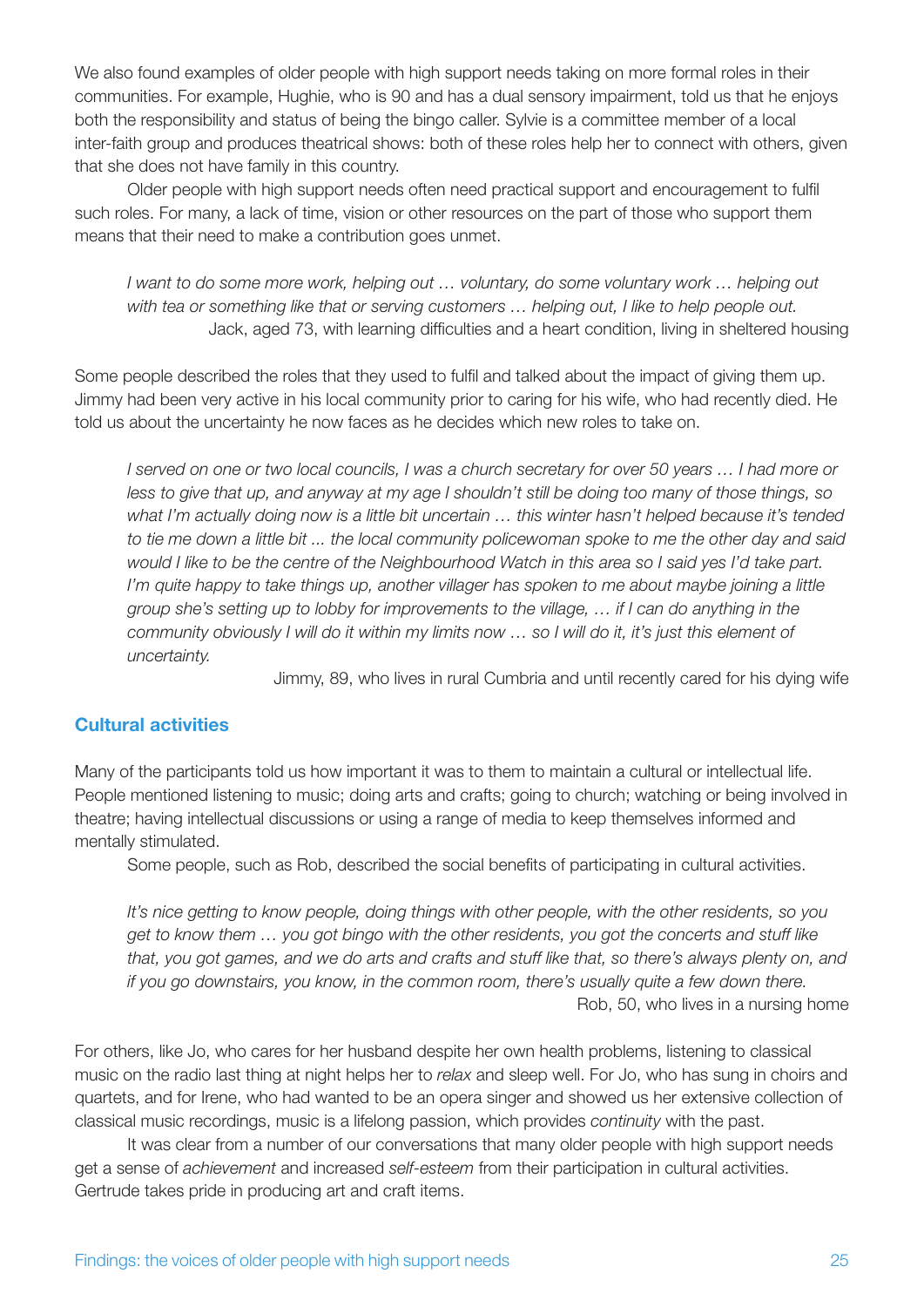We also found examples of older people with high support needs taking on more formal roles in their communities. For example, Hughie, who is 90 and has a dual sensory impairment, told us that he enjoys both the responsibility and status of being the bingo caller. Sylvie is a committee member of a local inter-faith group and produces theatrical shows: both of these roles help her to connect with others, given that she does not have family in this country.

Older people with high support needs often need practical support and encouragement to fulfil such roles. For many, a lack of time, vision or other resources on the part of those who support them means that their need to make a contribution goes unmet.

*I want to do some more work, helping out … voluntary, do some voluntary work … helping out with tea or something like that or serving customers … helping out, I like to help people out.* Jack, aged 73, with learning difficulties and a heart condition, living in sheltered housing

Some people described the roles that they used to fulfil and talked about the impact of giving them up. Jimmy had been very active in his local community prior to caring for his wife, who had recently died. He told us about the uncertainty he now faces as he decides which new roles to take on.

*I served on one or two local councils, I was a church secretary for over 50 years … I had more or less to give that up, and anyway at my age I shouldn't still be doing too many of those things, so what I'm actually doing now is a little bit uncertain … this winter hasn't helped because it's tended to tie me down a little bit ... the local community policewoman spoke to me the other day and said would I like to be the centre of the Neighbourhood Watch in this area so I said yes I'd take part. I'm quite happy to take things up, another villager has spoken to me about maybe joining a little group she's setting up to lobby for improvements to the village, … if I can do anything in the community obviously I will do it within my limits now … so I will do it, it's just this element of uncertainty.* 

Jimmy, 89, who lives in rural Cumbria and until recently cared for his dying wife

#### **Cultural activities**

Many of the participants told us how important it was to them to maintain a cultural or intellectual life. People mentioned listening to music; doing arts and crafts; going to church; watching or being involved in theatre; having intellectual discussions or using a range of media to keep themselves informed and mentally stimulated.

Some people, such as Rob, described the social benefits of participating in cultural activities.

*It's nice getting to know people, doing things with other people, with the other residents, so you get to know them … you got bingo with the other residents, you got the concerts and stuff like that, you got games, and we do arts and crafts and stuff like that, so there's always plenty on, and if you go downstairs, you know, in the common room, there's usually quite a few down there.* Rob, 50, who lives in a nursing home

For others, like Jo, who cares for her husband despite her own health problems, listening to classical music on the radio last thing at night helps her to *relax* and sleep well. For Jo, who has sung in choirs and quartets, and for Irene, who had wanted to be an opera singer and showed us her extensive collection of classical music recordings, music is a lifelong passion, which provides *continuity* with the past.

It was clear from a number of our conversations that many older people with high support needs get a sense of *achievement* and increased *self-esteem* from their participation in cultural activities. Gertrude takes pride in producing art and craft items.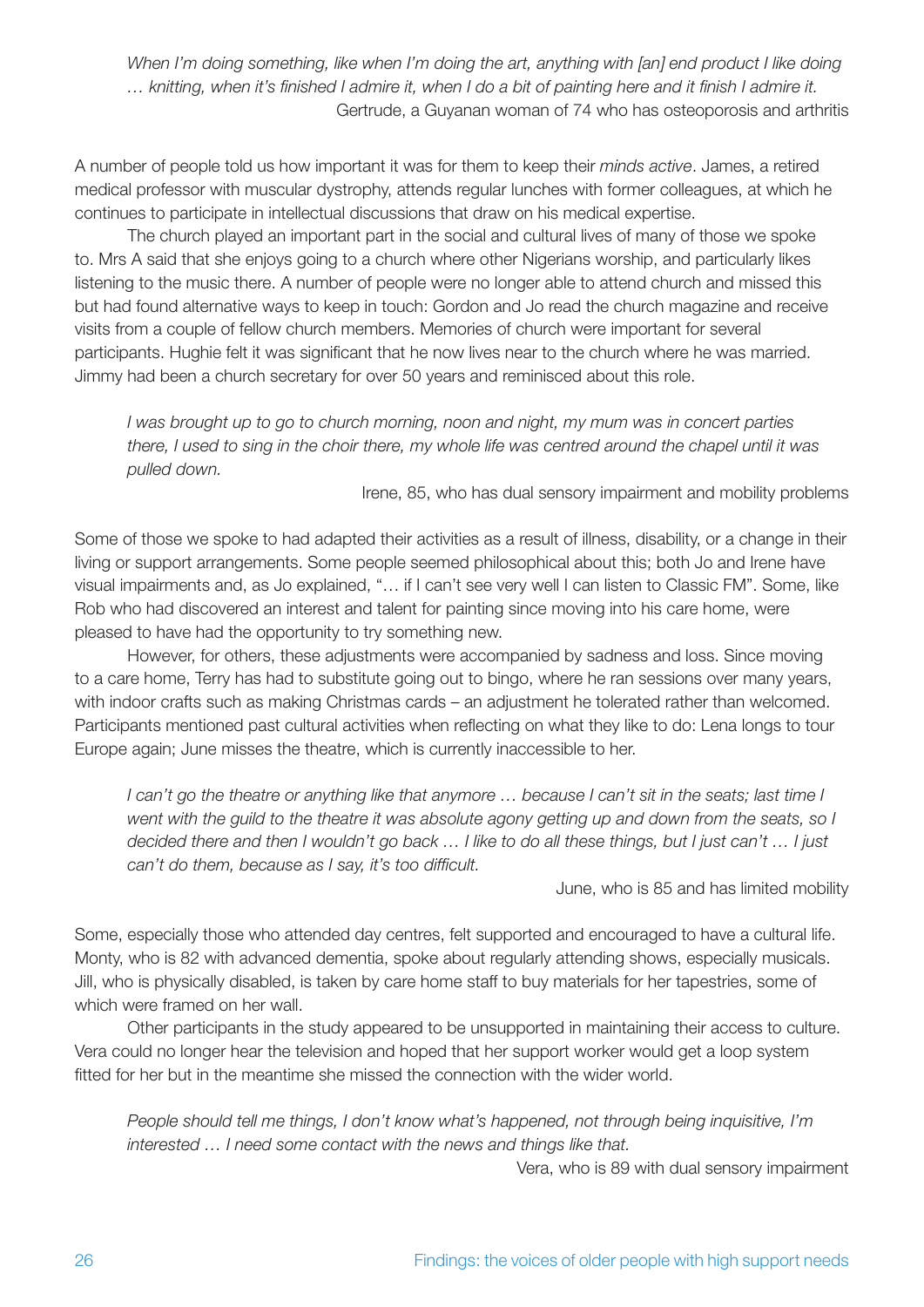*When I'm doing something, like when I'm doing the art, anything with [an] end product I like doing … knitting, when it's finished I admire it, when I do a bit of painting here and it finish I admire it.* Gertrude, a Guyanan woman of 74 who has osteoporosis and arthritis

A number of people told us how important it was for them to keep their *minds active*. James, a retired medical professor with muscular dystrophy, attends regular lunches with former colleagues, at which he continues to participate in intellectual discussions that draw on his medical expertise.

The church played an important part in the social and cultural lives of many of those we spoke to. Mrs A said that she enjoys going to a church where other Nigerians worship, and particularly likes listening to the music there. A number of people were no longer able to attend church and missed this but had found alternative ways to keep in touch: Gordon and Jo read the church magazine and receive visits from a couple of fellow church members. Memories of church were important for several participants. Hughie felt it was significant that he now lives near to the church where he was married. Jimmy had been a church secretary for over 50 years and reminisced about this role.

*I was brought up to go to church morning, noon and night, my mum was in concert parties there, I used to sing in the choir there, my whole life was centred around the chapel until it was pulled down.*

Irene, 85, who has dual sensory impairment and mobility problems

Some of those we spoke to had adapted their activities as a result of illness, disability, or a change in their living or support arrangements. Some people seemed philosophical about this; both Jo and Irene have visual impairments and, as Jo explained, "… if I can't see very well I can listen to Classic FM". Some, like Rob who had discovered an interest and talent for painting since moving into his care home, were pleased to have had the opportunity to try something new.

However, for others, these adjustments were accompanied by sadness and loss. Since moving to a care home, Terry has had to substitute going out to bingo, where he ran sessions over many years, with indoor crafts such as making Christmas cards – an adjustment he tolerated rather than welcomed. Participants mentioned past cultural activities when reflecting on what they like to do: Lena longs to tour Europe again; June misses the theatre, which is currently inaccessible to her.

*I can't go the theatre or anything like that anymore … because I can't sit in the seats; last time I went with the guild to the theatre it was absolute agony getting up and down from the seats, so I decided there and then I wouldn't go back … I like to do all these things, but I just can't … I just can't do them, because as I say, it's too difficult.*

June, who is 85 and has limited mobility

Some, especially those who attended day centres, felt supported and encouraged to have a cultural life. Monty, who is 82 with advanced dementia, spoke about regularly attending shows, especially musicals. Jill, who is physically disabled, is taken by care home staff to buy materials for her tapestries, some of which were framed on her wall.

Other participants in the study appeared to be unsupported in maintaining their access to culture. Vera could no longer hear the television and hoped that her support worker would get a loop system fitted for her but in the meantime she missed the connection with the wider world.

*People should tell me things, I don't know what's happened, not through being inquisitive, I'm interested … I need some contact with the news and things like that.*

Vera, who is 89 with dual sensory impairment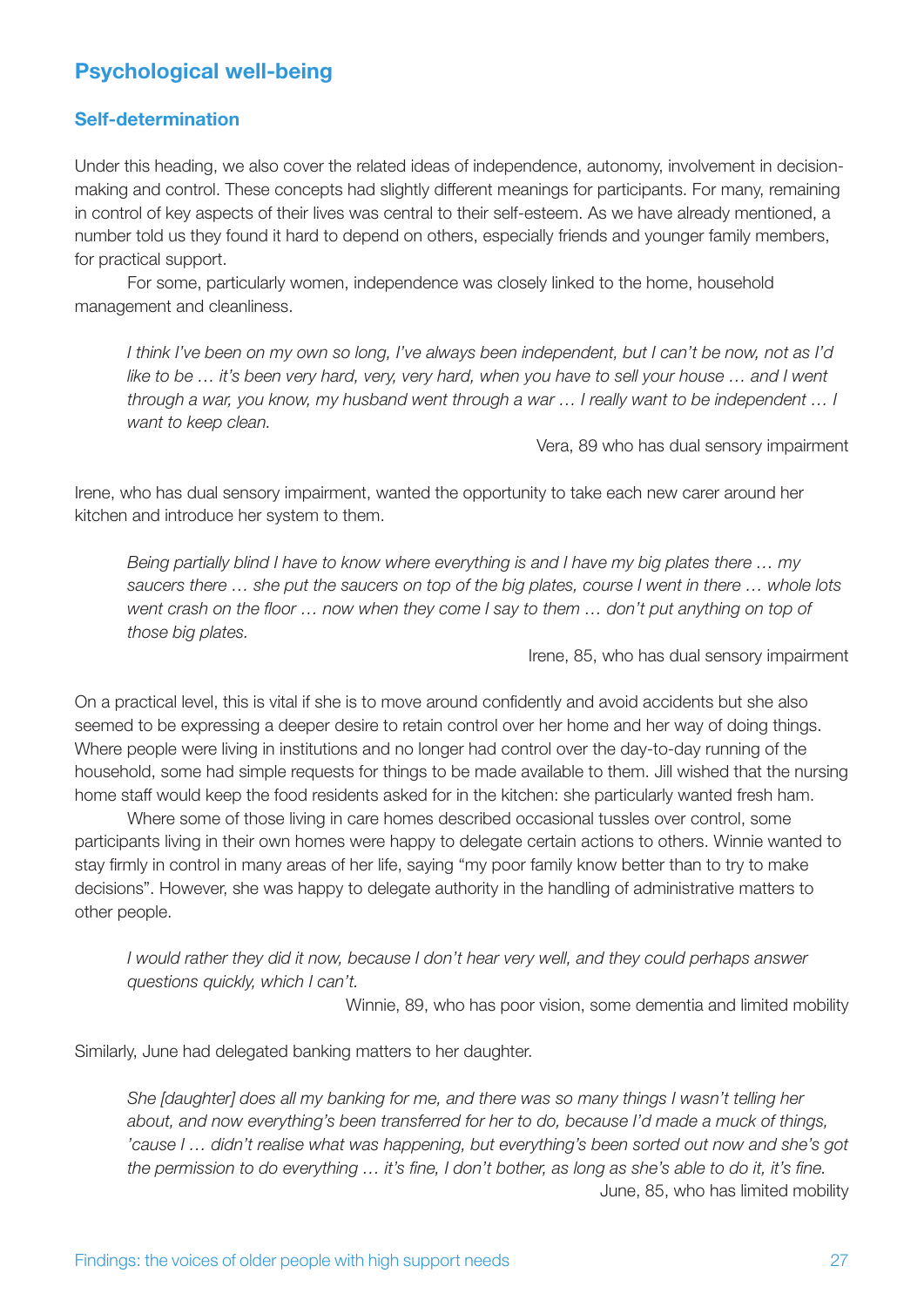## **Psychological well-being**

#### **Self-determination**

Under this heading, we also cover the related ideas of independence, autonomy, involvement in decisionmaking and control. These concepts had slightly different meanings for participants. For many, remaining in control of key aspects of their lives was central to their self-esteem. As we have already mentioned, a number told us they found it hard to depend on others, especially friends and younger family members, for practical support.

For some, particularly women, independence was closely linked to the home, household management and cleanliness.

*I think I've been on my own so long, I've always been independent, but I can't be now, not as I'd like to be ...* it's been very hard, very, very hard, when you have to sell your house ... and I went *through a war, you know, my husband went through a war … I really want to be independent … I want to keep clean.*

Vera, 89 who has dual sensory impairment

Irene, who has dual sensory impairment, wanted the opportunity to take each new carer around her kitchen and introduce her system to them.

*Being partially blind I have to know where everything is and I have my big plates there … my saucers there … she put the saucers on top of the big plates, course I went in there … whole lots went crash on the floor … now when they come I say to them … don't put anything on top of those big plates.*

Irene, 85, who has dual sensory impairment

On a practical level, this is vital if she is to move around confidently and avoid accidents but she also seemed to be expressing a deeper desire to retain control over her home and her way of doing things. Where people were living in institutions and no longer had control over the day-to-day running of the household, some had simple requests for things to be made available to them. Jill wished that the nursing home staff would keep the food residents asked for in the kitchen: she particularly wanted fresh ham.

Where some of those living in care homes described occasional tussles over control, some participants living in their own homes were happy to delegate certain actions to others. Winnie wanted to stay firmly in control in many areas of her life, saying "my poor family know better than to try to make decisions". However, she was happy to delegate authority in the handling of administrative matters to other people.

*I would rather they did it now, because I don't hear very well, and they could perhaps answer questions quickly, which I can't.*

Winnie, 89, who has poor vision, some dementia and limited mobility

Similarly, June had delegated banking matters to her daughter.

*She [daughter] does all my banking for me, and there was so many things I wasn't telling her about, and now everything's been transferred for her to do, because I'd made a muck of things, 'cause I … didn't realise what was happening, but everything's been sorted out now and she's got the permission to do everything … it's fine, I don't bother, as long as she's able to do it, it's fine.* June, 85, who has limited mobility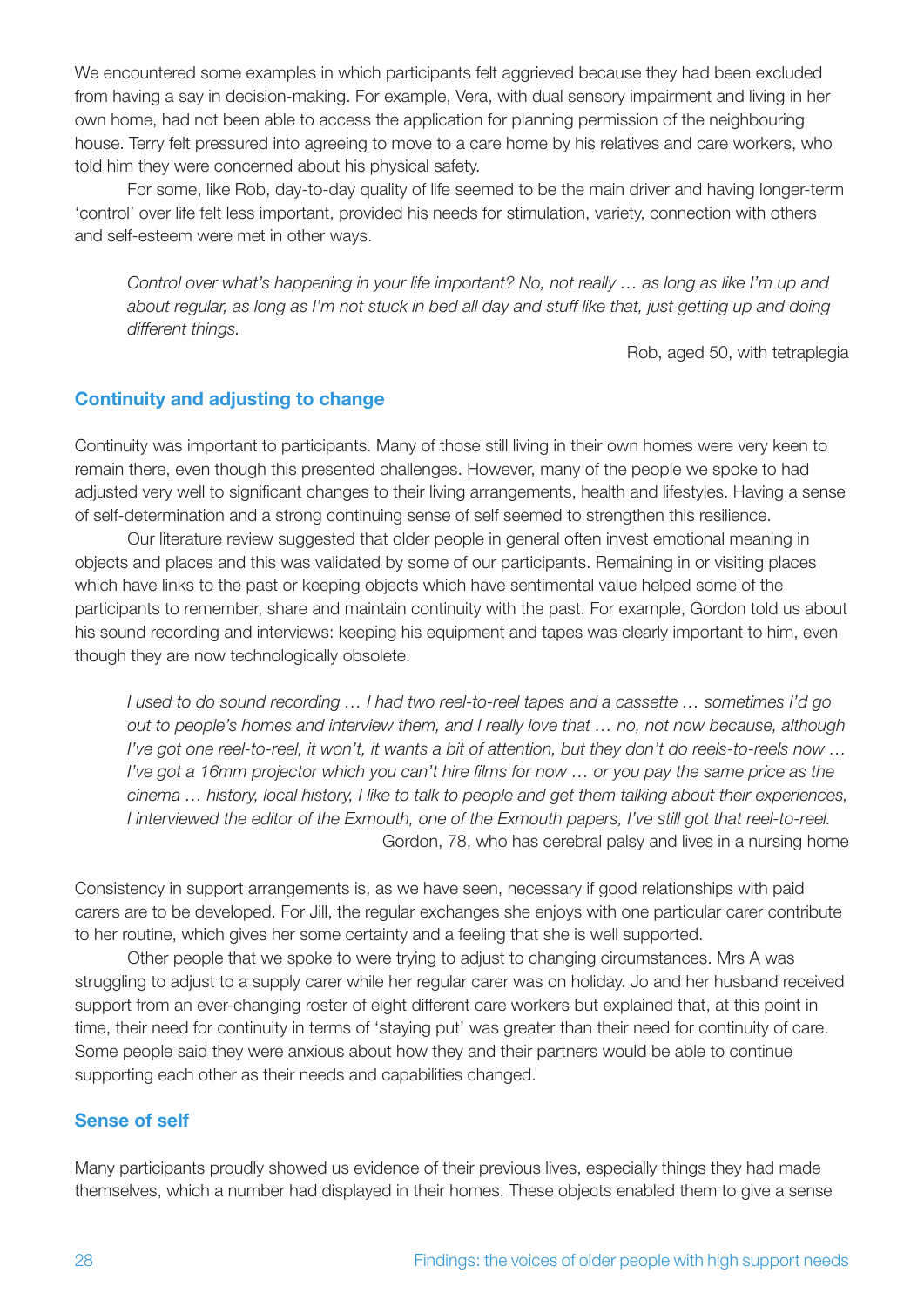We encountered some examples in which participants felt aggrieved because they had been excluded from having a say in decision-making. For example, Vera, with dual sensory impairment and living in her own home, had not been able to access the application for planning permission of the neighbouring house. Terry felt pressured into agreeing to move to a care home by his relatives and care workers, who told him they were concerned about his physical safety.

For some, like Rob, day-to-day quality of life seemed to be the main driver and having longer-term 'control' over life felt less important, provided his needs for stimulation, variety, connection with others and self-esteem were met in other ways.

*Control over what's happening in your life important? No, not really … as long as like I'm up and about regular, as long as I'm not stuck in bed all day and stuff like that, just getting up and doing different things.* 

Rob, aged 50, with tetraplegia

#### **Continuity and adjusting to change**

Continuity was important to participants. Many of those still living in their own homes were very keen to remain there, even though this presented challenges. However, many of the people we spoke to had adjusted very well to significant changes to their living arrangements, health and lifestyles. Having a sense of self-determination and a strong continuing sense of self seemed to strengthen this resilience.

Our literature review suggested that older people in general often invest emotional meaning in objects and places and this was validated by some of our participants. Remaining in or visiting places which have links to the past or keeping objects which have sentimental value helped some of the participants to remember, share and maintain continuity with the past. For example, Gordon told us about his sound recording and interviews: keeping his equipment and tapes was clearly important to him, even though they are now technologically obsolete.

*I used to do sound recording … I had two reel-to-reel tapes and a cassette … sometimes I'd go out to people's homes and interview them, and I really love that … no, not now because, although I've got one reel-to-reel, it won't, it wants a bit of attention, but they don't do reels-to-reels now … I've got a 16mm projector which you can't hire films for now … or you pay the same price as the cinema … history, local history, I like to talk to people and get them talking about their experiences, I interviewed the editor of the Exmouth, one of the Exmouth papers, I've still got that reel-to-reel.* Gordon, 78, who has cerebral palsy and lives in a nursing home

Consistency in support arrangements is, as we have seen, necessary if good relationships with paid carers are to be developed. For Jill, the regular exchanges she enjoys with one particular carer contribute to her routine, which gives her some certainty and a feeling that she is well supported.

Other people that we spoke to were trying to adjust to changing circumstances. Mrs A was struggling to adjust to a supply carer while her regular carer was on holiday. Jo and her husband received support from an ever-changing roster of eight different care workers but explained that, at this point in time, their need for continuity in terms of 'staying put' was greater than their need for continuity of care. Some people said they were anxious about how they and their partners would be able to continue supporting each other as their needs and capabilities changed.

#### **Sense of self**

Many participants proudly showed us evidence of their previous lives, especially things they had made themselves, which a number had displayed in their homes. These objects enabled them to give a sense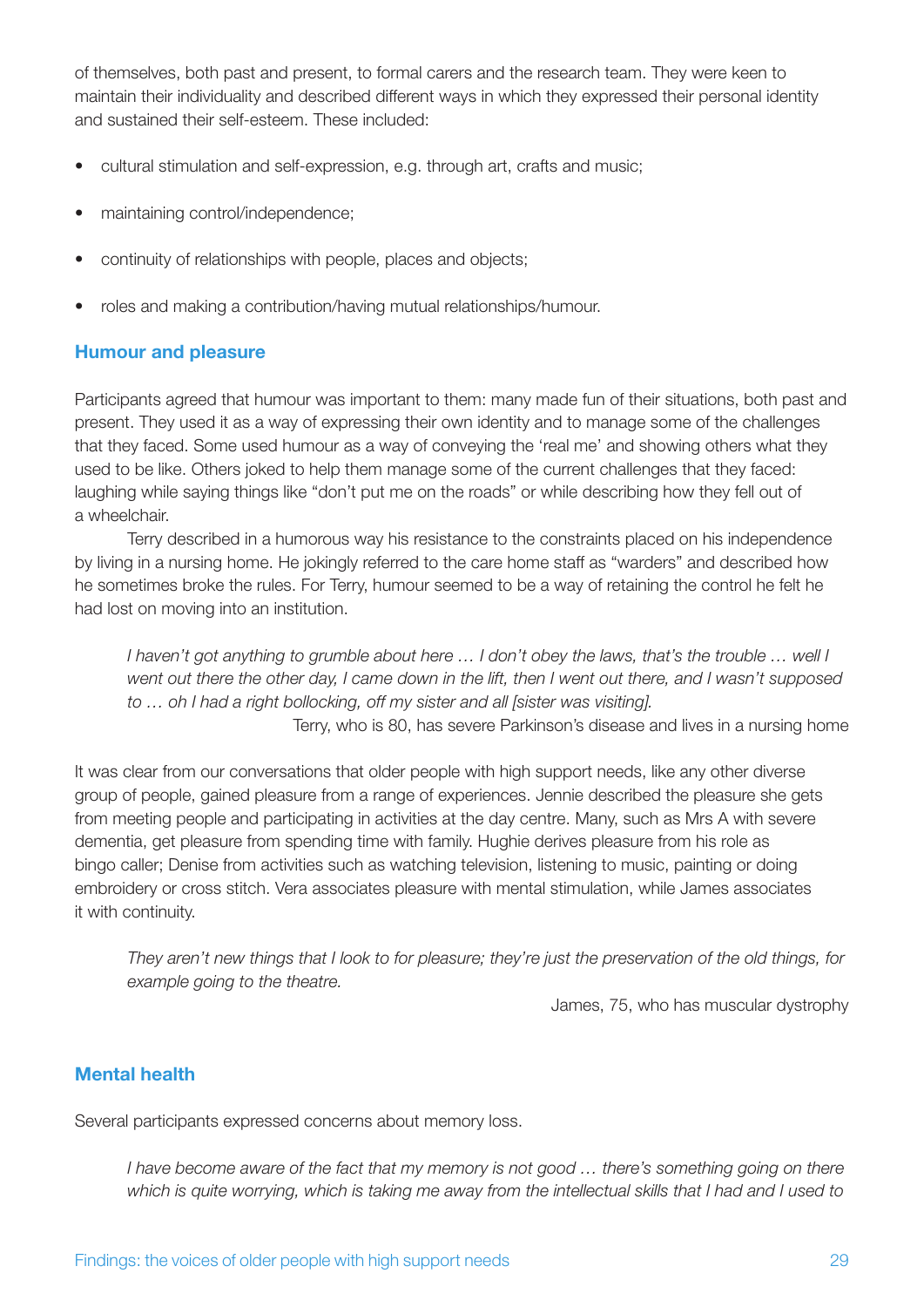of themselves, both past and present, to formal carers and the research team. They were keen to maintain their individuality and described different ways in which they expressed their personal identity and sustained their self-esteem. These included:

- cultural stimulation and self-expression, e.g. through art, crafts and music;
- maintaining control/independence;
- continuity of relationships with people, places and objects;
- roles and making a contribution/having mutual relationships/humour.

#### **Humour and pleasure**

Participants agreed that humour was important to them: many made fun of their situations, both past and present. They used it as a way of expressing their own identity and to manage some of the challenges that they faced. Some used humour as a way of conveying the 'real me' and showing others what they used to be like. Others joked to help them manage some of the current challenges that they faced: laughing while saying things like "don't put me on the roads" or while describing how they fell out of a wheelchair.

Terry described in a humorous way his resistance to the constraints placed on his independence by living in a nursing home. He jokingly referred to the care home staff as "warders" and described how he sometimes broke the rules. For Terry, humour seemed to be a way of retaining the control he felt he had lost on moving into an institution.

*I haven't got anything to grumble about here … I don't obey the laws, that's the trouble … well I went out there the other day, I came down in the lift, then I went out there, and I wasn't supposed to … oh I had a right bollocking, off my sister and all [sister was visiting].* Terry, who is 80, has severe Parkinson's disease and lives in a nursing home

It was clear from our conversations that older people with high support needs, like any other diverse group of people, gained pleasure from a range of experiences. Jennie described the pleasure she gets from meeting people and participating in activities at the day centre. Many, such as Mrs A with severe dementia, get pleasure from spending time with family. Hughie derives pleasure from his role as bingo caller; Denise from activities such as watching television, listening to music, painting or doing embroidery or cross stitch. Vera associates pleasure with mental stimulation, while James associates it with continuity.

*They aren't new things that I look to for pleasure; they're just the preservation of the old things, for example going to the theatre.*

James, 75, who has muscular dystrophy

#### **Mental health**

Several participants expressed concerns about memory loss.

*I have become aware of the fact that my memory is not good … there's something going on there which is quite worrying, which is taking me away from the intellectual skills that I had and I used to*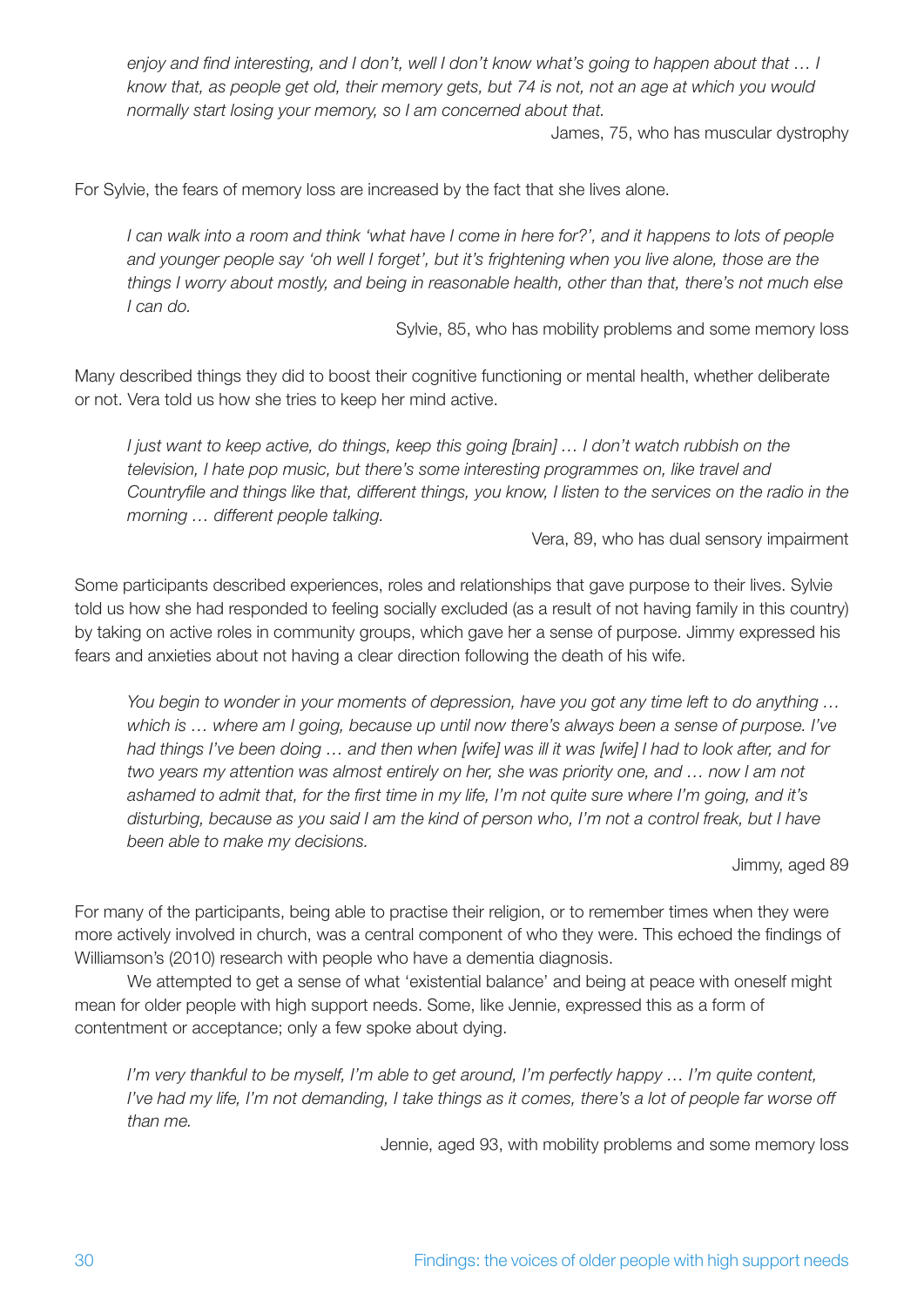*enjoy and find interesting, and I don't, well I don't know what's going to happen about that … I know that, as people get old, their memory gets, but 74 is not, not an age at which you would normally start losing your memory, so I am concerned about that.* 

James, 75, who has muscular dystrophy

For Sylvie, the fears of memory loss are increased by the fact that she lives alone.

*I can walk into a room and think 'what have I come in here for?', and it happens to lots of people and younger people say 'oh well I forget', but it's frightening when you live alone, those are the things I worry about mostly, and being in reasonable health, other than that, there's not much else I can do.*

Sylvie, 85, who has mobility problems and some memory loss

Many described things they did to boost their cognitive functioning or mental health, whether deliberate or not. Vera told us how she tries to keep her mind active.

*I just want to keep active, do things, keep this going [brain] … I don't watch rubbish on the television, I hate pop music, but there's some interesting programmes on, like travel and Countryfile and things like that, different things, you know, I listen to the services on the radio in the morning … different people talking.* 

Vera, 89, who has dual sensory impairment

Some participants described experiences, roles and relationships that gave purpose to their lives. Sylvie told us how she had responded to feeling socially excluded (as a result of not having family in this country) by taking on active roles in community groups, which gave her a sense of purpose. Jimmy expressed his fears and anxieties about not having a clear direction following the death of his wife.

*You begin to wonder in your moments of depression, have you got any time left to do anything … which is … where am I going, because up until now there's always been a sense of purpose. I've had things I've been doing … and then when [wife] was ill it was [wife] I had to look after, and for two years my attention was almost entirely on her, she was priority one, and … now I am not ashamed to admit that, for the first time in my life, I'm not quite sure where I'm going, and it's disturbing, because as you said I am the kind of person who, I'm not a control freak, but I have been able to make my decisions.*

Jimmy, aged 89

For many of the participants, being able to practise their religion, or to remember times when they were more actively involved in church, was a central component of who they were. This echoed the findings of Williamson's (2010) research with people who have a dementia diagnosis.

We attempted to get a sense of what 'existential balance' and being at peace with oneself might mean for older people with high support needs. Some, like Jennie, expressed this as a form of contentment or acceptance; only a few spoke about dying.

*I'm very thankful to be myself, I'm able to get around, I'm perfectly happy ... I'm quite content, I've had my life, I'm not demanding, I take things as it comes, there's a lot of people far worse off than me.*

Jennie, aged 93, with mobility problems and some memory loss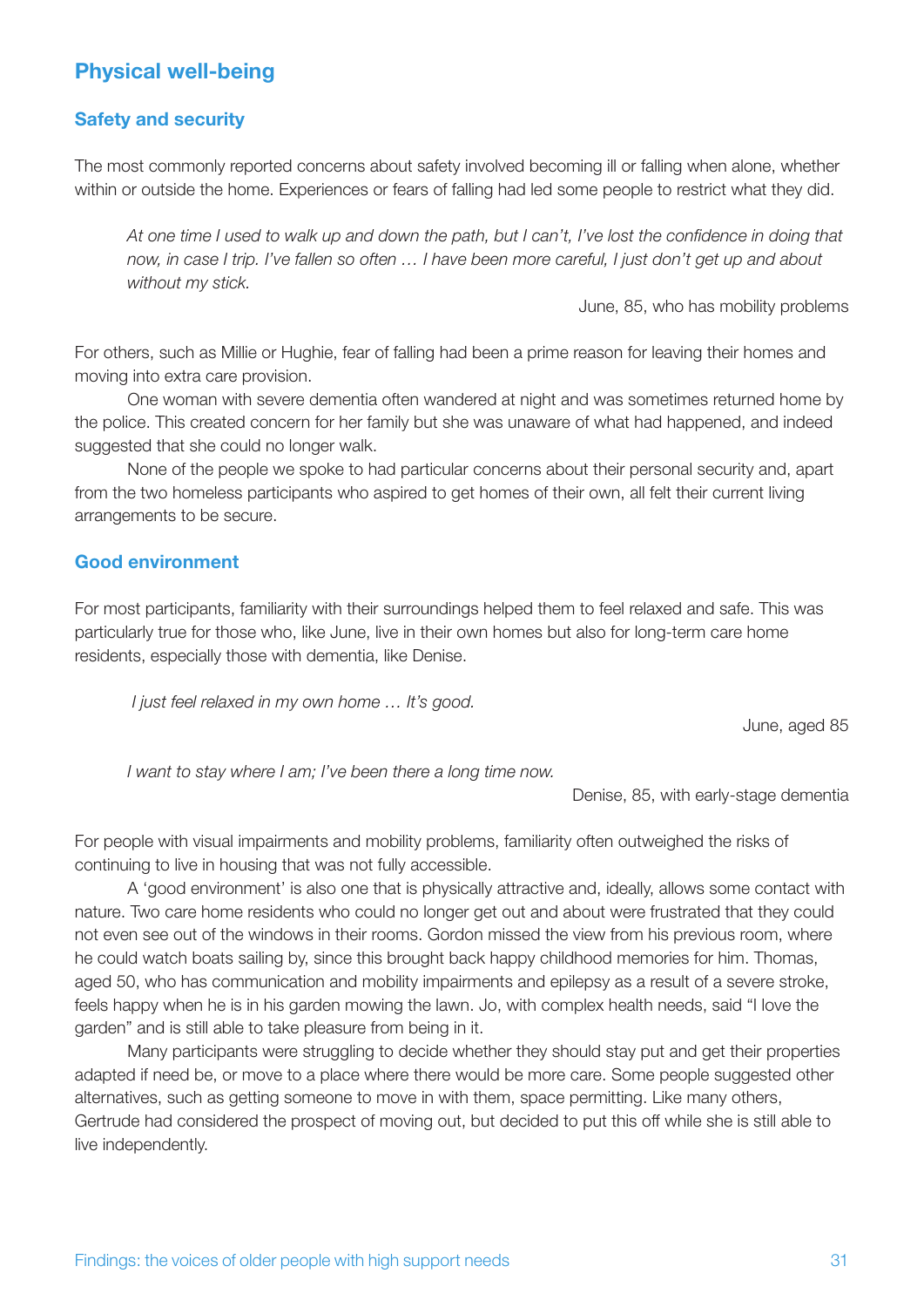## **Physical well-being**

#### **Safety and security**

The most commonly reported concerns about safety involved becoming ill or falling when alone, whether within or outside the home. Experiences or fears of falling had led some people to restrict what they did.

*At one time I used to walk up and down the path, but I can't, I've lost the confidence in doing that now, in case I trip. I've fallen so often … I have been more careful, I just don't get up and about without my stick.* 

June, 85, who has mobility problems

For others, such as Millie or Hughie, fear of falling had been a prime reason for leaving their homes and moving into extra care provision.

One woman with severe dementia often wandered at night and was sometimes returned home by the police. This created concern for her family but she was unaware of what had happened, and indeed suggested that she could no longer walk.

None of the people we spoke to had particular concerns about their personal security and, apart from the two homeless participants who aspired to get homes of their own, all felt their current living arrangements to be secure.

#### **Good environment**

For most participants, familiarity with their surroundings helped them to feel relaxed and safe. This was particularly true for those who, like June, live in their own homes but also for long-term care home residents, especially those with dementia, like Denise.

 *I just feel relaxed in my own home … It's good.*

June, aged 85

*I want to stay where I am; I've been there a long time now.* 

Denise, 85, with early-stage dementia

For people with visual impairments and mobility problems, familiarity often outweighed the risks of continuing to live in housing that was not fully accessible.

A 'good environment' is also one that is physically attractive and, ideally, allows some contact with nature. Two care home residents who could no longer get out and about were frustrated that they could not even see out of the windows in their rooms. Gordon missed the view from his previous room, where he could watch boats sailing by, since this brought back happy childhood memories for him. Thomas, aged 50, who has communication and mobility impairments and epilepsy as a result of a severe stroke, feels happy when he is in his garden mowing the lawn. Jo, with complex health needs, said "I love the garden" and is still able to take pleasure from being in it.

Many participants were struggling to decide whether they should stay put and get their properties adapted if need be, or move to a place where there would be more care. Some people suggested other alternatives, such as getting someone to move in with them, space permitting. Like many others, Gertrude had considered the prospect of moving out, but decided to put this off while she is still able to live independently.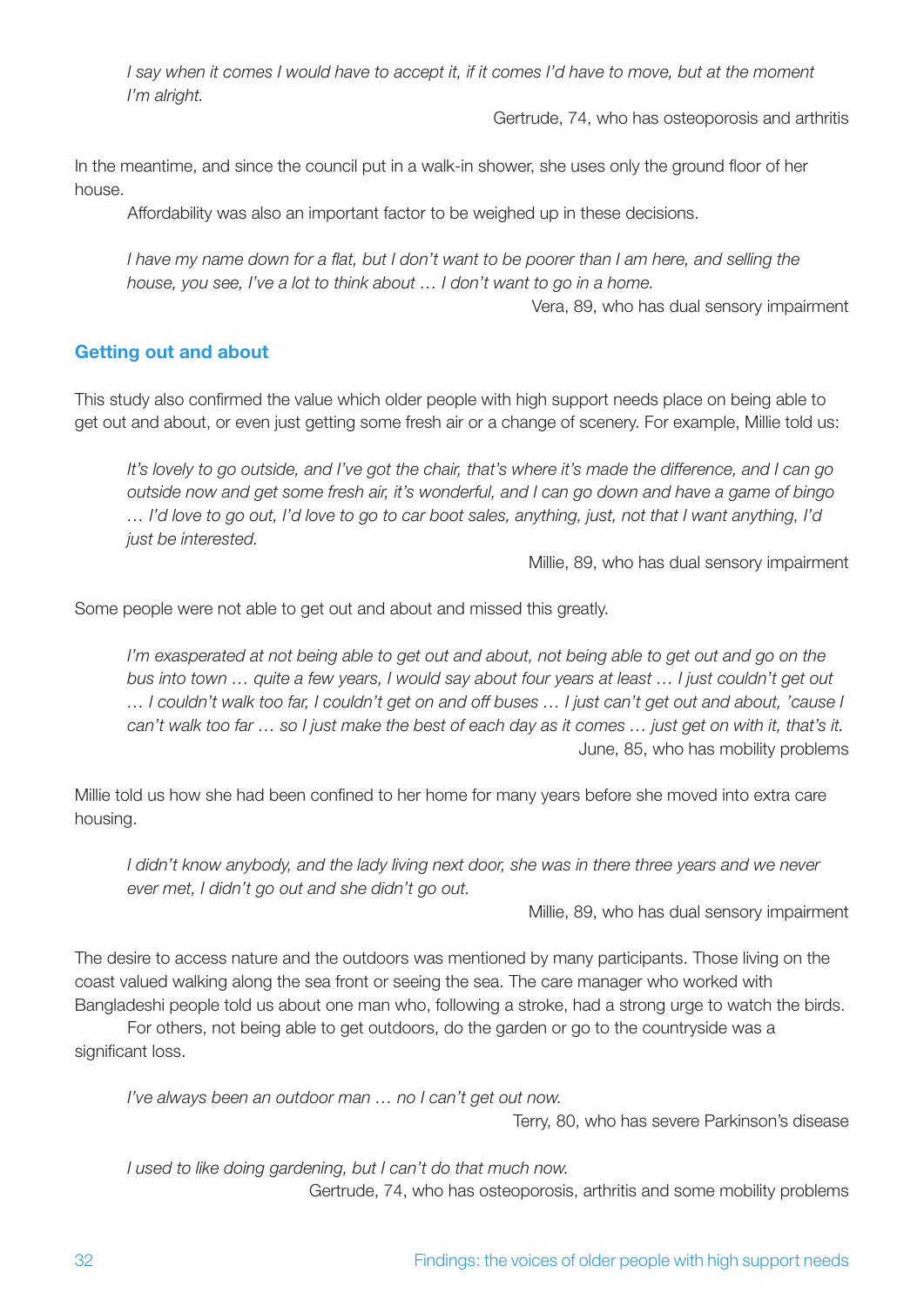*I say when it comes I would have to accept it, if it comes I'd have to move, but at the moment I'm alright.* 

Gertrude, 74, who has osteoporosis and arthritis

In the meantime, and since the council put in a walk-in shower, she uses only the ground floor of her house.

Affordability was also an important factor to be weighed up in these decisions.

*I have my name down for a flat, but I don't want to be poorer than I am here, and selling the house, you see, I've a lot to think about … I don't want to go in a home.* 

Vera, 89, who has dual sensory impairment

#### **Getting out and about**

This study also confirmed the value which older people with high support needs place on being able to get out and about, or even just getting some fresh air or a change of scenery. For example, Millie told us:

*It's lovely to go outside, and I've got the chair, that's where it's made the difference, and I can go outside now and get some fresh air, it's wonderful, and I can go down and have a game of bingo … I'd love to go out, I'd love to go to car boot sales, anything, just, not that I want anything, I'd just be interested.* 

Millie, 89, who has dual sensory impairment

Some people were not able to get out and about and missed this greatly.

*I'm exasperated at not being able to get out and about, not being able to get out and go on the bus into town … quite a few years, I would say about four years at least … I just couldn't get out … I couldn't walk too far, I couldn't get on and off buses … I just can't get out and about, 'cause I can't walk too far … so I just make the best of each day as it comes … just get on with it, that's it.* June, 85, who has mobility problems

Millie told us how she had been confined to her home for many years before she moved into extra care housing.

*I didn't know anybody, and the lady living next door, she was in there three years and we never ever met, I didn't go out and she didn't go out.*

Millie, 89, who has dual sensory impairment

The desire to access nature and the outdoors was mentioned by many participants. Those living on the coast valued walking along the sea front or seeing the sea. The care manager who worked with Bangladeshi people told us about one man who, following a stroke, had a strong urge to watch the birds.

For others, not being able to get outdoors, do the garden or go to the countryside was a significant loss.

*I've always been an outdoor man … no I can't get out now.*

Terry, 80, who has severe Parkinson's disease

*I used to like doing gardening, but I can't do that much now.* Gertrude, 74, who has osteoporosis, arthritis and some mobility problems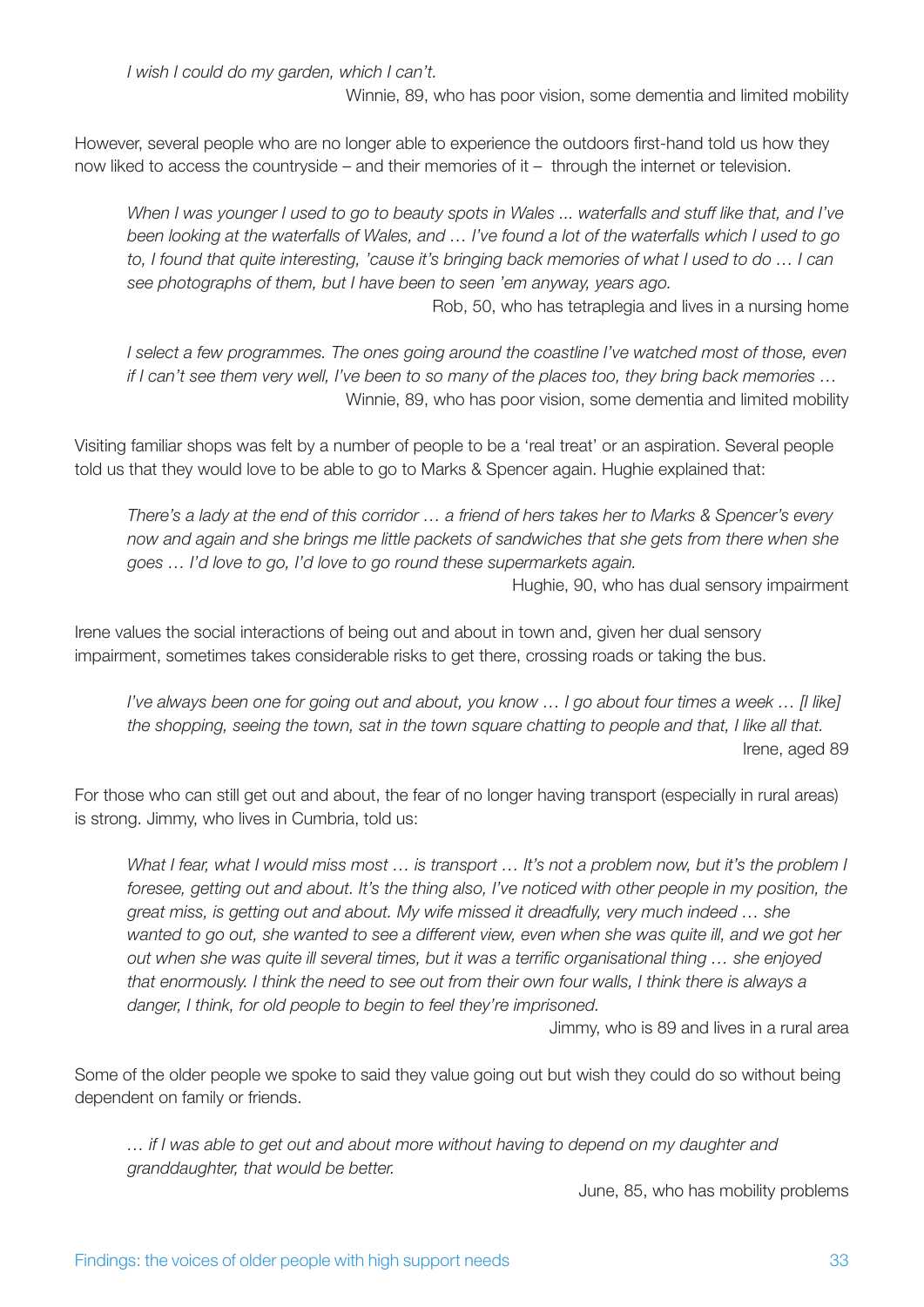*I wish I could do my garden, which I can't.*

Winnie, 89, who has poor vision, some dementia and limited mobility

However, several people who are no longer able to experience the outdoors first-hand told us how they now liked to access the countryside – and their memories of it – through the internet or television.

*When I was younger I used to go to beauty spots in Wales ... waterfalls and stuff like that, and I've been looking at the waterfalls of Wales, and … I've found a lot of the waterfalls which I used to go to, I found that quite interesting, 'cause it's bringing back memories of what I used to do … I can see photographs of them, but I have been to seen 'em anyway, years ago.*

Rob, 50, who has tetraplegia and lives in a nursing home

*I select a few programmes. The ones going around the coastline I've watched most of those, even if I can't see them very well, I've been to so many of the places too, they bring back memories …*  Winnie, 89, who has poor vision, some dementia and limited mobility

Visiting familiar shops was felt by a number of people to be a 'real treat' or an aspiration. Several people told us that they would love to be able to go to Marks & Spencer again. Hughie explained that:

*There's a lady at the end of this corridor … a friend of hers takes her to Marks & Spencer's every now and again and she brings me little packets of sandwiches that she gets from there when she goes … I'd love to go, I'd love to go round these supermarkets again.*

Hughie, 90, who has dual sensory impairment

Irene values the social interactions of being out and about in town and, given her dual sensory impairment, sometimes takes considerable risks to get there, crossing roads or taking the bus.

*I've always been one for going out and about, you know ... I go about four times a week ... [I like] the shopping, seeing the town, sat in the town square chatting to people and that, I like all that.* Irene, aged 89

For those who can still get out and about, the fear of no longer having transport (especially in rural areas) is strong. Jimmy, who lives in Cumbria, told us:

*What I fear, what I would miss most … is transport … It's not a problem now, but it's the problem I foresee, getting out and about. It's the thing also, I've noticed with other people in my position, the great miss, is getting out and about. My wife missed it dreadfully, very much indeed … she*  wanted to go out, she wanted to see a different view, even when she was quite ill, and we got her *out when she was quite ill several times, but it was a terrific organisational thing … she enjoyed that enormously. I think the need to see out from their own four walls, I think there is always a danger, I think, for old people to begin to feel they're imprisoned.*

Jimmy, who is 89 and lives in a rural area

Some of the older people we spoke to said they value going out but wish they could do so without being dependent on family or friends.

*… if I was able to get out and about more without having to depend on my daughter and granddaughter, that would be better.*

June, 85, who has mobility problems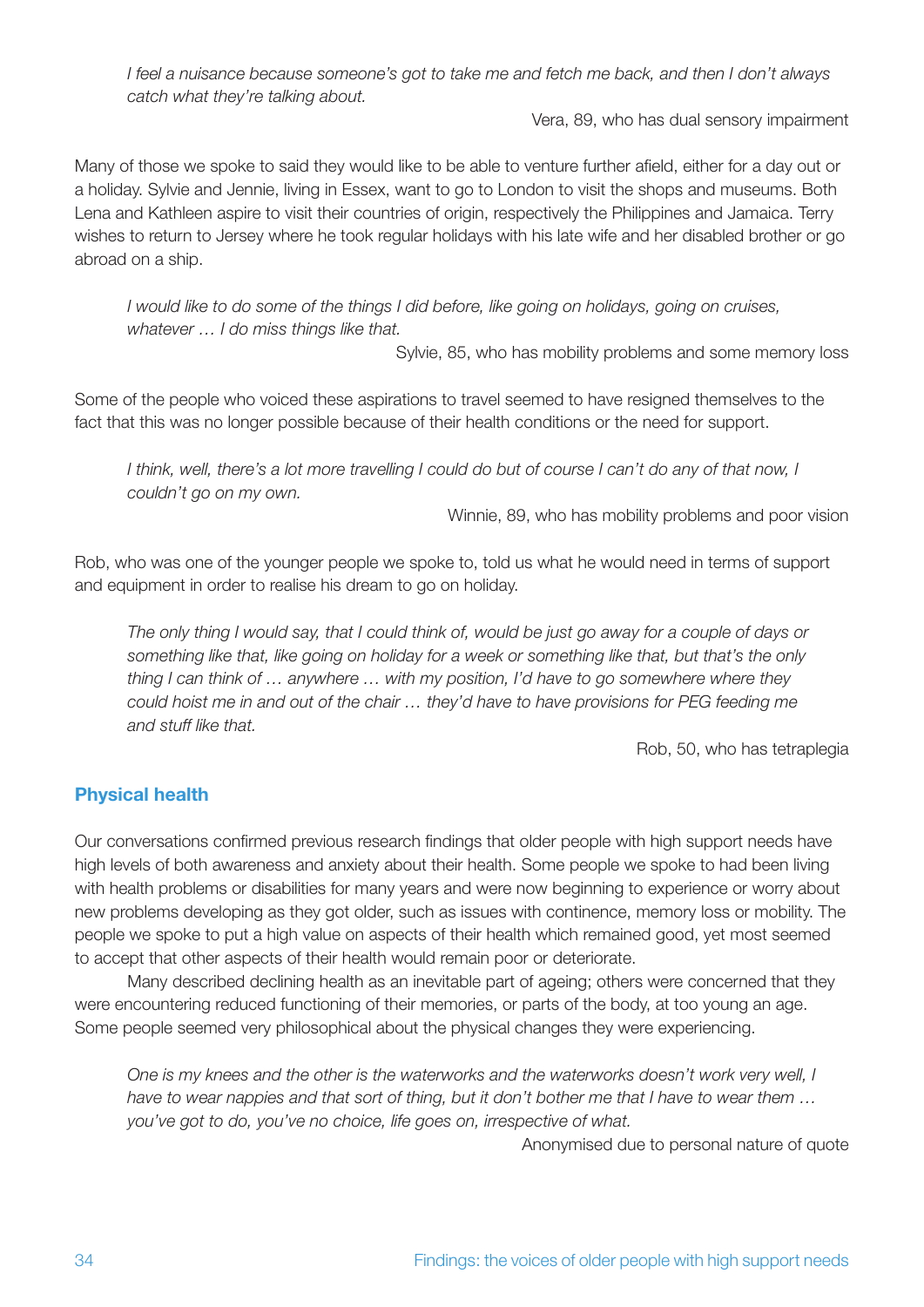*I feel a nuisance because someone's got to take me and fetch me back, and then I don't always catch what they're talking about.*

Vera, 89, who has dual sensory impairment

Many of those we spoke to said they would like to be able to venture further afield, either for a day out or a holiday. Sylvie and Jennie, living in Essex, want to go to London to visit the shops and museums. Both Lena and Kathleen aspire to visit their countries of origin, respectively the Philippines and Jamaica. Terry wishes to return to Jersey where he took regular holidays with his late wife and her disabled brother or go abroad on a ship.

*I would like to do some of the things I did before, like going on holidays, going on cruises, whatever … I do miss things like that.* 

Sylvie, 85, who has mobility problems and some memory loss

Some of the people who voiced these aspirations to travel seemed to have resigned themselves to the fact that this was no longer possible because of their health conditions or the need for support.

*I think, well, there's a lot more travelling I could do but of course I can't do any of that now, I couldn't go on my own.*

Winnie, 89, who has mobility problems and poor vision

Rob, who was one of the younger people we spoke to, told us what he would need in terms of support and equipment in order to realise his dream to go on holiday.

*The only thing I would say, that I could think of, would be just go away for a couple of days or something like that, like going on holiday for a week or something like that, but that's the only thing I can think of … anywhere … with my position, I'd have to go somewhere where they could hoist me in and out of the chair … they'd have to have provisions for PEG feeding me and stuff like that.*

Rob, 50, who has tetraplegia

### **Physical health**

Our conversations confirmed previous research findings that older people with high support needs have high levels of both awareness and anxiety about their health. Some people we spoke to had been living with health problems or disabilities for many years and were now beginning to experience or worry about new problems developing as they got older, such as issues with continence, memory loss or mobility. The people we spoke to put a high value on aspects of their health which remained good, yet most seemed to accept that other aspects of their health would remain poor or deteriorate.

Many described declining health as an inevitable part of ageing; others were concerned that they were encountering reduced functioning of their memories, or parts of the body, at too young an age. Some people seemed very philosophical about the physical changes they were experiencing.

*One is my knees and the other is the waterworks and the waterworks doesn't work very well, I have to wear nappies and that sort of thing, but it don't bother me that I have to wear them … you've got to do, you've no choice, life goes on, irrespective of what.*

Anonymised due to personal nature of quote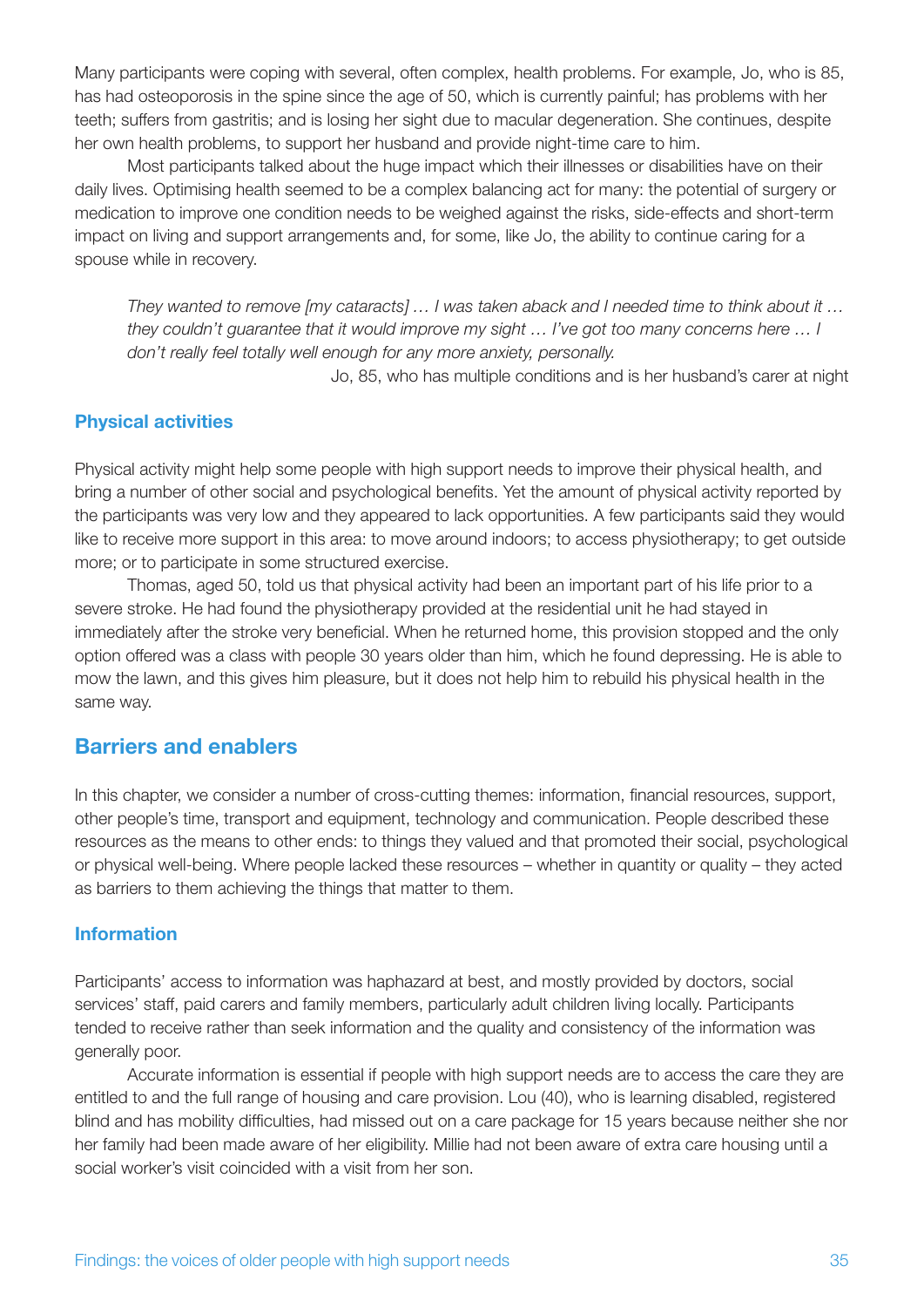Many participants were coping with several, often complex, health problems. For example, Jo, who is 85, has had osteoporosis in the spine since the age of 50, which is currently painful; has problems with her teeth; suffers from gastritis; and is losing her sight due to macular degeneration. She continues, despite her own health problems, to support her husband and provide night-time care to him.

Most participants talked about the huge impact which their illnesses or disabilities have on their daily lives. Optimising health seemed to be a complex balancing act for many: the potential of surgery or medication to improve one condition needs to be weighed against the risks, side-effects and short-term impact on living and support arrangements and, for some, like Jo, the ability to continue caring for a spouse while in recovery.

*They wanted to remove [my cataracts] … I was taken aback and I needed time to think about it … they couldn't guarantee that it would improve my sight … I've got too many concerns here … I don't really feel totally well enough for any more anxiety, personally.*

Jo, 85, who has multiple conditions and is her husband's carer at night

#### **Physical activities**

Physical activity might help some people with high support needs to improve their physical health, and bring a number of other social and psychological benefits. Yet the amount of physical activity reported by the participants was very low and they appeared to lack opportunities. A few participants said they would like to receive more support in this area: to move around indoors; to access physiotherapy; to get outside more; or to participate in some structured exercise.

Thomas, aged 50, told us that physical activity had been an important part of his life prior to a severe stroke. He had found the physiotherapy provided at the residential unit he had stayed in immediately after the stroke very beneficial. When he returned home, this provision stopped and the only option offered was a class with people 30 years older than him, which he found depressing. He is able to mow the lawn, and this gives him pleasure, but it does not help him to rebuild his physical health in the same way.

### **Barriers and enablers**

In this chapter, we consider a number of cross-cutting themes: information, financial resources, support, other people's time, transport and equipment, technology and communication. People described these resources as the means to other ends: to things they valued and that promoted their social, psychological or physical well-being. Where people lacked these resources – whether in quantity or quality – they acted as barriers to them achieving the things that matter to them.

#### **Information**

Participants' access to information was haphazard at best, and mostly provided by doctors, social services' staff, paid carers and family members, particularly adult children living locally. Participants tended to receive rather than seek information and the quality and consistency of the information was generally poor.

Accurate information is essential if people with high support needs are to access the care they are entitled to and the full range of housing and care provision. Lou (40), who is learning disabled, registered blind and has mobility difficulties, had missed out on a care package for 15 years because neither she nor her family had been made aware of her eligibility. Millie had not been aware of extra care housing until a social worker's visit coincided with a visit from her son.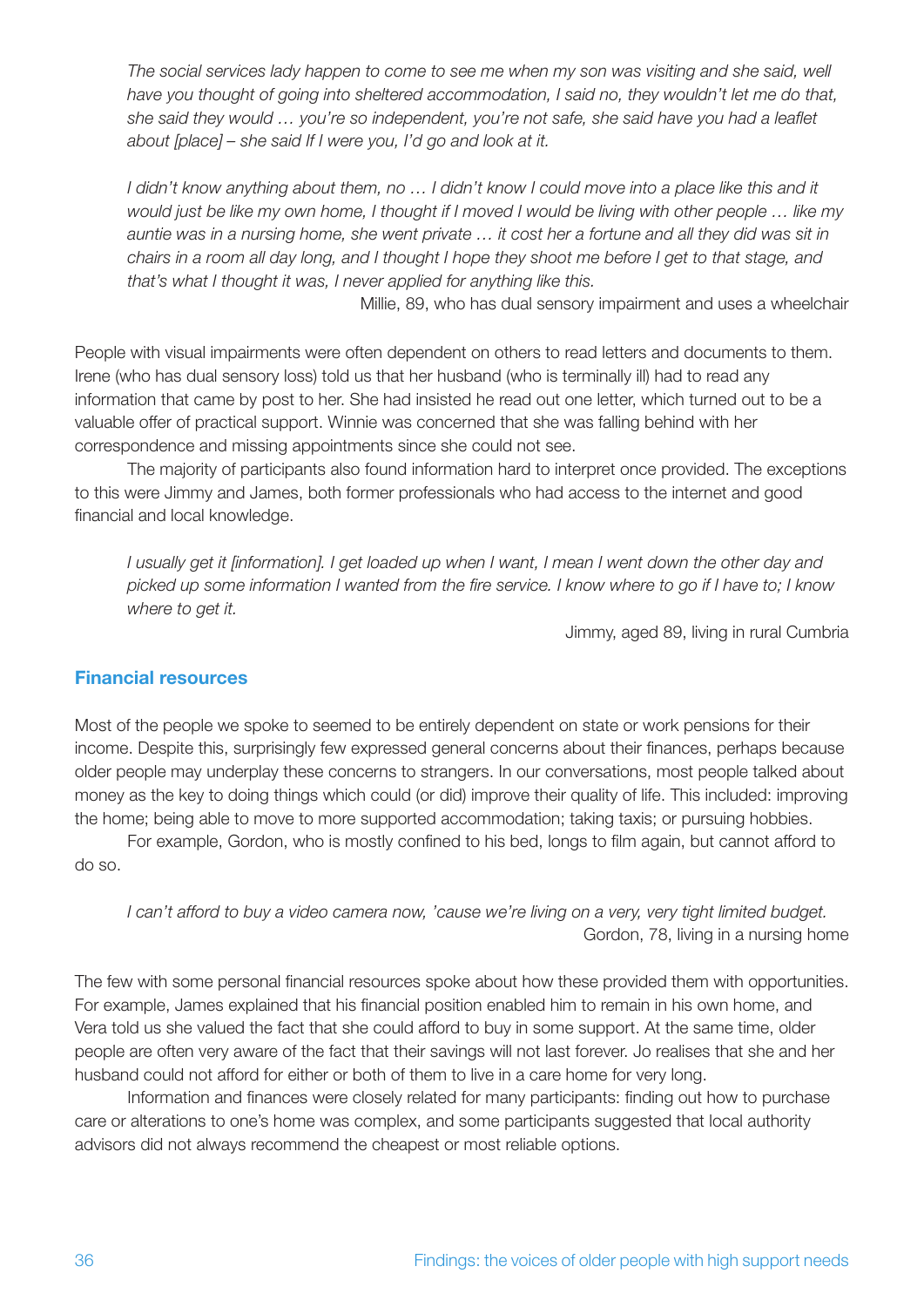The social services lady happen to come to see me when my son was visiting and she said, well *have you thought of going into sheltered accommodation, I said no, they wouldn't let me do that, she said they would … you're so independent, you're not safe, she said have you had a leaflet about [place] – she said If I were you, I'd go and look at it.* 

I didn't know anything about them, no ... I didn't know I could move into a place like this and it *would just be like my own home, I thought if I moved I would be living with other people … like my auntie was in a nursing home, she went private … it cost her a fortune and all they did was sit in chairs in a room all day long, and I thought I hope they shoot me before I get to that stage, and that's what I thought it was, I never applied for anything like this.*

Millie, 89, who has dual sensory impairment and uses a wheelchair

People with visual impairments were often dependent on others to read letters and documents to them. Irene (who has dual sensory loss) told us that her husband (who is terminally ill) had to read any information that came by post to her. She had insisted he read out one letter, which turned out to be a valuable offer of practical support. Winnie was concerned that she was falling behind with her correspondence and missing appointments since she could not see.

The majority of participants also found information hard to interpret once provided. The exceptions to this were Jimmy and James, both former professionals who had access to the internet and good financial and local knowledge.

*I usually get it [information]. I get loaded up when I want, I mean I went down the other day and picked up some information I wanted from the fire service. I know where to go if I have to; I know where to get it.*

Jimmy, aged 89, living in rural Cumbria

#### **Financial resources**

Most of the people we spoke to seemed to be entirely dependent on state or work pensions for their income. Despite this, surprisingly few expressed general concerns about their finances, perhaps because older people may underplay these concerns to strangers. In our conversations, most people talked about money as the key to doing things which could (or did) improve their quality of life. This included: improving the home; being able to move to more supported accommodation; taking taxis; or pursuing hobbies.

For example, Gordon, who is mostly confined to his bed, longs to film again, but cannot afford to do so.

*I can't afford to buy a video camera now, 'cause we're living on a very, very tight limited budget.* Gordon, 78, living in a nursing home

The few with some personal financial resources spoke about how these provided them with opportunities. For example, James explained that his financial position enabled him to remain in his own home, and Vera told us she valued the fact that she could afford to buy in some support. At the same time, older people are often very aware of the fact that their savings will not last forever. Jo realises that she and her husband could not afford for either or both of them to live in a care home for very long.

Information and finances were closely related for many participants: finding out how to purchase care or alterations to one's home was complex, and some participants suggested that local authority advisors did not always recommend the cheapest or most reliable options.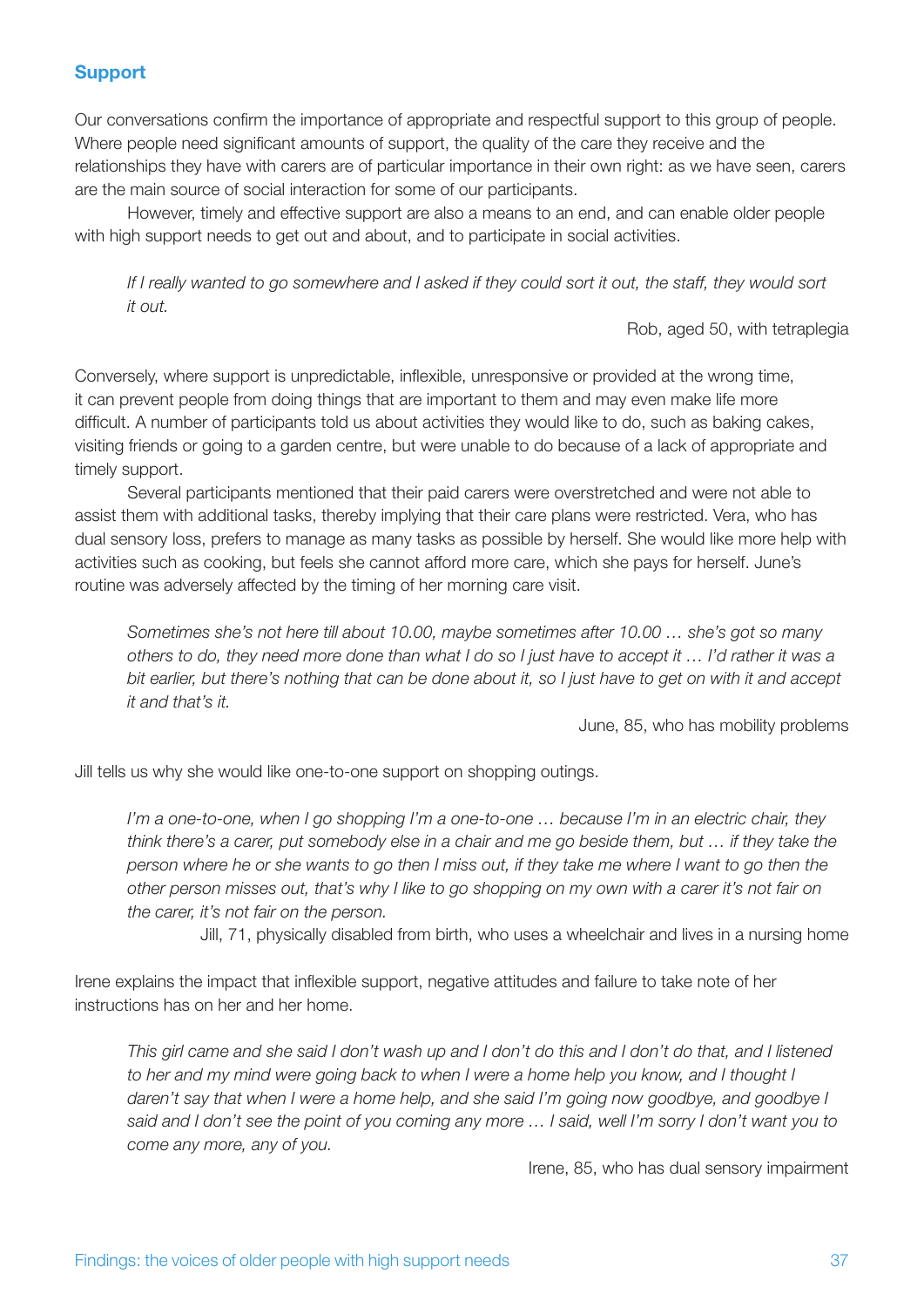#### **Support**

Our conversations confirm the importance of appropriate and respectful support to this group of people. Where people need significant amounts of support, the quality of the care they receive and the relationships they have with carers are of particular importance in their own right: as we have seen, carers are the main source of social interaction for some of our participants.

However, timely and effective support are also a means to an end, and can enable older people with high support needs to get out and about, and to participate in social activities.

*If I really wanted to go somewhere and I asked if they could sort it out, the staff, they would sort it out.* 

Rob, aged 50, with tetraplegia

Conversely, where support is unpredictable, inflexible, unresponsive or provided at the wrong time, it can prevent people from doing things that are important to them and may even make life more difficult. A number of participants told us about activities they would like to do, such as baking cakes, visiting friends or going to a garden centre, but were unable to do because of a lack of appropriate and timely support.

Several participants mentioned that their paid carers were overstretched and were not able to assist them with additional tasks, thereby implying that their care plans were restricted. Vera, who has dual sensory loss, prefers to manage as many tasks as possible by herself. She would like more help with activities such as cooking, but feels she cannot afford more care, which she pays for herself. June's routine was adversely affected by the timing of her morning care visit.

*Sometimes she's not here till about 10.00, maybe sometimes after 10.00 … she's got so many others to do, they need more done than what I do so I just have to accept it … I'd rather it was a bit earlier, but there's nothing that can be done about it, so I just have to get on with it and accept it and that's it.*

June, 85, who has mobility problems

Jill tells us why she would like one-to-one support on shopping outings.

*I'm a one-to-one, when I go shopping I'm a one-to-one … because I'm in an electric chair, they think there's a carer, put somebody else in a chair and me go beside them, but … if they take the person where he or she wants to go then I miss out, if they take me where I want to go then the other person misses out, that's why I like to go shopping on my own with a carer it's not fair on the carer, it's not fair on the person.*

Jill, 71, physically disabled from birth, who uses a wheelchair and lives in a nursing home

Irene explains the impact that inflexible support, negative attitudes and failure to take note of her instructions has on her and her home.

*This girl came and she said I don't wash up and I don't do this and I don't do that, and I listened to her and my mind were going back to when I were a home help you know, and I thought I daren't say that when I were a home help, and she said I'm going now goodbye, and goodbye I said and I don't see the point of you coming any more … I said, well I'm sorry I don't want you to come any more, any of you.*

Irene, 85, who has dual sensory impairment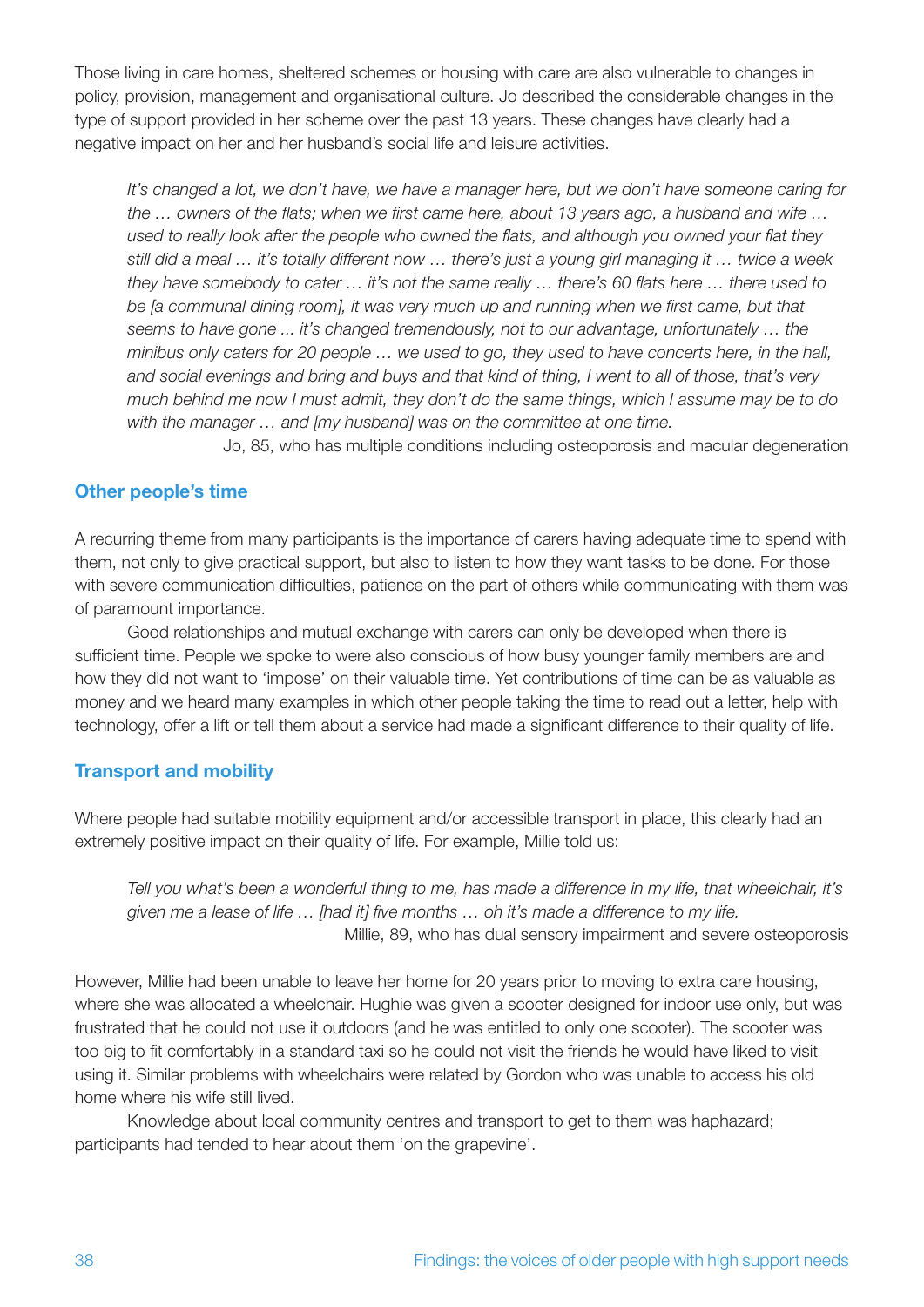Those living in care homes, sheltered schemes or housing with care are also vulnerable to changes in policy, provision, management and organisational culture. Jo described the considerable changes in the type of support provided in her scheme over the past 13 years. These changes have clearly had a negative impact on her and her husband's social life and leisure activities.

*It's changed a lot, we don't have, we have a manager here, but we don't have someone caring for the … owners of the flats; when we first came here, about 13 years ago, a husband and wife … used to really look after the people who owned the flats, and although you owned your flat they still did a meal … it's totally different now … there's just a young girl managing it … twice a week they have somebody to cater … it's not the same really … there's 60 flats here … there used to be [a communal dining room], it was very much up and running when we first came, but that seems to have gone ... it's changed tremendously, not to our advantage, unfortunately … the minibus only caters for 20 people … we used to go, they used to have concerts here, in the hall, and social evenings and bring and buys and that kind of thing, I went to all of those, that's very much behind me now I must admit, they don't do the same things, which I assume may be to do with the manager … and [my husband] was on the committee at one time.*

Jo, 85, who has multiple conditions including osteoporosis and macular degeneration

#### **Other people's time**

A recurring theme from many participants is the importance of carers having adequate time to spend with them, not only to give practical support, but also to listen to how they want tasks to be done. For those with severe communication difficulties, patience on the part of others while communicating with them was of paramount importance.

Good relationships and mutual exchange with carers can only be developed when there is sufficient time. People we spoke to were also conscious of how busy younger family members are and how they did not want to 'impose' on their valuable time. Yet contributions of time can be as valuable as money and we heard many examples in which other people taking the time to read out a letter, help with technology, offer a lift or tell them about a service had made a significant difference to their quality of life.

#### **Transport and mobility**

Where people had suitable mobility equipment and/or accessible transport in place, this clearly had an extremely positive impact on their quality of life. For example, Millie told us:

*Tell you what's been a wonderful thing to me, has made a difference in my life, that wheelchair, it's given me a lease of life … [had it] five months … oh it's made a difference to my life.* Millie, 89, who has dual sensory impairment and severe osteoporosis

However, Millie had been unable to leave her home for 20 years prior to moving to extra care housing, where she was allocated a wheelchair. Hughie was given a scooter designed for indoor use only, but was frustrated that he could not use it outdoors (and he was entitled to only one scooter). The scooter was too big to fit comfortably in a standard taxi so he could not visit the friends he would have liked to visit using it. Similar problems with wheelchairs were related by Gordon who was unable to access his old home where his wife still lived.

Knowledge about local community centres and transport to get to them was haphazard; participants had tended to hear about them 'on the grapevine'.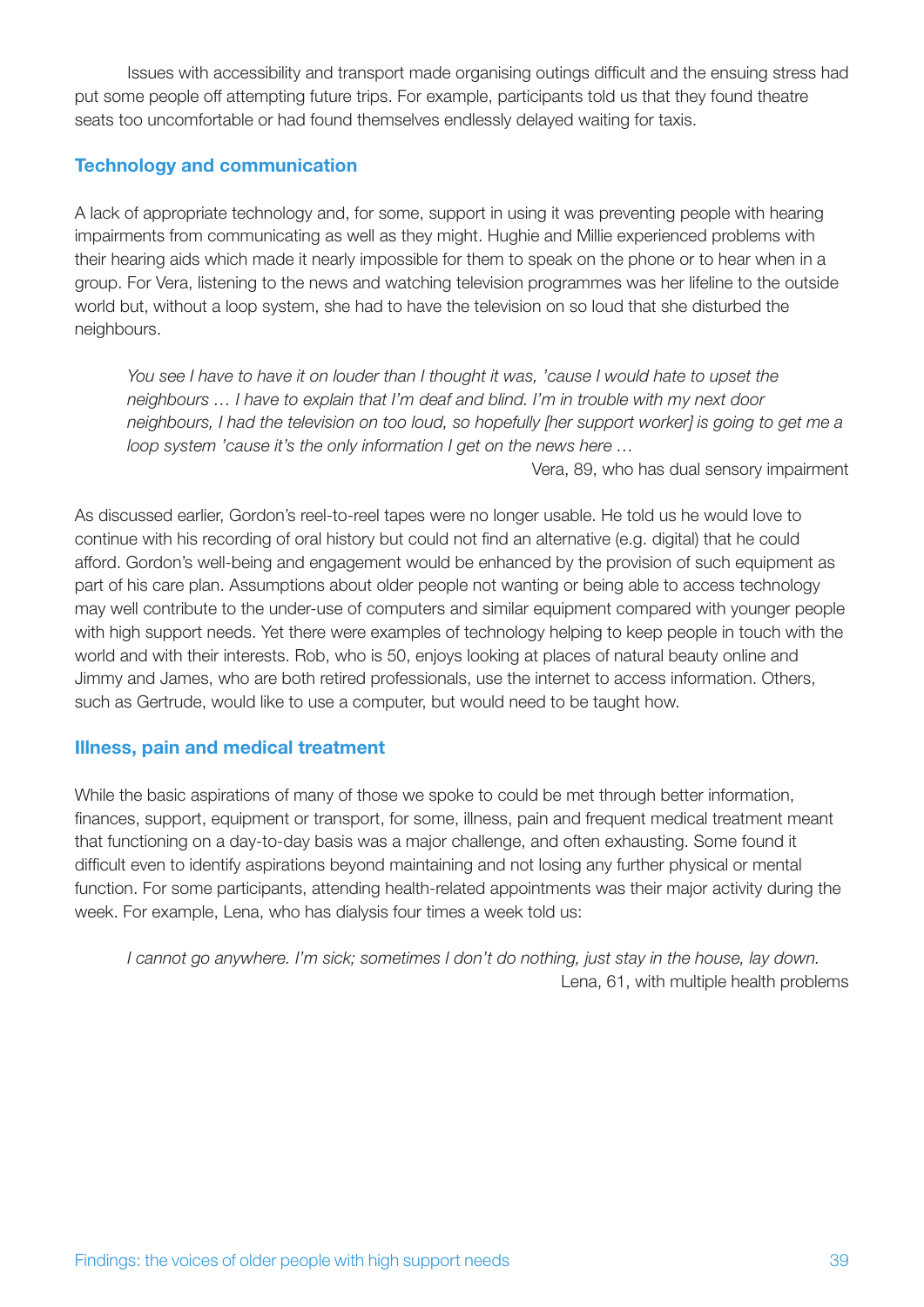Issues with accessibility and transport made organising outings difficult and the ensuing stress had put some people off attempting future trips. For example, participants told us that they found theatre seats too uncomfortable or had found themselves endlessly delayed waiting for taxis.

#### **Technology and communication**

A lack of appropriate technology and, for some, support in using it was preventing people with hearing impairments from communicating as well as they might. Hughie and Millie experienced problems with their hearing aids which made it nearly impossible for them to speak on the phone or to hear when in a group. For Vera, listening to the news and watching television programmes was her lifeline to the outside world but, without a loop system, she had to have the television on so loud that she disturbed the neighbours.

You see I have to have it on louder than I thought it was, 'cause I would hate to upset the *neighbours … I have to explain that I'm deaf and blind. I'm in trouble with my next door neighbours, I had the television on too loud, so hopefully [her support worker] is going to get me a loop system 'cause it's the only information I get on the news here …*

Vera, 89, who has dual sensory impairment

As discussed earlier, Gordon's reel-to-reel tapes were no longer usable. He told us he would love to continue with his recording of oral history but could not find an alternative (e.g. digital) that he could afford. Gordon's well-being and engagement would be enhanced by the provision of such equipment as part of his care plan. Assumptions about older people not wanting or being able to access technology may well contribute to the under-use of computers and similar equipment compared with younger people with high support needs. Yet there were examples of technology helping to keep people in touch with the world and with their interests. Rob, who is 50, enjoys looking at places of natural beauty online and Jimmy and James, who are both retired professionals, use the internet to access information. Others, such as Gertrude, would like to use a computer, but would need to be taught how.

#### **Illness, pain and medical treatment**

While the basic aspirations of many of those we spoke to could be met through better information, finances, support, equipment or transport, for some, illness, pain and frequent medical treatment meant that functioning on a day-to-day basis was a major challenge, and often exhausting. Some found it difficult even to identify aspirations beyond maintaining and not losing any further physical or mental function. For some participants, attending health-related appointments was their major activity during the week. For example, Lena, who has dialysis four times a week told us:

*I cannot go anywhere. I'm sick; sometimes I don't do nothing, just stay in the house, lay down.*  Lena, 61, with multiple health problems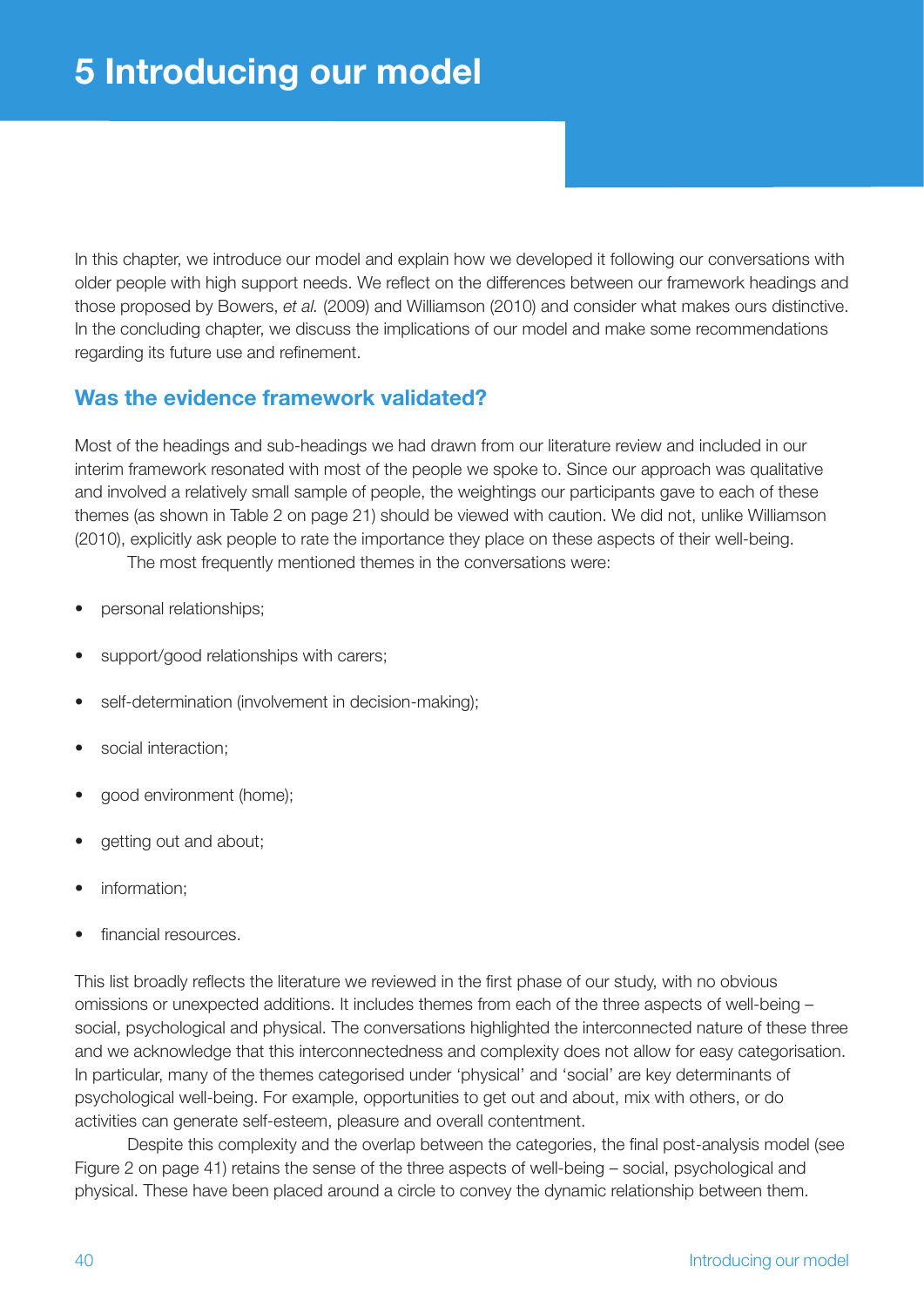In this chapter, we introduce our model and explain how we developed it following our conversations with older people with high support needs. We reflect on the differences between our framework headings and those proposed by Bowers, *et al.* (2009) and Williamson (2010) and consider what makes ours distinctive. In the concluding chapter, we discuss the implications of our model and make some recommendations regarding its future use and refinement.

## **Was the evidence framework validated?**

Most of the headings and sub-headings we had drawn from our literature review and included in our interim framework resonated with most of the people we spoke to. Since our approach was qualitative and involved a relatively small sample of people, the weightings our participants gave to each of these themes (as shown in Table 2 on page 21) should be viewed with caution. We did not, unlike Williamson (2010), explicitly ask people to rate the importance they place on these aspects of their well-being.

The most frequently mentioned themes in the conversations were:

- personal relationships:
- support/good relationships with carers:
- self-determination (involvement in decision-making);
- social interaction;
- good environment (home);
- getting out and about:
- information:
- financial resources.

This list broadly reflects the literature we reviewed in the first phase of our study, with no obvious omissions or unexpected additions. It includes themes from each of the three aspects of well-being – social, psychological and physical. The conversations highlighted the interconnected nature of these three and we acknowledge that this interconnectedness and complexity does not allow for easy categorisation. In particular, many of the themes categorised under 'physical' and 'social' are key determinants of psychological well-being. For example, opportunities to get out and about, mix with others, or do activities can generate self-esteem, pleasure and overall contentment.

Despite this complexity and the overlap between the categories, the final post-analysis model (see Figure 2 on page 41) retains the sense of the three aspects of well-being – social, psychological and physical. These have been placed around a circle to convey the dynamic relationship between them.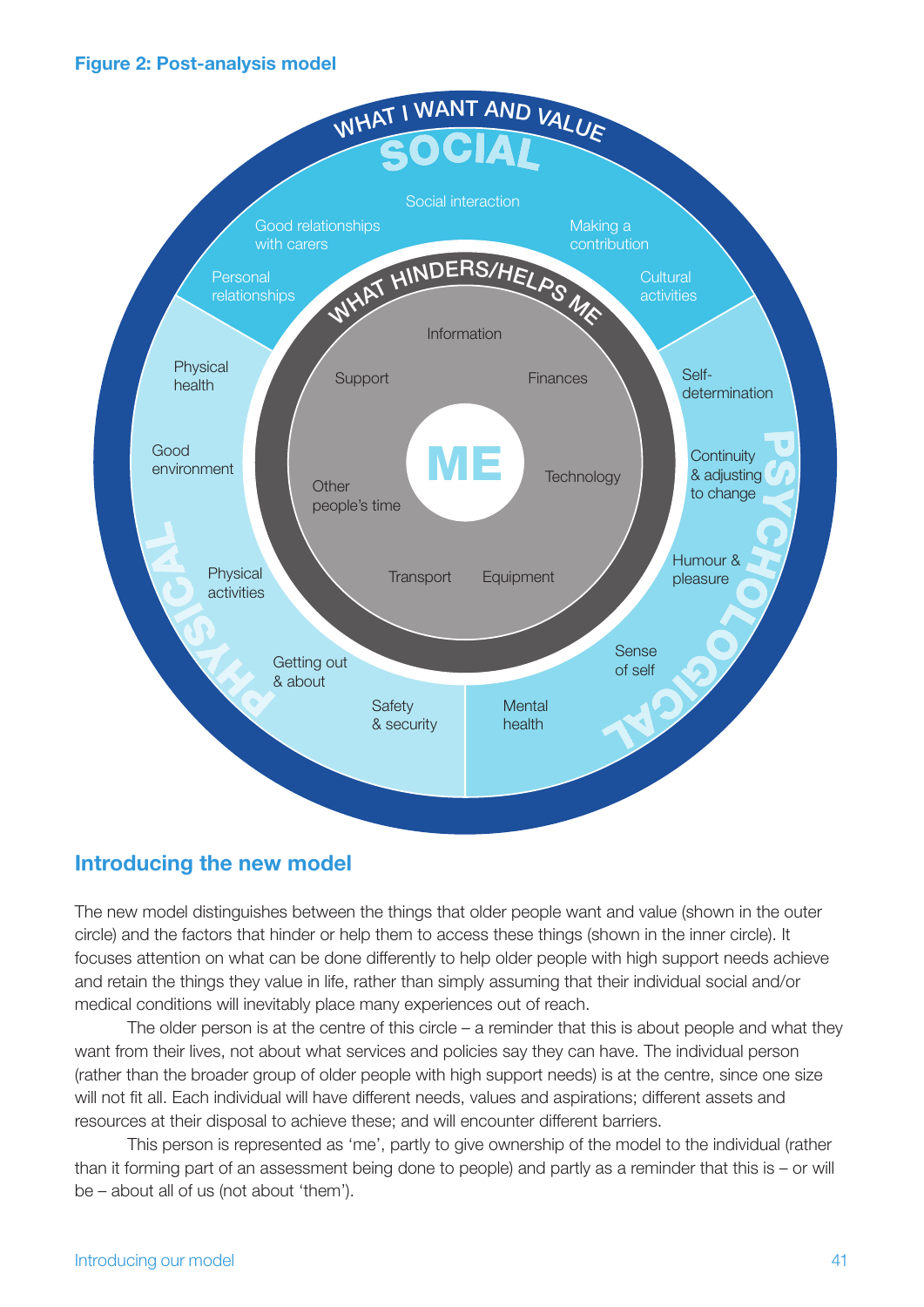#### **Figure 2: Post-analysis model**



### **Introducing the new model**

The new model distinguishes between the things that older people want and value (shown in the outer circle) and the factors that hinder or help them to access these things (shown in the inner circle). It focuses attention on what can be done differently to help older people with high support needs achieve and retain the things they value in life, rather than simply assuming that their individual social and/or medical conditions will inevitably place many experiences out of reach.

The older person is at the centre of this circle – a reminder that this is about people and what they want from their lives, not about what services and policies say they can have. The individual person (rather than the broader group of older people with high support needs) is at the centre, since one size will not fit all. Each individual will have different needs, values and aspirations; different assets and resources at their disposal to achieve these; and will encounter different barriers.

This person is represented as 'me', partly to give ownership of the model to the individual (rather than it forming part of an assessment being done to people) and partly as a reminder that this is – or will be – about all of us (not about 'them').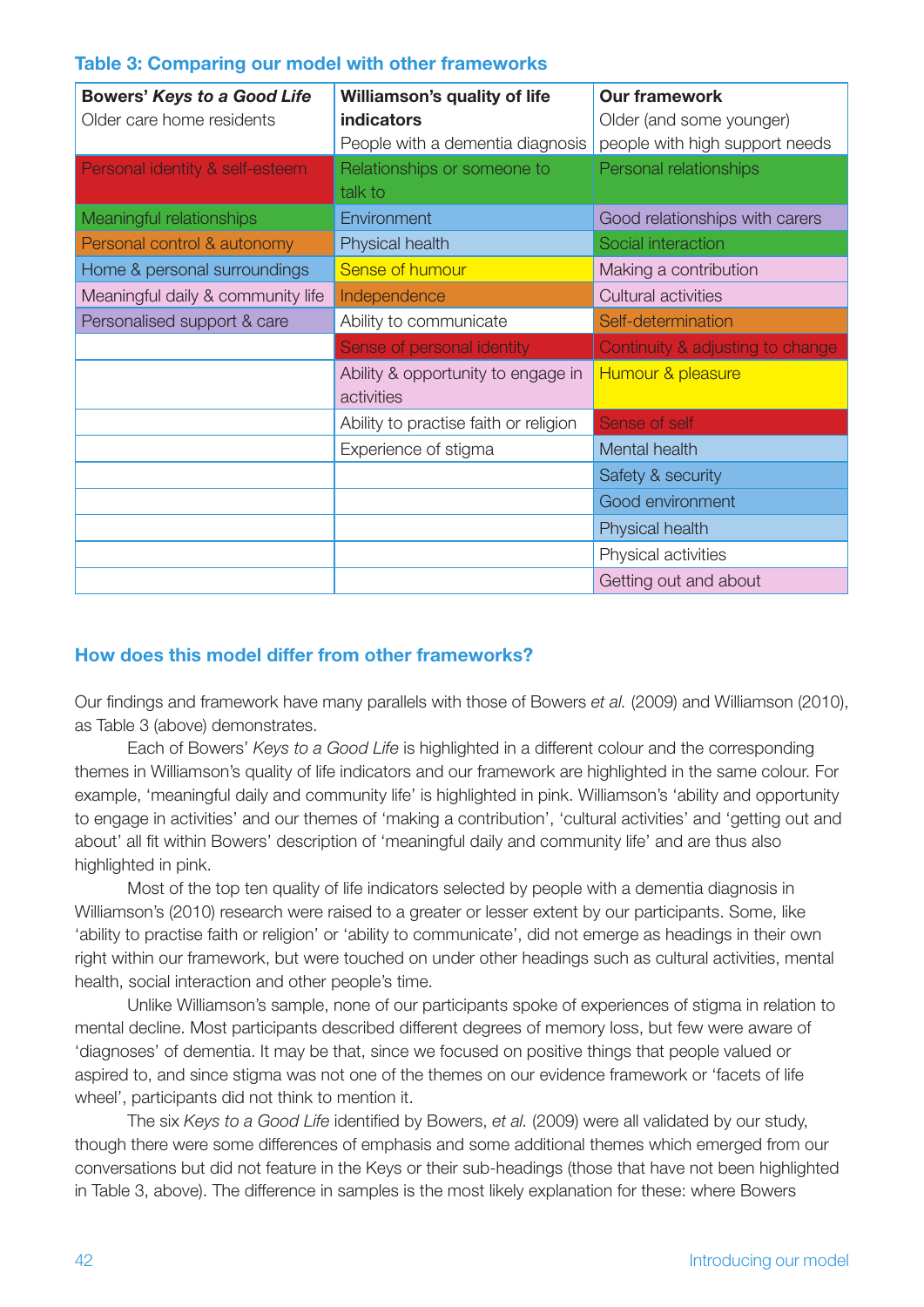#### **Table 3: Comparing our model with other frameworks**

| <b>Bowers' Keys to a Good Life</b> | Williamson's quality of life          | <b>Our framework</b>             |  |
|------------------------------------|---------------------------------------|----------------------------------|--|
| Older care home residents          | indicators                            | Older (and some younger)         |  |
|                                    | People with a dementia diagnosis      | people with high support needs   |  |
| Personal identity & self-esteem    | Relationships or someone to           | Personal relationships           |  |
|                                    | talk to                               |                                  |  |
| Meaningful relationships           | Environment                           | Good relationships with carers   |  |
| Personal control & autonomy        | Physical health                       | Social interaction               |  |
| Home & personal surroundings       | Sense of humour                       | Making a contribution            |  |
| Meaningful daily & community life  | Independence                          | Cultural activities              |  |
| Personalised support & care        | Ability to communicate                | Self-determination               |  |
|                                    | Sense of personal identity            | Continuity & adjusting to change |  |
|                                    | Ability & opportunity to engage in    | Humour & pleasure                |  |
|                                    | activities                            |                                  |  |
|                                    | Ability to practise faith or religion | Sense of self                    |  |
|                                    | Experience of stigma                  | Mental health                    |  |
|                                    |                                       | Safety & security                |  |
|                                    |                                       | Good environment                 |  |
|                                    |                                       | Physical health                  |  |
|                                    |                                       | Physical activities              |  |
|                                    |                                       | Getting out and about            |  |

#### **How does this model differ from other frameworks?**

Our findings and framework have many parallels with those of Bowers *et al.* (2009) and Williamson (2010), as Table 3 (above) demonstrates.

Each of Bowers' *Keys to a Good Life* is highlighted in a different colour and the corresponding themes in Williamson's quality of life indicators and our framework are highlighted in the same colour. For example, 'meaningful daily and community life' is highlighted in pink. Williamson's 'ability and opportunity to engage in activities' and our themes of 'making a contribution', 'cultural activities' and 'getting out and about' all fit within Bowers' description of 'meaningful daily and community life' and are thus also highlighted in pink.

Most of the top ten quality of life indicators selected by people with a dementia diagnosis in Williamson's (2010) research were raised to a greater or lesser extent by our participants. Some, like 'ability to practise faith or religion' or 'ability to communicate', did not emerge as headings in their own right within our framework, but were touched on under other headings such as cultural activities, mental health, social interaction and other people's time.

Unlike Williamson's sample, none of our participants spoke of experiences of stigma in relation to mental decline. Most participants described different degrees of memory loss, but few were aware of 'diagnoses' of dementia. It may be that, since we focused on positive things that people valued or aspired to, and since stigma was not one of the themes on our evidence framework or 'facets of life wheel', participants did not think to mention it.

The six *Keys to a Good Life* identified by Bowers, *et al.* (2009) were all validated by our study, though there were some differences of emphasis and some additional themes which emerged from our conversations but did not feature in the Keys or their sub-headings (those that have not been highlighted in Table 3, above). The difference in samples is the most likely explanation for these: where Bowers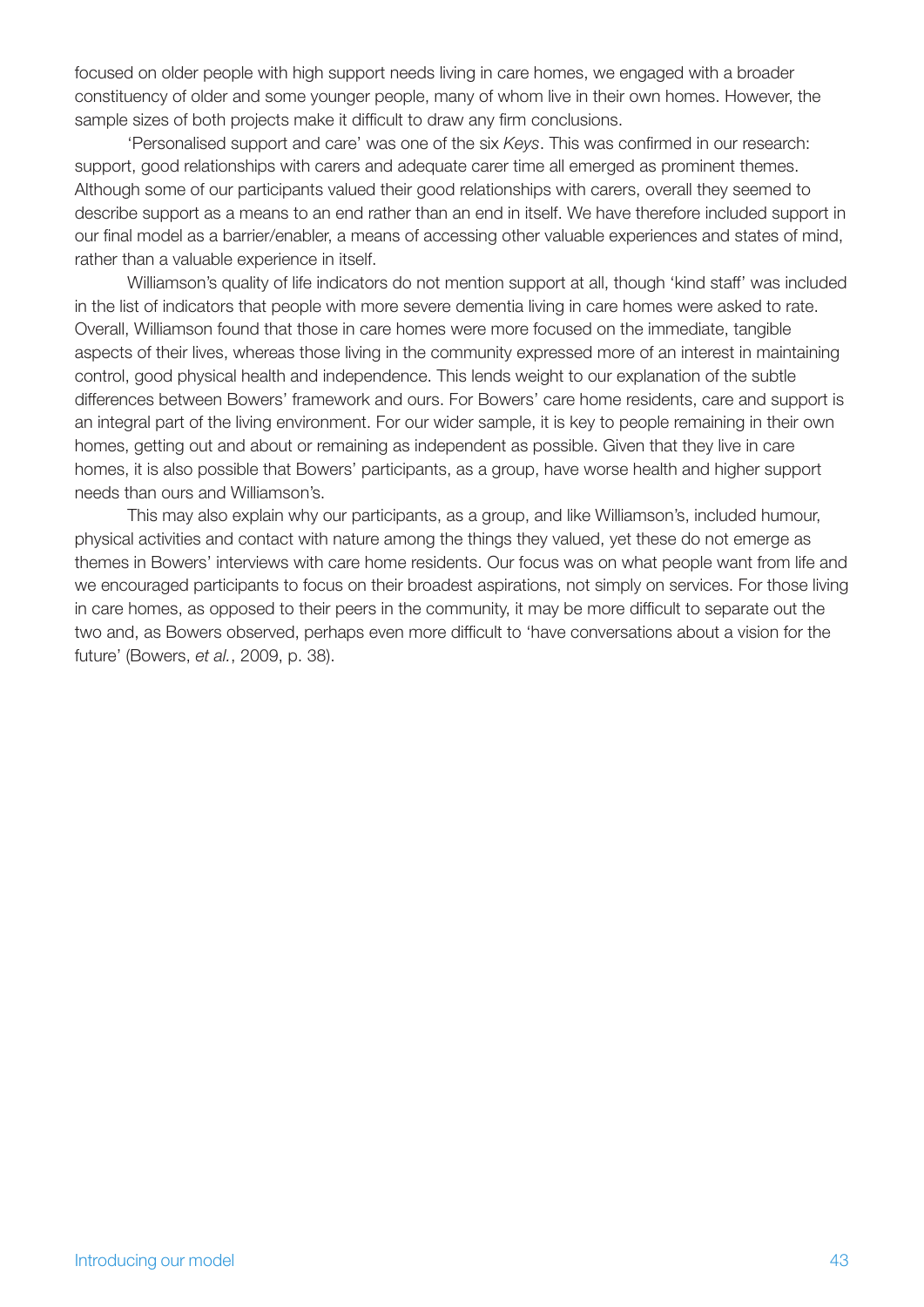focused on older people with high support needs living in care homes, we engaged with a broader constituency of older and some younger people, many of whom live in their own homes. However, the sample sizes of both projects make it difficult to draw any firm conclusions.

'Personalised support and care' was one of the six *Keys*. This was confirmed in our research: support, good relationships with carers and adequate carer time all emerged as prominent themes. Although some of our participants valued their good relationships with carers, overall they seemed to describe support as a means to an end rather than an end in itself. We have therefore included support in our final model as a barrier/enabler, a means of accessing other valuable experiences and states of mind, rather than a valuable experience in itself.

Williamson's quality of life indicators do not mention support at all, though 'kind staff' was included in the list of indicators that people with more severe dementia living in care homes were asked to rate. Overall, Williamson found that those in care homes were more focused on the immediate, tangible aspects of their lives, whereas those living in the community expressed more of an interest in maintaining control, good physical health and independence. This lends weight to our explanation of the subtle differences between Bowers' framework and ours. For Bowers' care home residents, care and support is an integral part of the living environment. For our wider sample, it is key to people remaining in their own homes, getting out and about or remaining as independent as possible. Given that they live in care homes, it is also possible that Bowers' participants, as a group, have worse health and higher support needs than ours and Williamson's.

This may also explain why our participants, as a group, and like Williamson's, included humour, physical activities and contact with nature among the things they valued, yet these do not emerge as themes in Bowers' interviews with care home residents. Our focus was on what people want from life and we encouraged participants to focus on their broadest aspirations, not simply on services. For those living in care homes, as opposed to their peers in the community, it may be more difficult to separate out the two and, as Bowers observed, perhaps even more difficult to 'have conversations about a vision for the future' (Bowers, *et al.*, 2009, p. 38).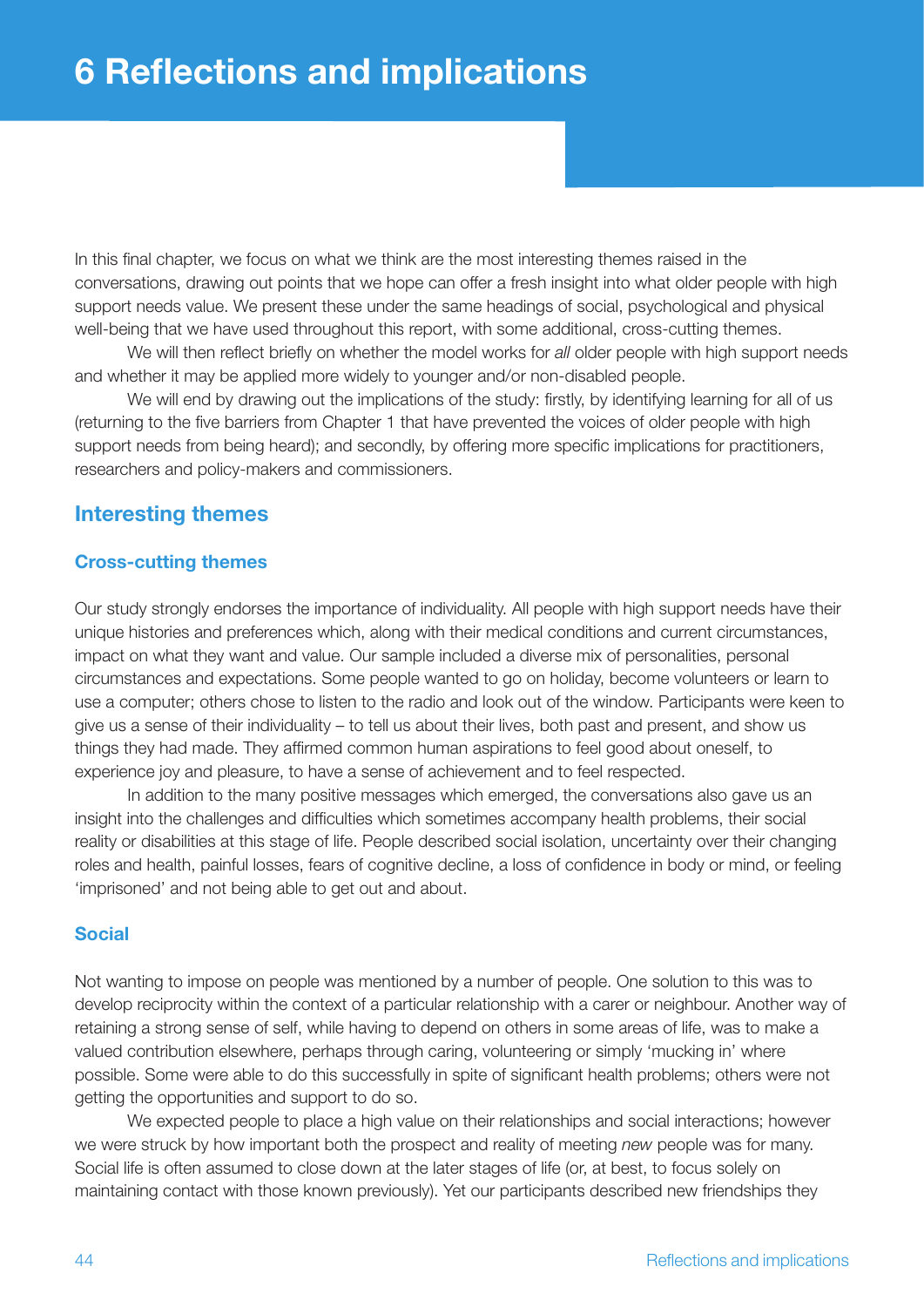In this final chapter, we focus on what we think are the most interesting themes raised in the conversations, drawing out points that we hope can offer a fresh insight into what older people with high support needs value. We present these under the same headings of social, psychological and physical well-being that we have used throughout this report, with some additional, cross-cutting themes.

We will then reflect briefly on whether the model works for *all* older people with high support needs and whether it may be applied more widely to younger and/or non-disabled people.

We will end by drawing out the implications of the study: firstly, by identifying learning for all of us (returning to the five barriers from Chapter 1 that have prevented the voices of older people with high support needs from being heard); and secondly, by offering more specific implications for practitioners, researchers and policy-makers and commissioners.

## **Interesting themes**

#### **Cross-cutting themes**

Our study strongly endorses the importance of individuality. All people with high support needs have their unique histories and preferences which, along with their medical conditions and current circumstances, impact on what they want and value. Our sample included a diverse mix of personalities, personal circumstances and expectations. Some people wanted to go on holiday, become volunteers or learn to use a computer; others chose to listen to the radio and look out of the window. Participants were keen to give us a sense of their individuality – to tell us about their lives, both past and present, and show us things they had made. They affirmed common human aspirations to feel good about oneself, to experience joy and pleasure, to have a sense of achievement and to feel respected.

In addition to the many positive messages which emerged, the conversations also gave us an insight into the challenges and difficulties which sometimes accompany health problems, their social reality or disabilities at this stage of life. People described social isolation, uncertainty over their changing roles and health, painful losses, fears of cognitive decline, a loss of confidence in body or mind, or feeling 'imprisoned' and not being able to get out and about.

#### **Social**

Not wanting to impose on people was mentioned by a number of people. One solution to this was to develop reciprocity within the context of a particular relationship with a carer or neighbour. Another way of retaining a strong sense of self, while having to depend on others in some areas of life, was to make a valued contribution elsewhere, perhaps through caring, volunteering or simply 'mucking in' where possible. Some were able to do this successfully in spite of significant health problems; others were not getting the opportunities and support to do so.

We expected people to place a high value on their relationships and social interactions; however we were struck by how important both the prospect and reality of meeting *new* people was for many. Social life is often assumed to close down at the later stages of life (or, at best, to focus solely on maintaining contact with those known previously). Yet our participants described new friendships they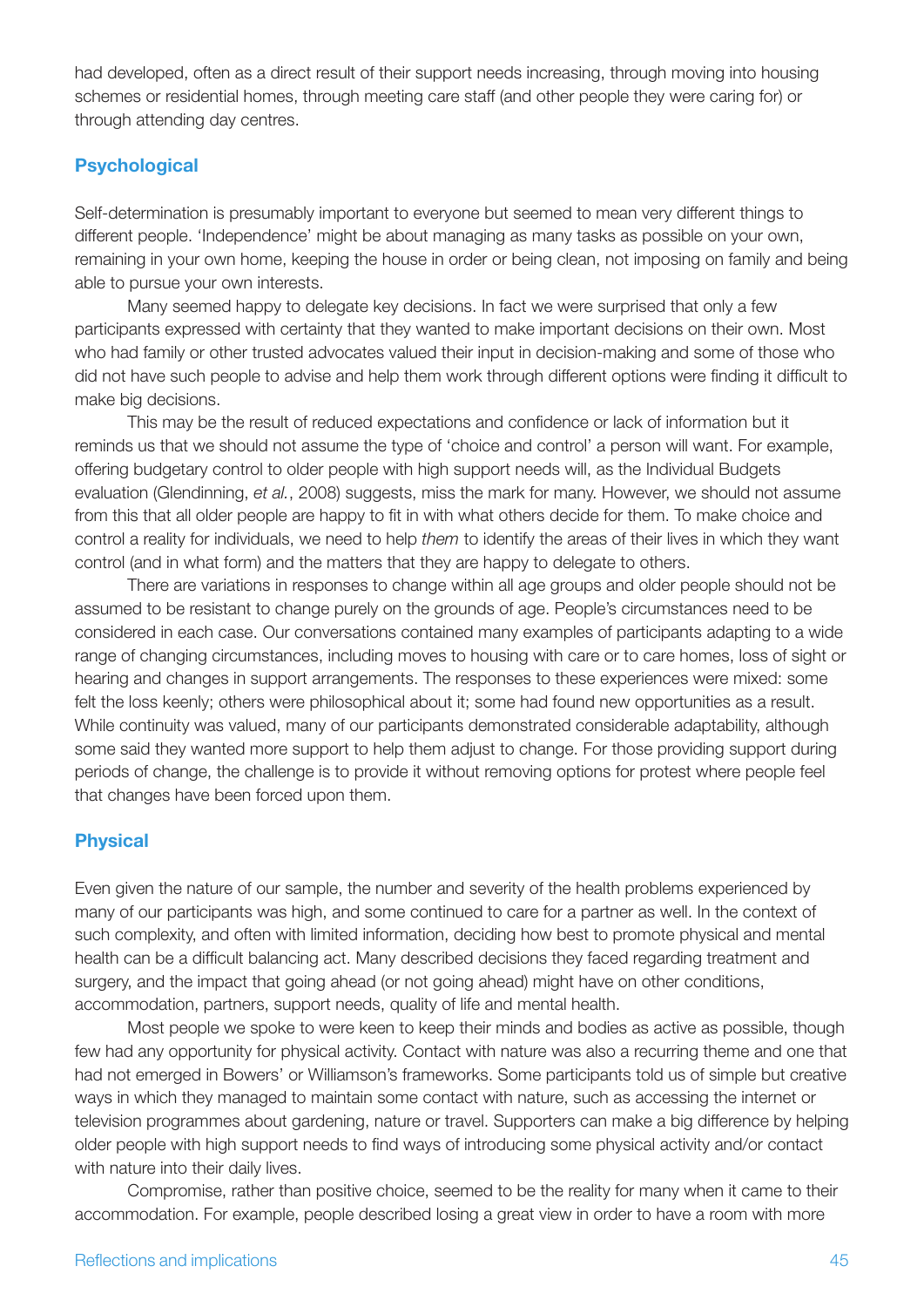had developed, often as a direct result of their support needs increasing, through moving into housing schemes or residential homes, through meeting care staff (and other people they were caring for) or through attending day centres.

#### **Psychological**

Self-determination is presumably important to everyone but seemed to mean very different things to different people. 'Independence' might be about managing as many tasks as possible on your own, remaining in your own home, keeping the house in order or being clean, not imposing on family and being able to pursue your own interests.

Many seemed happy to delegate key decisions. In fact we were surprised that only a few participants expressed with certainty that they wanted to make important decisions on their own. Most who had family or other trusted advocates valued their input in decision-making and some of those who did not have such people to advise and help them work through different options were finding it difficult to make big decisions.

This may be the result of reduced expectations and confidence or lack of information but it reminds us that we should not assume the type of 'choice and control' a person will want. For example, offering budgetary control to older people with high support needs will, as the Individual Budgets evaluation (Glendinning, *et al.*, 2008) suggests, miss the mark for many. However, we should not assume from this that all older people are happy to fit in with what others decide for them. To make choice and control a reality for individuals, we need to help *them* to identify the areas of their lives in which they want control (and in what form) and the matters that they are happy to delegate to others.

There are variations in responses to change within all age groups and older people should not be assumed to be resistant to change purely on the grounds of age. People's circumstances need to be considered in each case. Our conversations contained many examples of participants adapting to a wide range of changing circumstances, including moves to housing with care or to care homes, loss of sight or hearing and changes in support arrangements. The responses to these experiences were mixed: some felt the loss keenly; others were philosophical about it; some had found new opportunities as a result. While continuity was valued, many of our participants demonstrated considerable adaptability, although some said they wanted more support to help them adjust to change. For those providing support during periods of change, the challenge is to provide it without removing options for protest where people feel that changes have been forced upon them.

#### **Physical**

Even given the nature of our sample, the number and severity of the health problems experienced by many of our participants was high, and some continued to care for a partner as well. In the context of such complexity, and often with limited information, deciding how best to promote physical and mental health can be a difficult balancing act. Many described decisions they faced regarding treatment and surgery, and the impact that going ahead (or not going ahead) might have on other conditions, accommodation, partners, support needs, quality of life and mental health.

Most people we spoke to were keen to keep their minds and bodies as active as possible, though few had any opportunity for physical activity. Contact with nature was also a recurring theme and one that had not emerged in Bowers' or Williamson's frameworks. Some participants told us of simple but creative ways in which they managed to maintain some contact with nature, such as accessing the internet or television programmes about gardening, nature or travel. Supporters can make a big difference by helping older people with high support needs to find ways of introducing some physical activity and/or contact with nature into their daily lives.

Compromise, rather than positive choice, seemed to be the reality for many when it came to their accommodation. For example, people described losing a great view in order to have a room with more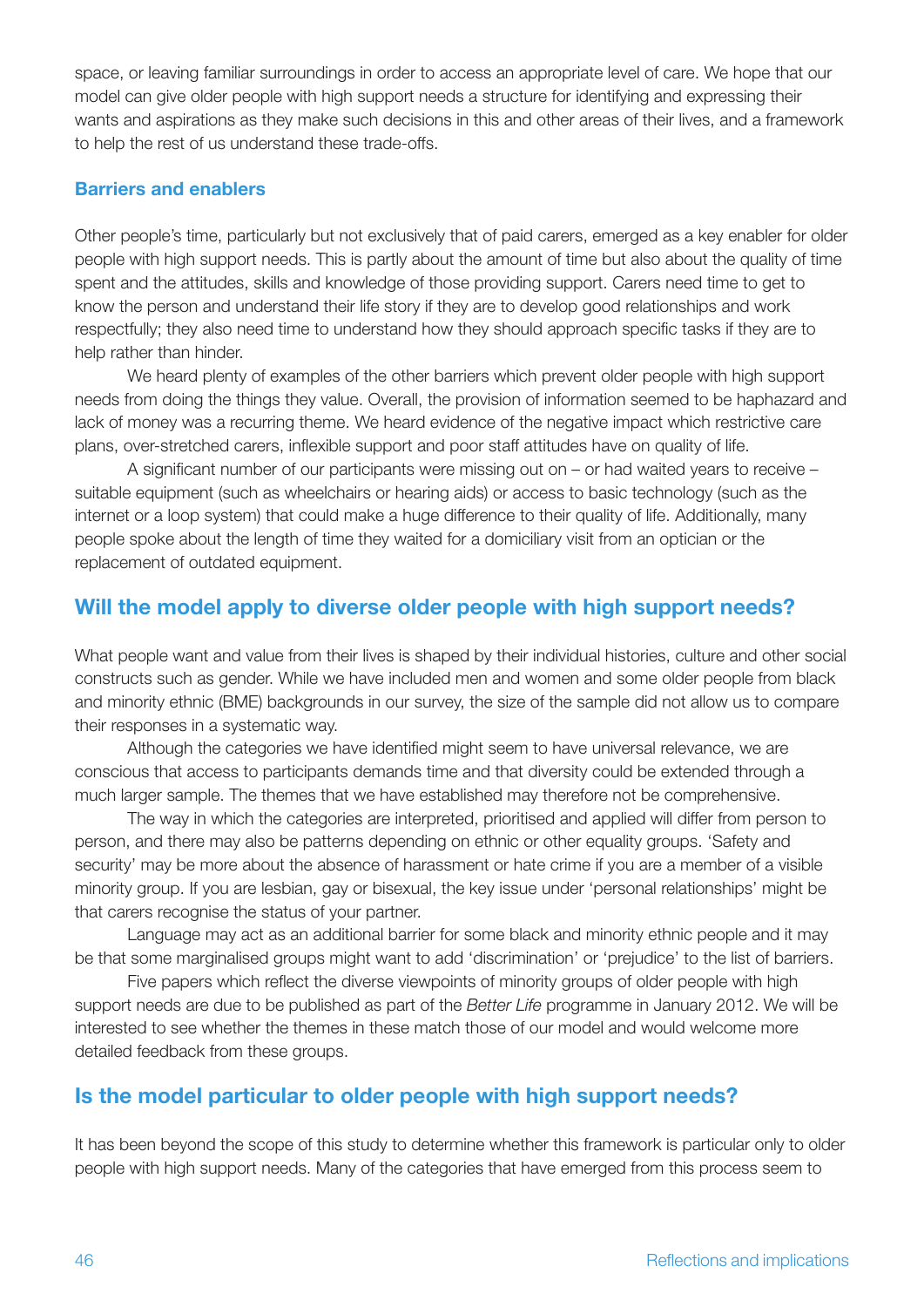space, or leaving familiar surroundings in order to access an appropriate level of care. We hope that our model can give older people with high support needs a structure for identifying and expressing their wants and aspirations as they make such decisions in this and other areas of their lives, and a framework to help the rest of us understand these trade-offs.

#### **Barriers and enablers**

Other people's time, particularly but not exclusively that of paid carers, emerged as a key enabler for older people with high support needs. This is partly about the amount of time but also about the quality of time spent and the attitudes, skills and knowledge of those providing support. Carers need time to get to know the person and understand their life story if they are to develop good relationships and work respectfully; they also need time to understand how they should approach specific tasks if they are to help rather than hinder.

We heard plenty of examples of the other barriers which prevent older people with high support needs from doing the things they value. Overall, the provision of information seemed to be haphazard and lack of money was a recurring theme. We heard evidence of the negative impact which restrictive care plans, over-stretched carers, inflexible support and poor staff attitudes have on quality of life.

A significant number of our participants were missing out on – or had waited years to receive – suitable equipment (such as wheelchairs or hearing aids) or access to basic technology (such as the internet or a loop system) that could make a huge difference to their quality of life. Additionally, many people spoke about the length of time they waited for a domiciliary visit from an optician or the replacement of outdated equipment.

## **Will the model apply to diverse older people with high support needs?**

What people want and value from their lives is shaped by their individual histories, culture and other social constructs such as gender. While we have included men and women and some older people from black and minority ethnic (BME) backgrounds in our survey, the size of the sample did not allow us to compare their responses in a systematic way.

Although the categories we have identified might seem to have universal relevance, we are conscious that access to participants demands time and that diversity could be extended through a much larger sample. The themes that we have established may therefore not be comprehensive.

The way in which the categories are interpreted, prioritised and applied will differ from person to person, and there may also be patterns depending on ethnic or other equality groups. 'Safety and security' may be more about the absence of harassment or hate crime if you are a member of a visible minority group. If you are lesbian, gay or bisexual, the key issue under 'personal relationships' might be that carers recognise the status of your partner.

Language may act as an additional barrier for some black and minority ethnic people and it may be that some marginalised groups might want to add 'discrimination' or 'prejudice' to the list of barriers.

Five papers which reflect the diverse viewpoints of minority groups of older people with high support needs are due to be published as part of the *Better Life* programme in January 2012. We will be interested to see whether the themes in these match those of our model and would welcome more detailed feedback from these groups.

## **Is the model particular to older people with high support needs?**

It has been beyond the scope of this study to determine whether this framework is particular only to older people with high support needs. Many of the categories that have emerged from this process seem to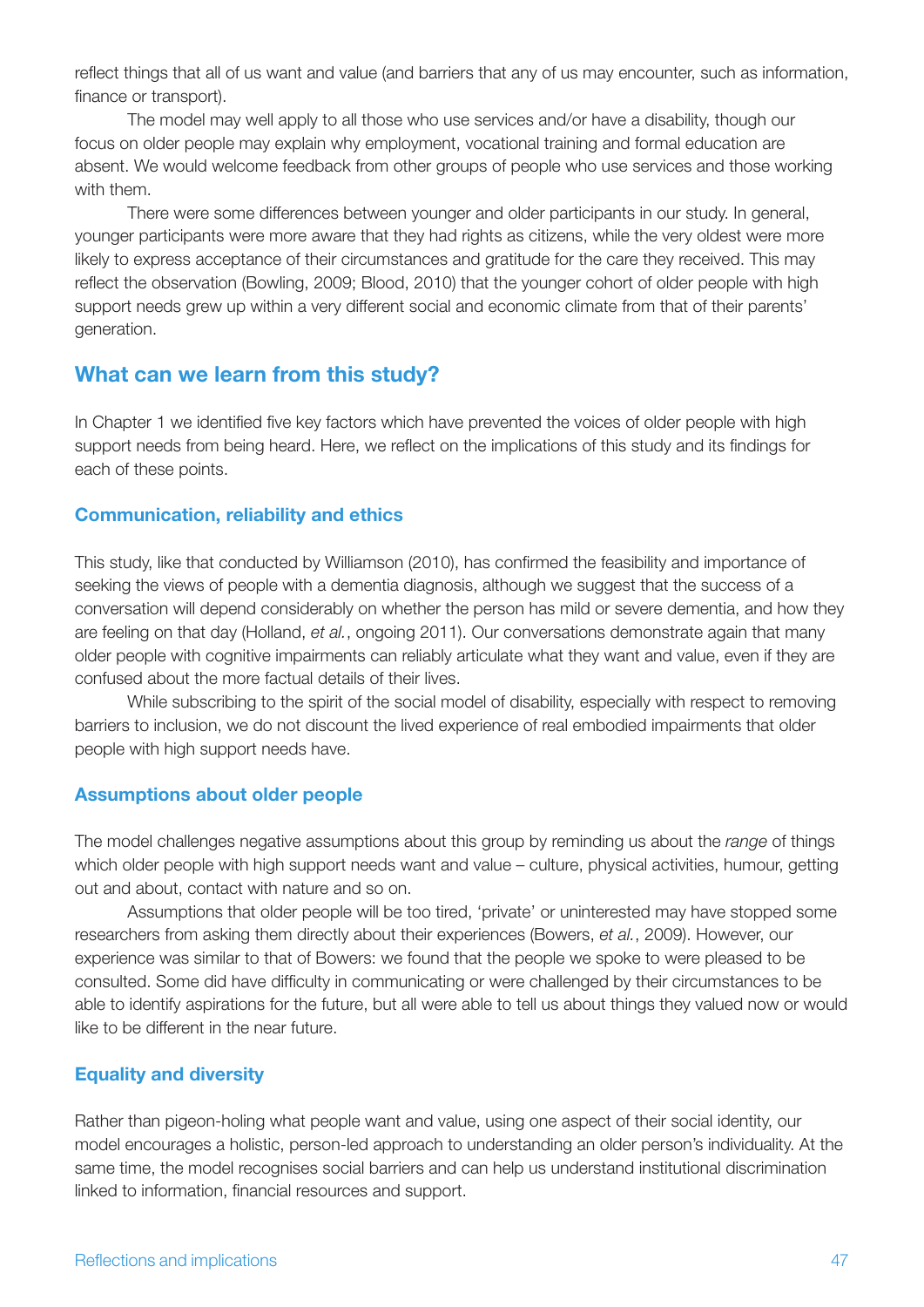reflect things that all of us want and value (and barriers that any of us may encounter, such as information, finance or transport).

The model may well apply to all those who use services and/or have a disability, though our focus on older people may explain why employment, vocational training and formal education are absent. We would welcome feedback from other groups of people who use services and those working with them.

There were some differences between younger and older participants in our study. In general, younger participants were more aware that they had rights as citizens, while the very oldest were more likely to express acceptance of their circumstances and gratitude for the care they received. This may reflect the observation (Bowling, 2009; Blood, 2010) that the younger cohort of older people with high support needs grew up within a very different social and economic climate from that of their parents' generation.

## **What can we learn from this study?**

In Chapter 1 we identified five key factors which have prevented the voices of older people with high support needs from being heard. Here, we reflect on the implications of this study and its findings for each of these points.

#### **Communication, reliability and ethics**

This study, like that conducted by Williamson (2010), has confirmed the feasibility and importance of seeking the views of people with a dementia diagnosis, although we suggest that the success of a conversation will depend considerably on whether the person has mild or severe dementia, and how they are feeling on that day (Holland, *et al.*, ongoing 2011). Our conversations demonstrate again that many older people with cognitive impairments can reliably articulate what they want and value, even if they are confused about the more factual details of their lives.

While subscribing to the spirit of the social model of disability, especially with respect to removing barriers to inclusion, we do not discount the lived experience of real embodied impairments that older people with high support needs have.

#### **Assumptions about older people**

The model challenges negative assumptions about this group by reminding us about the *range* of things which older people with high support needs want and value – culture, physical activities, humour, getting out and about, contact with nature and so on.

Assumptions that older people will be too tired, 'private' or uninterested may have stopped some researchers from asking them directly about their experiences (Bowers, *et al.*, 2009). However, our experience was similar to that of Bowers: we found that the people we spoke to were pleased to be consulted. Some did have difficulty in communicating or were challenged by their circumstances to be able to identify aspirations for the future, but all were able to tell us about things they valued now or would like to be different in the near future.

#### **Equality and diversity**

Rather than pigeon-holing what people want and value, using one aspect of their social identity, our model encourages a holistic, person-led approach to understanding an older person's individuality. At the same time, the model recognises social barriers and can help us understand institutional discrimination linked to information, financial resources and support.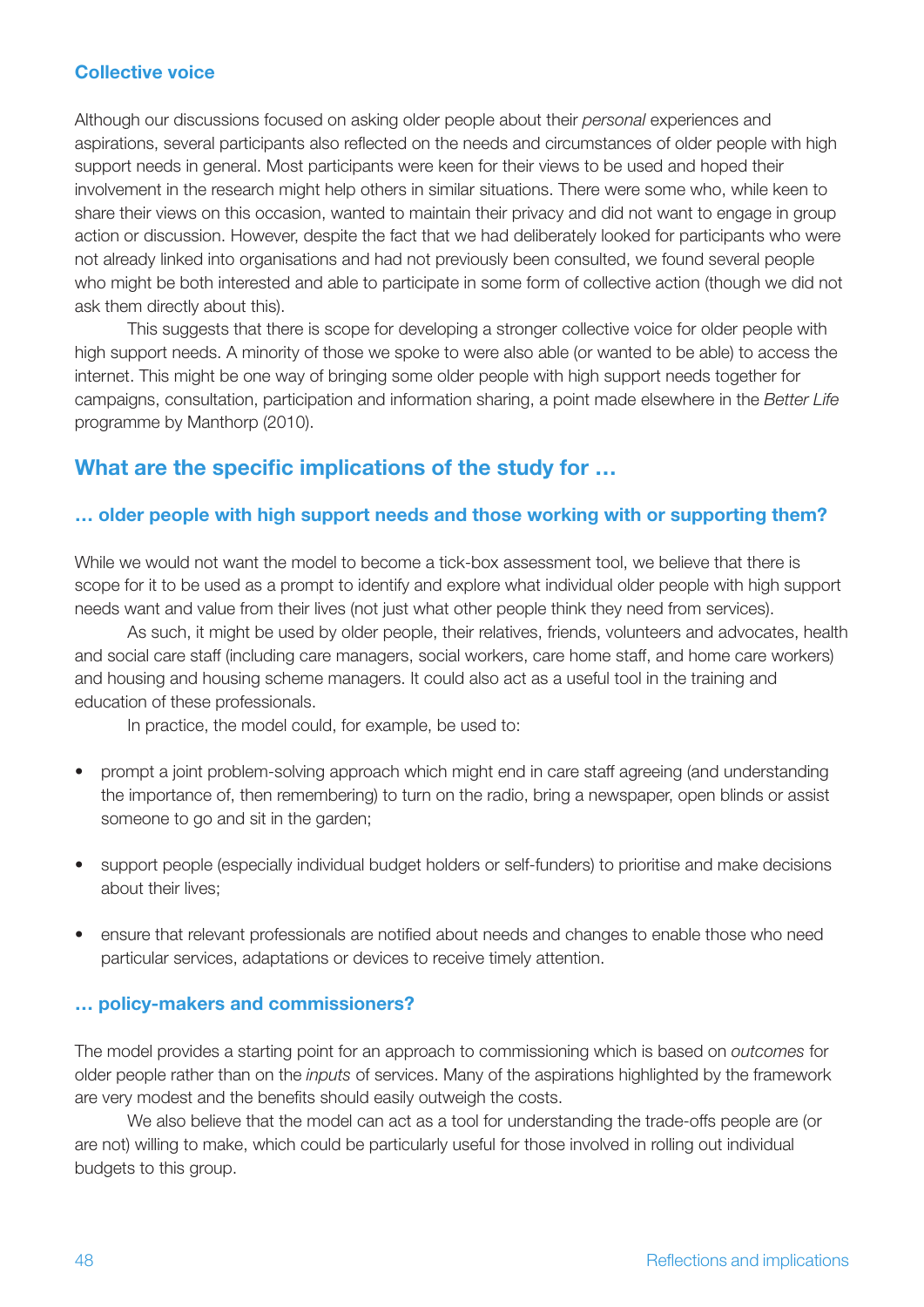#### **Collective voice**

Although our discussions focused on asking older people about their *personal* experiences and aspirations, several participants also reflected on the needs and circumstances of older people with high support needs in general. Most participants were keen for their views to be used and hoped their involvement in the research might help others in similar situations. There were some who, while keen to share their views on this occasion, wanted to maintain their privacy and did not want to engage in group action or discussion. However, despite the fact that we had deliberately looked for participants who were not already linked into organisations and had not previously been consulted, we found several people who might be both interested and able to participate in some form of collective action (though we did not ask them directly about this).

This suggests that there is scope for developing a stronger collective voice for older people with high support needs. A minority of those we spoke to were also able (or wanted to be able) to access the internet. This might be one way of bringing some older people with high support needs together for campaigns, consultation, participation and information sharing, a point made elsewhere in the *Better Life* programme by Manthorp (2010).

## **What are the specific implications of the study for …**

#### **… older people with high support needs and those working with or supporting them?**

While we would not want the model to become a tick-box assessment tool, we believe that there is scope for it to be used as a prompt to identify and explore what individual older people with high support needs want and value from their lives (not just what other people think they need from services).

As such, it might be used by older people, their relatives, friends, volunteers and advocates, health and social care staff (including care managers, social workers, care home staff, and home care workers) and housing and housing scheme managers. It could also act as a useful tool in the training and education of these professionals.

In practice, the model could, for example, be used to:

- prompt a joint problem-solving approach which might end in care staff agreeing (and understanding the importance of, then remembering) to turn on the radio, bring a newspaper, open blinds or assist someone to go and sit in the garden;
- support people (especially individual budget holders or self-funders) to prioritise and make decisions about their lives;
- ensure that relevant professionals are notified about needs and changes to enable those who need particular services, adaptations or devices to receive timely attention.

#### **… policy-makers and commissioners?**

The model provides a starting point for an approach to commissioning which is based on *outcomes* for older people rather than on the *inputs* of services. Many of the aspirations highlighted by the framework are very modest and the benefits should easily outweigh the costs.

We also believe that the model can act as a tool for understanding the trade-offs people are (or are not) willing to make, which could be particularly useful for those involved in rolling out individual budgets to this group.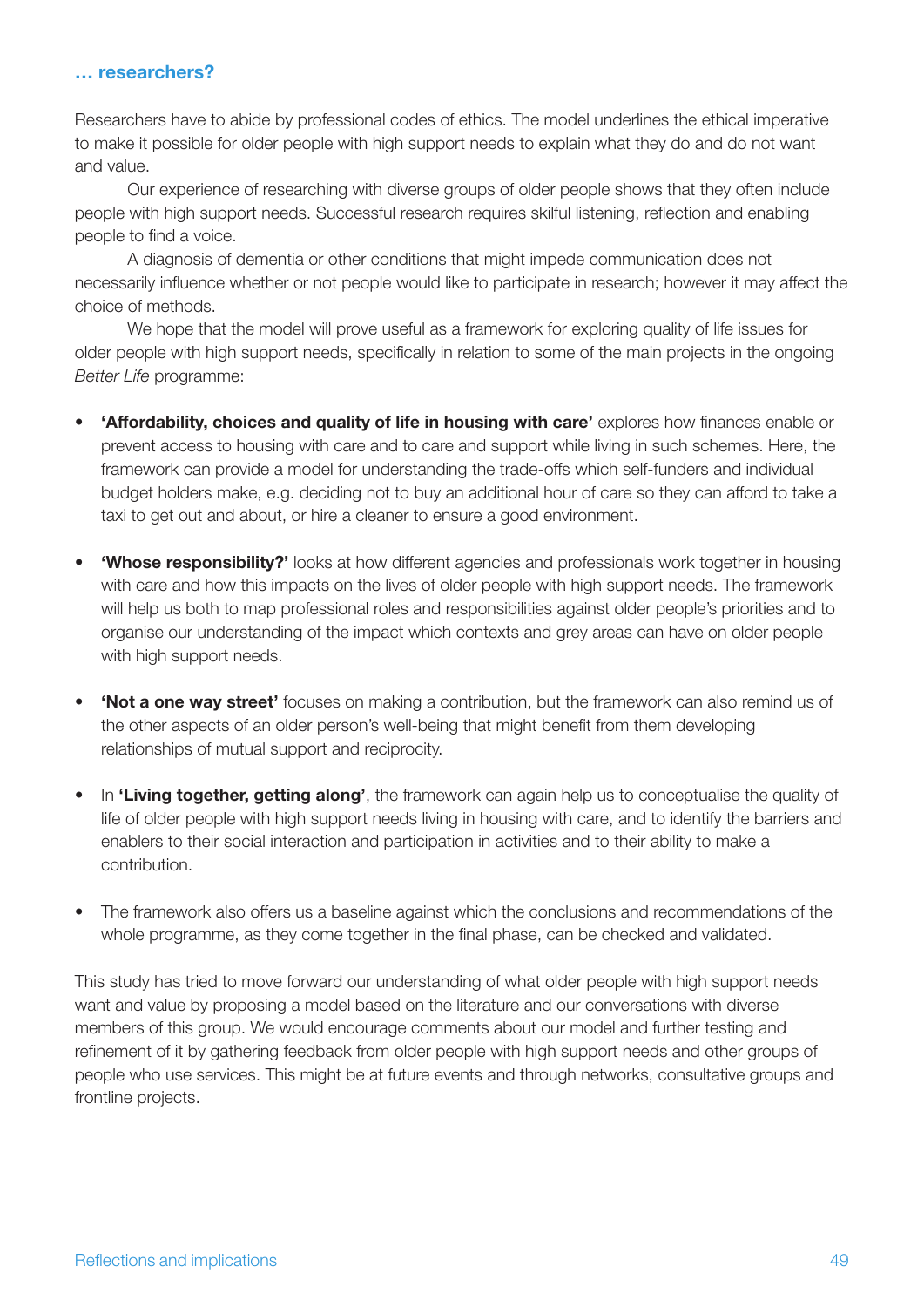#### **… researchers?**

Researchers have to abide by professional codes of ethics. The model underlines the ethical imperative to make it possible for older people with high support needs to explain what they do and do not want and value.

Our experience of researching with diverse groups of older people shows that they often include people with high support needs. Successful research requires skilful listening, reflection and enabling people to find a voice.

A diagnosis of dementia or other conditions that might impede communication does not necessarily influence whether or not people would like to participate in research; however it may affect the choice of methods.

We hope that the model will prove useful as a framework for exploring quality of life issues for older people with high support needs, specifically in relation to some of the main projects in the ongoing *Better Life* programme:

- • **'Affordability, choices and quality of life in housing with care'** explores how finances enable or prevent access to housing with care and to care and support while living in such schemes. Here, the framework can provide a model for understanding the trade-offs which self-funders and individual budget holders make, e.g. deciding not to buy an additional hour of care so they can afford to take a taxi to get out and about, or hire a cleaner to ensure a good environment.
- **Whose responsibility?'** looks at how different agencies and professionals work together in housing with care and how this impacts on the lives of older people with high support needs. The framework will help us both to map professional roles and responsibilities against older people's priorities and to organise our understanding of the impact which contexts and grey areas can have on older people with high support needs.
- **'Not a one way street'** focuses on making a contribution, but the framework can also remind us of the other aspects of an older person's well-being that might benefit from them developing relationships of mutual support and reciprocity.
- • In **'Living together, getting along'**, the framework can again help us to conceptualise the quality of life of older people with high support needs living in housing with care, and to identify the barriers and enablers to their social interaction and participation in activities and to their ability to make a contribution.
- The framework also offers us a baseline against which the conclusions and recommendations of the whole programme, as they come together in the final phase, can be checked and validated.

This study has tried to move forward our understanding of what older people with high support needs want and value by proposing a model based on the literature and our conversations with diverse members of this group. We would encourage comments about our model and further testing and refinement of it by gathering feedback from older people with high support needs and other groups of people who use services. This might be at future events and through networks, consultative groups and frontline projects.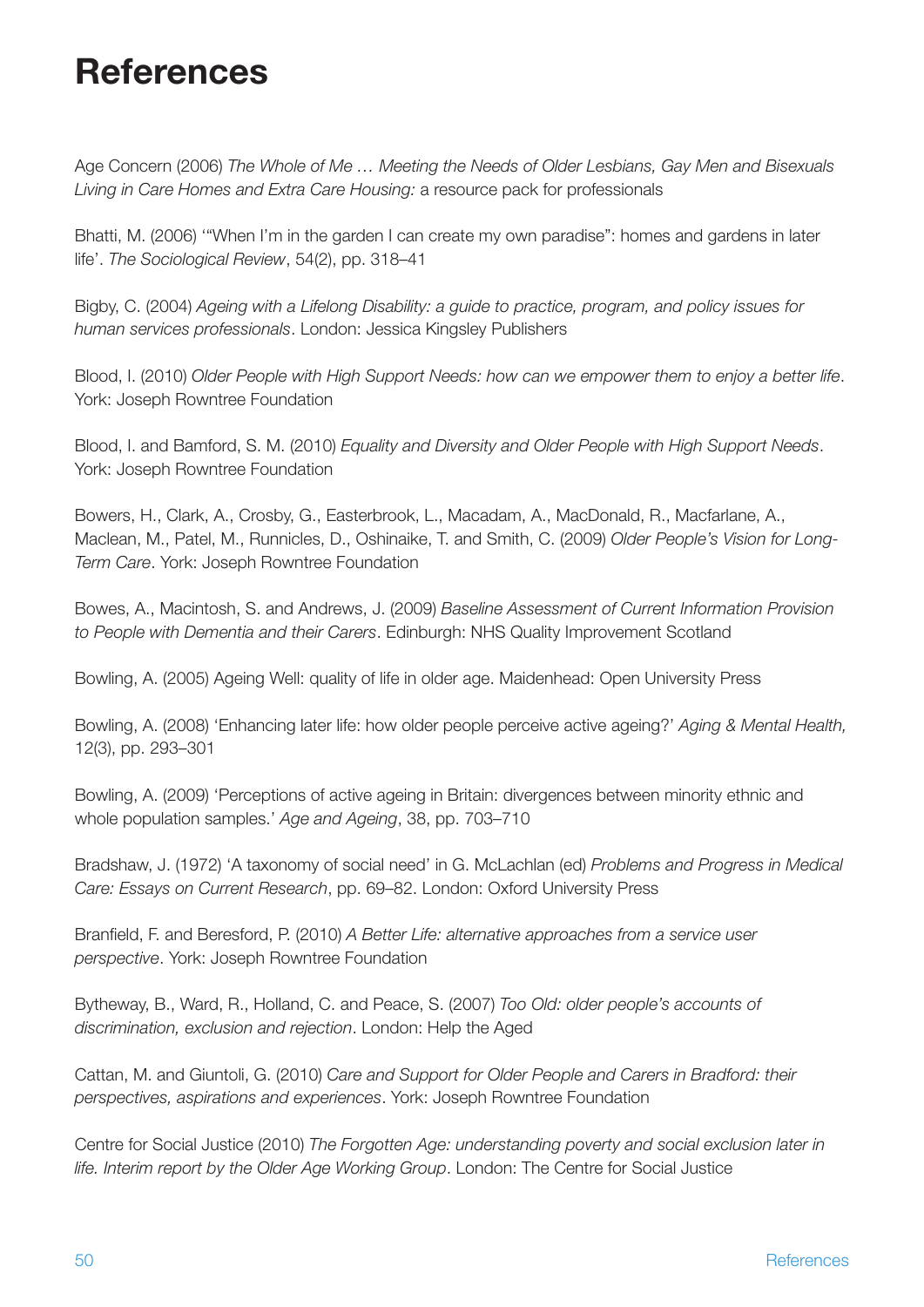## **References**

Age Concern (2006) *The Whole of Me … Meeting the Needs of Older Lesbians, Gay Men and Bisexuals Living in Care Homes and Extra Care Housing:* a resource pack for professionals

Bhatti, M. (2006) '"When I'm in the garden I can create my own paradise": homes and gardens in later life'. *The Sociological Review*, 54(2), pp. 318–41

Bigby, C. (2004) *Ageing with a Lifelong Disability: a guide to practice, program, and policy issues for human services professionals*. London: Jessica Kingsley Publishers

Blood, I. (2010) *Older People with High Support Needs: how can we empower them to enjoy a better life*. York: Joseph Rowntree Foundation

Blood, I. and Bamford, S. M. (2010) *Equality and Diversity and Older People with High Support Needs*. York: Joseph Rowntree Foundation

Bowers, H., Clark, A., Crosby, G., Easterbrook, L., Macadam, A., MacDonald, R., Macfarlane, A., Maclean, M., Patel, M., Runnicles, D., Oshinaike, T. and Smith, C. (2009) *Older People's Vision for Long-Term Care*. York: Joseph Rowntree Foundation

Bowes, A., Macintosh, S. and Andrews, J. (2009) *Baseline Assessment of Current Information Provision to People with Dementia and their Carers*. Edinburgh: NHS Quality Improvement Scotland

Bowling, A. (2005) Ageing Well: quality of life in older age. Maidenhead: Open University Press

Bowling, A. (2008) 'Enhancing later life: how older people perceive active ageing?' *Aging & Mental Health,*  12(3), pp. 293–301

Bowling, A. (2009) 'Perceptions of active ageing in Britain: divergences between minority ethnic and whole population samples.' *Age and Ageing*, 38, pp. 703–710

Bradshaw, J. (1972) 'A taxonomy of social need' in G. McLachlan (ed) *Problems and Progress in Medical Care: Essays on Current Research*, pp. 69–82. London: Oxford University Press

Branfield, F. and Beresford, P. (2010) *A Better Life: alternative approaches from a service user perspective*. York: Joseph Rowntree Foundation

Bytheway, B., Ward, R., Holland, C. and Peace, S. (2007) *Too Old: older people's accounts of discrimination, exclusion and rejection*. London: Help the Aged

Cattan, M. and Giuntoli, G. (2010) *Care and Support for Older People and Carers in Bradford: their perspectives, aspirations and experiences*. York: Joseph Rowntree Foundation

Centre for Social Justice (2010) *The Forgotten Age: understanding poverty and social exclusion later in life. Interim report by the Older Age Working Group*. London: The Centre for Social Justice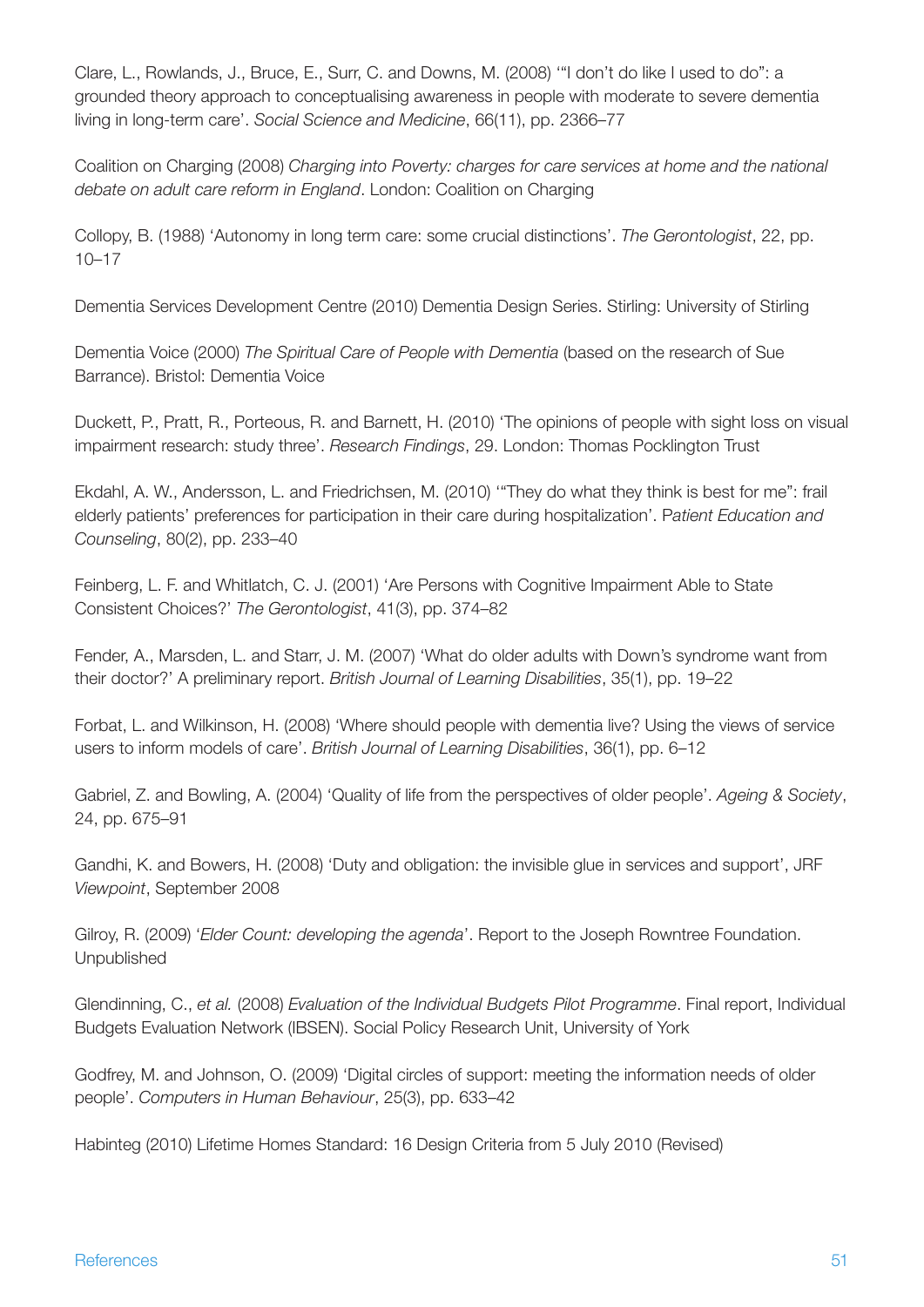Clare, L., Rowlands, J., Bruce, E., Surr, C. and Downs, M. (2008) '"I don't do like I used to do": a grounded theory approach to conceptualising awareness in people with moderate to severe dementia living in long-term care'. *Social Science and Medicine*, 66(11), pp. 2366–77

Coalition on Charging (2008) *Charging into Poverty: charges for care services at home and the national debate on adult care reform in England*. London: Coalition on Charging

Collopy, B. (1988) 'Autonomy in long term care: some crucial distinctions'. *The Gerontologist*, 22, pp. 10–17

Dementia Services Development Centre (2010) Dementia Design Series. Stirling: University of Stirling

Dementia Voice (2000) *The Spiritual Care of People with Dementia* (based on the research of Sue Barrance). Bristol: Dementia Voice

Duckett, P., Pratt, R., Porteous, R. and Barnett, H. (2010) 'The opinions of people with sight loss on visual impairment research: study three'. *Research Findings*, 29. London: Thomas Pocklington Trust

Ekdahl, A. W., Andersson, L. and Friedrichsen, M. (2010) '"They do what they think is best for me": frail elderly patients' preferences for participation in their care during hospitalization'. P*atient Education and Counseling*, 80(2), pp. 233–40

Feinberg, L. F. and Whitlatch, C. J. (2001) 'Are Persons with Cognitive Impairment Able to State Consistent Choices?' *The Gerontologist*, 41(3), pp. 374–82

Fender, A., Marsden, L. and Starr, J. M. (2007) 'What do older adults with Down's syndrome want from their doctor?' A preliminary report. *British Journal of Learning Disabilities*, 35(1), pp. 19–22

Forbat, L. and Wilkinson, H. (2008) 'Where should people with dementia live? Using the views of service users to inform models of care'. *British Journal of Learning Disabilities*, 36(1), pp. 6–12

Gabriel, Z. and Bowling, A. (2004) 'Quality of life from the perspectives of older people'. *Ageing & Society*, 24, pp. 675–91

Gandhi, K. and Bowers, H. (2008) 'Duty and obligation: the invisible glue in services and support', JRF *Viewpoint*, September 2008

Gilroy, R. (2009) '*Elder Count: developing the agenda*'. Report to the Joseph Rowntree Foundation. Unpublished

Glendinning, C., *et al.* (2008) *Evaluation of the Individual Budgets Pilot Programme*. Final report, Individual Budgets Evaluation Network (IBSEN). Social Policy Research Unit, University of York

Godfrey, M. and Johnson, O. (2009) 'Digital circles of support: meeting the information needs of older people'. *Computers in Human Behaviour*, 25(3), pp. 633–42

Habinteg (2010) Lifetime Homes Standard: 16 Design Criteria from 5 July 2010 (Revised)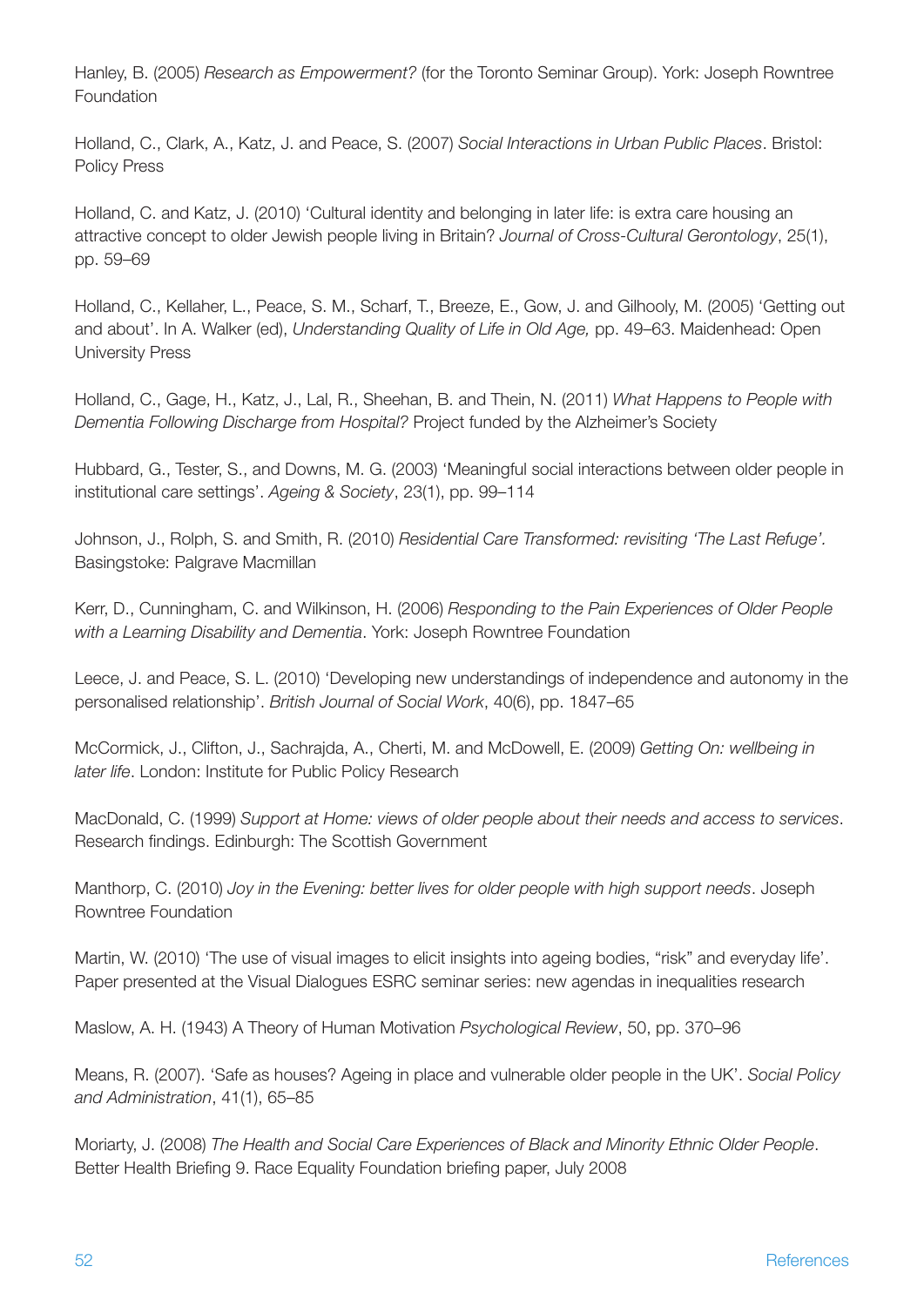Hanley, B. (2005) *Research as Empowerment?* (for the Toronto Seminar Group). York: Joseph Rowntree Foundation

Holland, C., Clark, A., Katz, J. and Peace, S. (2007) *Social Interactions in Urban Public Places*. Bristol: Policy Press

Holland, C. and Katz, J. (2010) 'Cultural identity and belonging in later life: is extra care housing an attractive concept to older Jewish people living in Britain? *Journal of Cross-Cultural Gerontology*, 25(1), pp. 59–69

Holland, C., Kellaher, L., Peace, S. M., Scharf, T., Breeze, E., Gow, J. and Gilhooly, M. (2005) 'Getting out and about'. In A. Walker (ed), *Understanding Quality of Life in Old Age,* pp. 49–63. Maidenhead: Open University Press

Holland, C., Gage, H., Katz, J., Lal, R., Sheehan, B. and Thein, N. (2011) *What Happens to People with Dementia Following Discharge from Hospital?* Project funded by the Alzheimer's Society

Hubbard, G., Tester, S., and Downs, M. G. (2003) 'Meaningful social interactions between older people in institutional care settings'. *Ageing & Society*, 23(1), pp. 99–114

Johnson, J., Rolph, S. and Smith, R. (2010) *Residential Care Transformed: revisiting 'The Last Refuge'.* Basingstoke: Palgrave Macmillan

Kerr, D., Cunningham, C. and Wilkinson, H. (2006) *Responding to the Pain Experiences of Older People with a Learning Disability and Dementia*. York: Joseph Rowntree Foundation

Leece, J. and Peace, S. L. (2010) 'Developing new understandings of independence and autonomy in the personalised relationship'. *British Journal of Social Work*, 40(6), pp. 1847–65

McCormick, J., Clifton, J., Sachrajda, A., Cherti, M. and McDowell, E. (2009) *Getting On: wellbeing in later life*. London: Institute for Public Policy Research

MacDonald, C. (1999) *Support at Home: views of older people about their needs and access to services*. Research findings. Edinburgh: The Scottish Government

Manthorp, C. (2010) *Joy in the Evening: better lives for older people with high support needs*. Joseph Rowntree Foundation

Martin, W. (2010) 'The use of visual images to elicit insights into ageing bodies, "risk" and everyday life'. Paper presented at the Visual Dialogues ESRC seminar series: new agendas in inequalities research

Maslow, A. H. (1943) A Theory of Human Motivation *Psychological Review*, 50, pp. 370–96

Means, R. (2007). 'Safe as houses? Ageing in place and vulnerable older people in the UK'. *Social Policy and Administration*, 41(1), 65–85

Moriarty, J. (2008) *The Health and Social Care Experiences of Black and Minority Ethnic Older People*. Better Health Briefing 9. Race Equality Foundation briefing paper, July 2008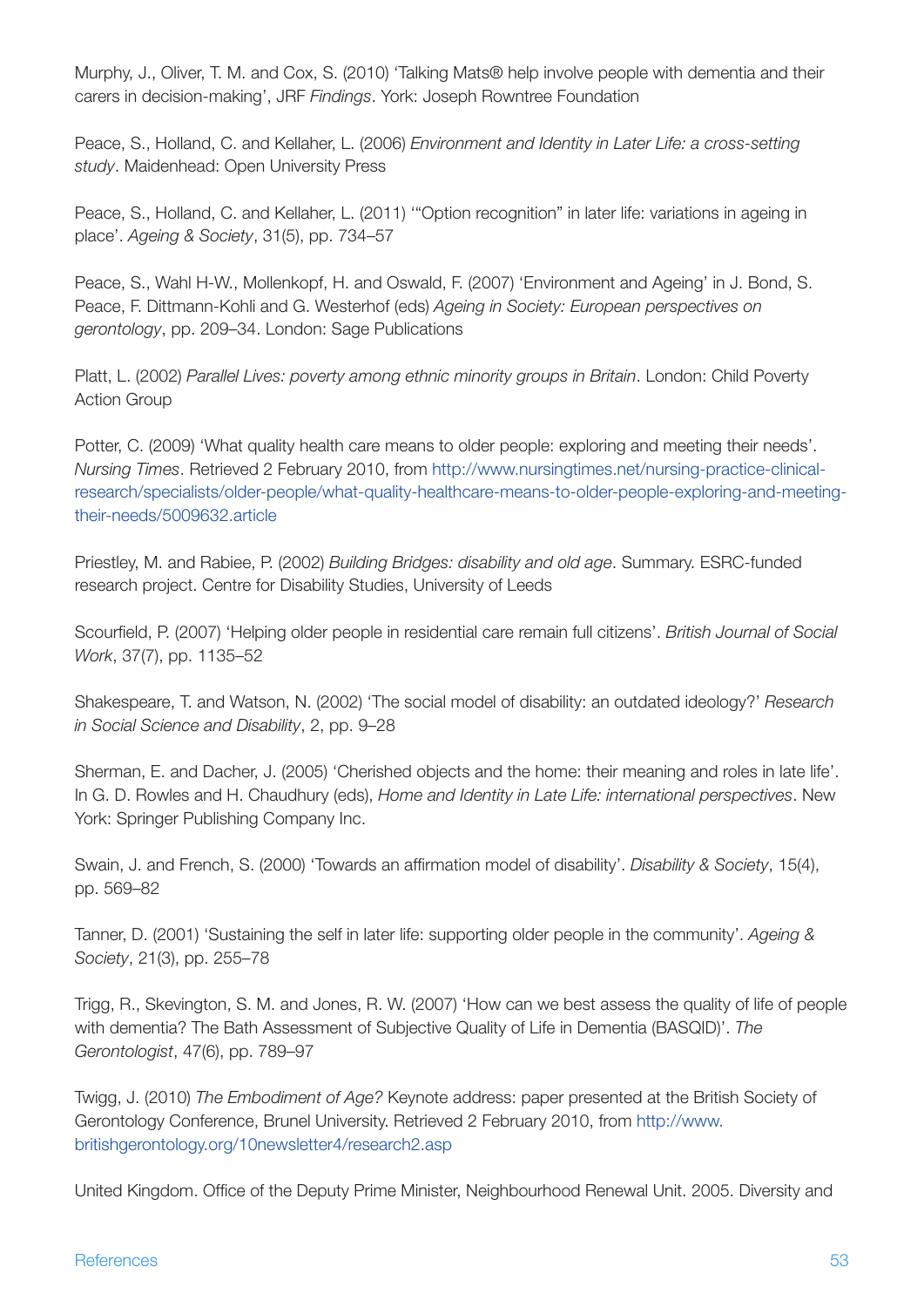Murphy, J., Oliver, T. M. and Cox, S. (2010) 'Talking Mats® help involve people with dementia and their carers in decision-making', JRF *Findings*. York: Joseph Rowntree Foundation

Peace, S., Holland, C. and Kellaher, L. (2006) *Environment and Identity in Later Life: a cross-setting study*. Maidenhead: Open University Press

Peace, S., Holland, C. and Kellaher, L. (2011) '"Option recognition" in later life: variations in ageing in place'. *Ageing & Society*, 31(5), pp. 734–57

Peace, S., Wahl H-W., Mollenkopf, H. and Oswald, F. (2007) 'Environment and Ageing' in J. Bond, S. Peace, F. Dittmann-Kohli and G. Westerhof (eds) *Ageing in Society: European perspectives on gerontology*, pp. 209–34. London: Sage Publications

Platt, L. (2002) *Parallel Lives: poverty among ethnic minority groups in Britain*. London: Child Poverty Action Group

Potter, C. (2009) 'What quality health care means to older people: exploring and meeting their needs'. *Nursing Times*. Retrieved 2 February 2010, from [http://www.nursingtimes.net/nursing-practice-clinical](http://www.nursingtimes.net/nursing-practice-clinical-research/specialists/older-people/what-quality-healthcare-means-to-older-people-exploring-and-meeting-their-needs/5009632.article)[research/specialists/older-people/what-quality-healthcare-means-to-older-people-exploring-and-meeting](http://www.nursingtimes.net/nursing-practice-clinical-research/specialists/older-people/what-quality-healthcare-means-to-older-people-exploring-and-meeting-their-needs/5009632.article)[their-needs/5009632.article](http://www.nursingtimes.net/nursing-practice-clinical-research/specialists/older-people/what-quality-healthcare-means-to-older-people-exploring-and-meeting-their-needs/5009632.article)

Priestley, M. and Rabiee, P. (2002) *Building Bridges: disability and old age*. Summary. ESRC-funded research project. Centre for Disability Studies, University of Leeds

Scourfield, P. (2007) 'Helping older people in residential care remain full citizens'. *British Journal of Social Work*, 37(7), pp. 1135–52

Shakespeare, T. and Watson, N. (2002) 'The social model of disability: an outdated ideology?' *Research in Social Science and Disability*, 2, pp. 9–28

Sherman, E. and Dacher, J. (2005) 'Cherished objects and the home: their meaning and roles in late life'. In G. D. Rowles and H. Chaudhury (eds), *Home and Identity in Late Life: international perspectives*. New York: Springer Publishing Company Inc.

Swain, J. and French, S. (2000) 'Towards an affirmation model of disability'. *Disability & Society*, 15(4), pp. 569–82

Tanner, D. (2001) 'Sustaining the self in later life: supporting older people in the community'. *Ageing & Society*, 21(3), pp. 255–78

Trigg, R., Skevington, S. M. and Jones, R. W. (2007) 'How can we best assess the quality of life of people with dementia? The Bath Assessment of Subjective Quality of Life in Dementia (BASQID)'. *The Gerontologist*, 47(6), pp. 789–97

Twigg, J. (2010) *The Embodiment of Age?* Keynote address: paper presented at the British Society of Gerontology Conference, Brunel University. Retrieved 2 February 2010, from [http://www.](http://www.britishgerontology.org/10newsletter4/research2.asp) [britishgerontology.org/10newsletter4/research2.asp](http://www.britishgerontology.org/10newsletter4/research2.asp)

United Kingdom. Office of the Deputy Prime Minister, Neighbourhood Renewal Unit. 2005. Diversity and

#### References 53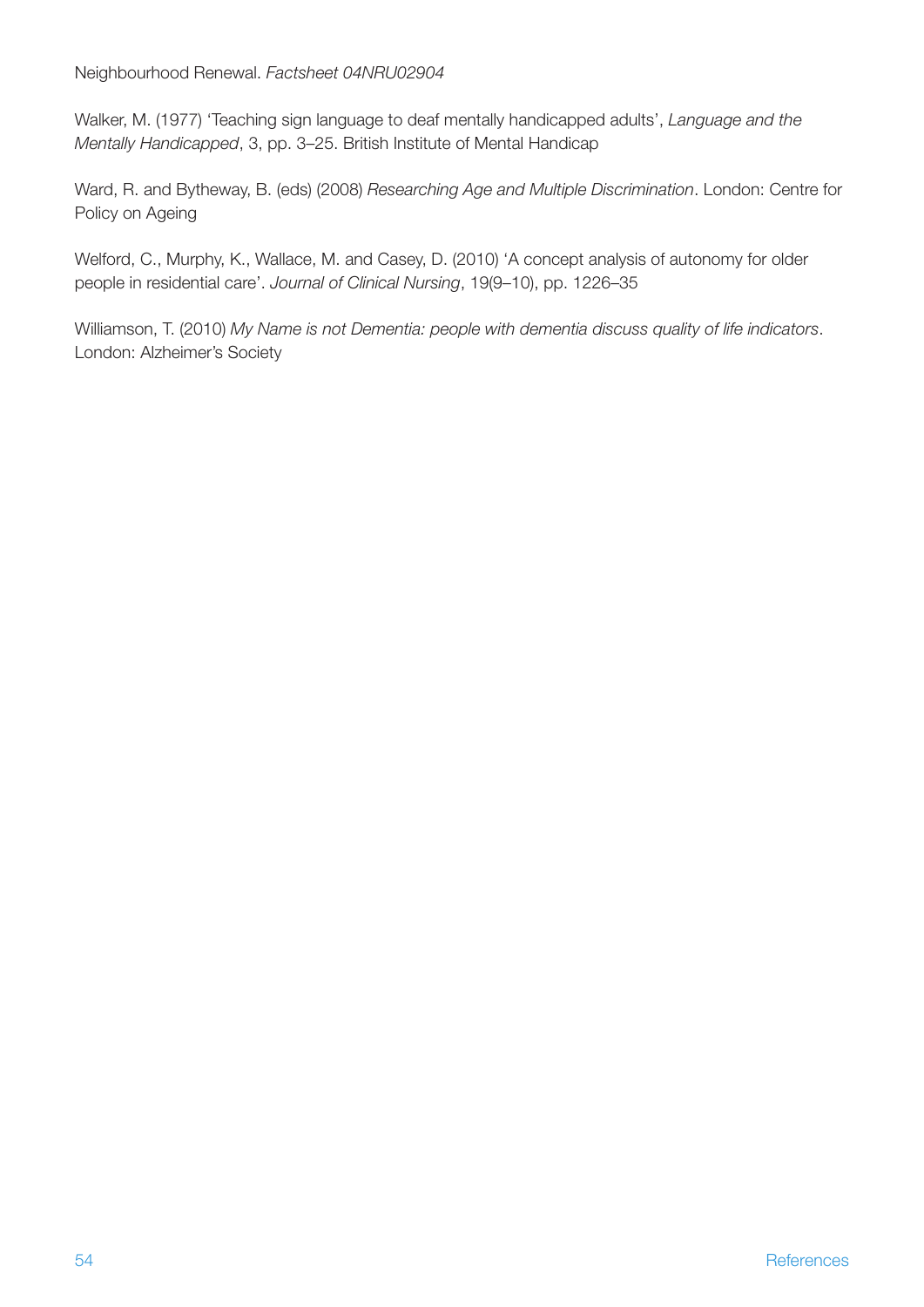Neighbourhood Renewal. *Factsheet 04NRU02904*

Walker, M. (1977) 'Teaching sign language to deaf mentally handicapped adults', *Language and the Mentally Handicapped*, 3, pp. 3–25. British Institute of Mental Handicap

Ward, R. and Bytheway, B. (eds) (2008) *Researching Age and Multiple Discrimination*. London: Centre for Policy on Ageing

Welford, C., Murphy, K., Wallace, M. and Casey, D. (2010) 'A concept analysis of autonomy for older people in residential care'. *Journal of Clinical Nursing*, 19(9–10), pp. 1226–35

Williamson, T. (2010) *My Name is not Dementia: people with dementia discuss quality of life indicators*. London: Alzheimer's Society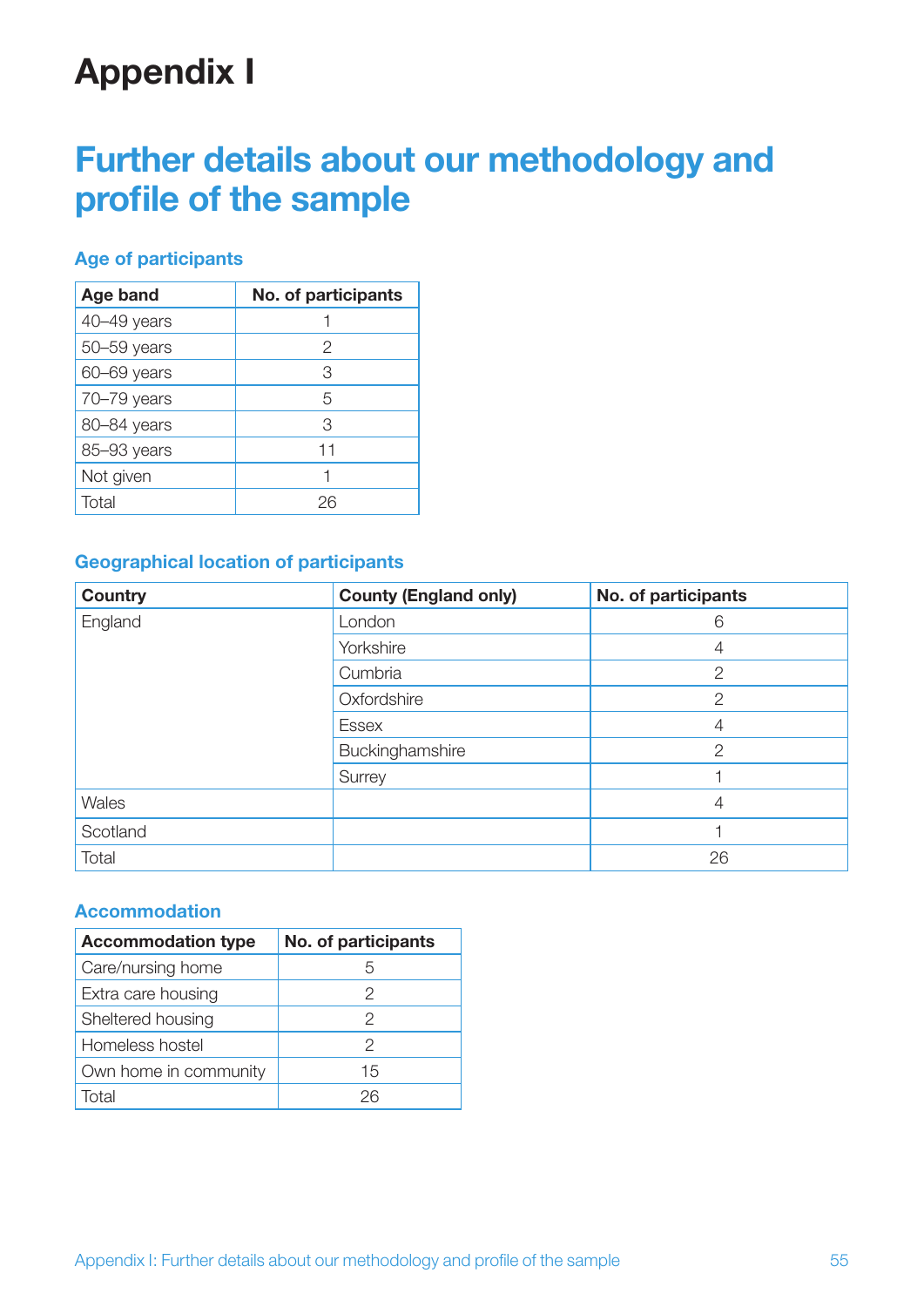## **Appendix I**

## **Further details about our methodology and profile of the sample**

#### **Age of participants**

| Age band    | No. of participants |
|-------------|---------------------|
| 40-49 years |                     |
| 50-59 years | 2                   |
| 60-69 years | З                   |
| 70-79 years | 5                   |
| 80-84 years | З                   |
| 85-93 years | 11                  |
| Not given   |                     |
| Total       | 26                  |

### **Geographical location of participants**

| <b>Country</b> | <b>County (England only)</b> | No. of participants |
|----------------|------------------------------|---------------------|
| England        | London                       | 6                   |
|                | Yorkshire                    | 4                   |
|                | Cumbria                      | $\overline{2}$      |
|                | Oxfordshire                  | 2                   |
|                | <b>Essex</b>                 | 4                   |
|                | Buckinghamshire              | $\overline{2}$      |
|                | Surrey                       |                     |
| Wales          |                              | 4                   |
| Scotland       |                              |                     |
| Total          |                              | 26                  |

#### **Accommodation**

| <b>Accommodation type</b> | No. of participants |  |
|---------------------------|---------------------|--|
| Care/nursing home         |                     |  |
| Extra care housing        | ソ                   |  |
| Sheltered housing         | 2                   |  |
| Homeless hostel           | 2                   |  |
| Own home in community     | 15                  |  |
| Total                     | 26                  |  |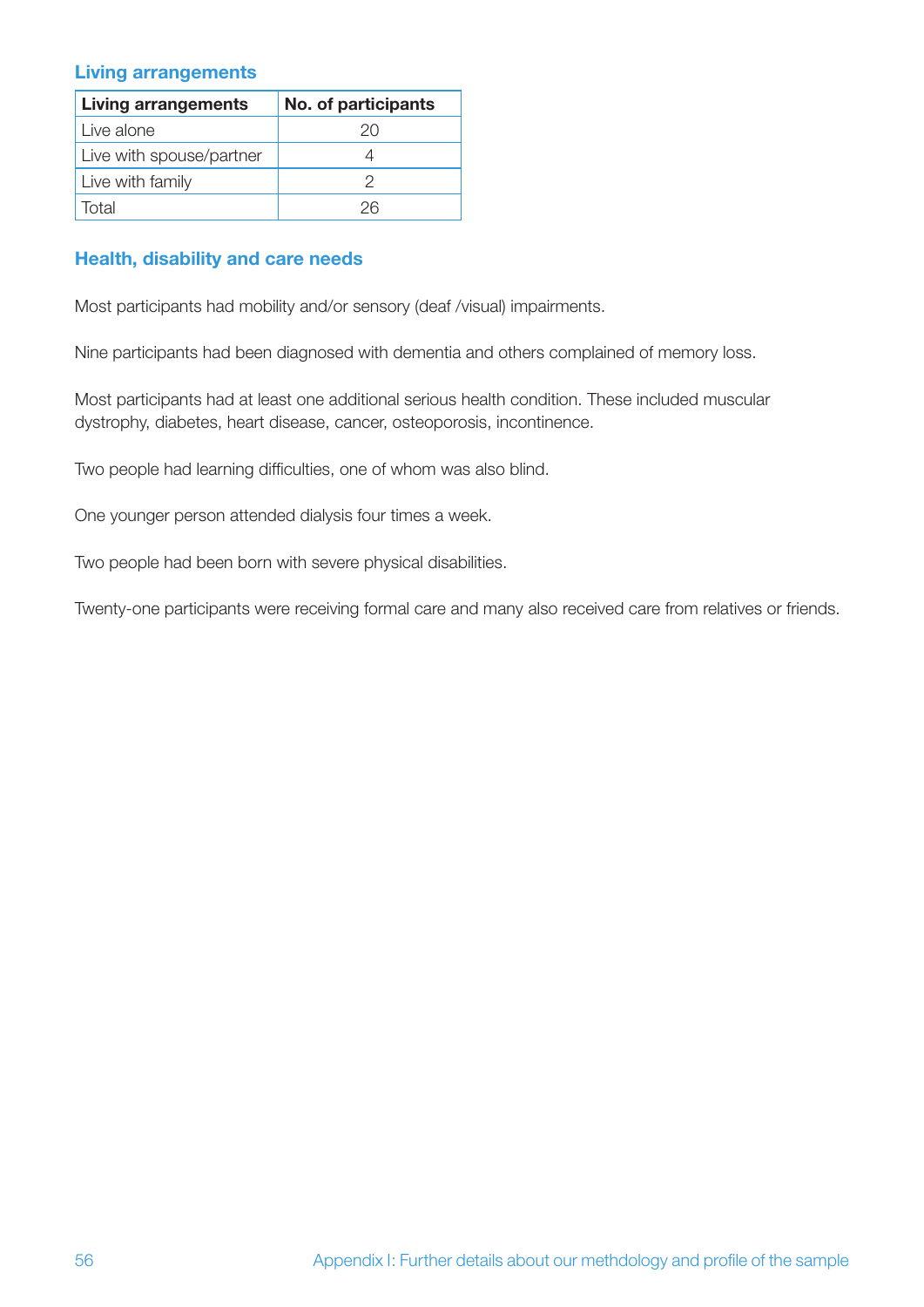#### **Living arrangements**

| <b>Living arrangements</b> | No. of participants |
|----------------------------|---------------------|
| Live alone                 | 20                  |
| Live with spouse/partner   |                     |
| Live with family           |                     |
| Total                      | ンド                  |

#### **Health, disability and care needs**

Most participants had mobility and/or sensory (deaf /visual) impairments.

Nine participants had been diagnosed with dementia and others complained of memory loss.

Most participants had at least one additional serious health condition. These included muscular dystrophy, diabetes, heart disease, cancer, osteoporosis, incontinence.

Two people had learning difficulties, one of whom was also blind.

One younger person attended dialysis four times a week.

Two people had been born with severe physical disabilities.

Twenty-one participants were receiving formal care and many also received care from relatives or friends.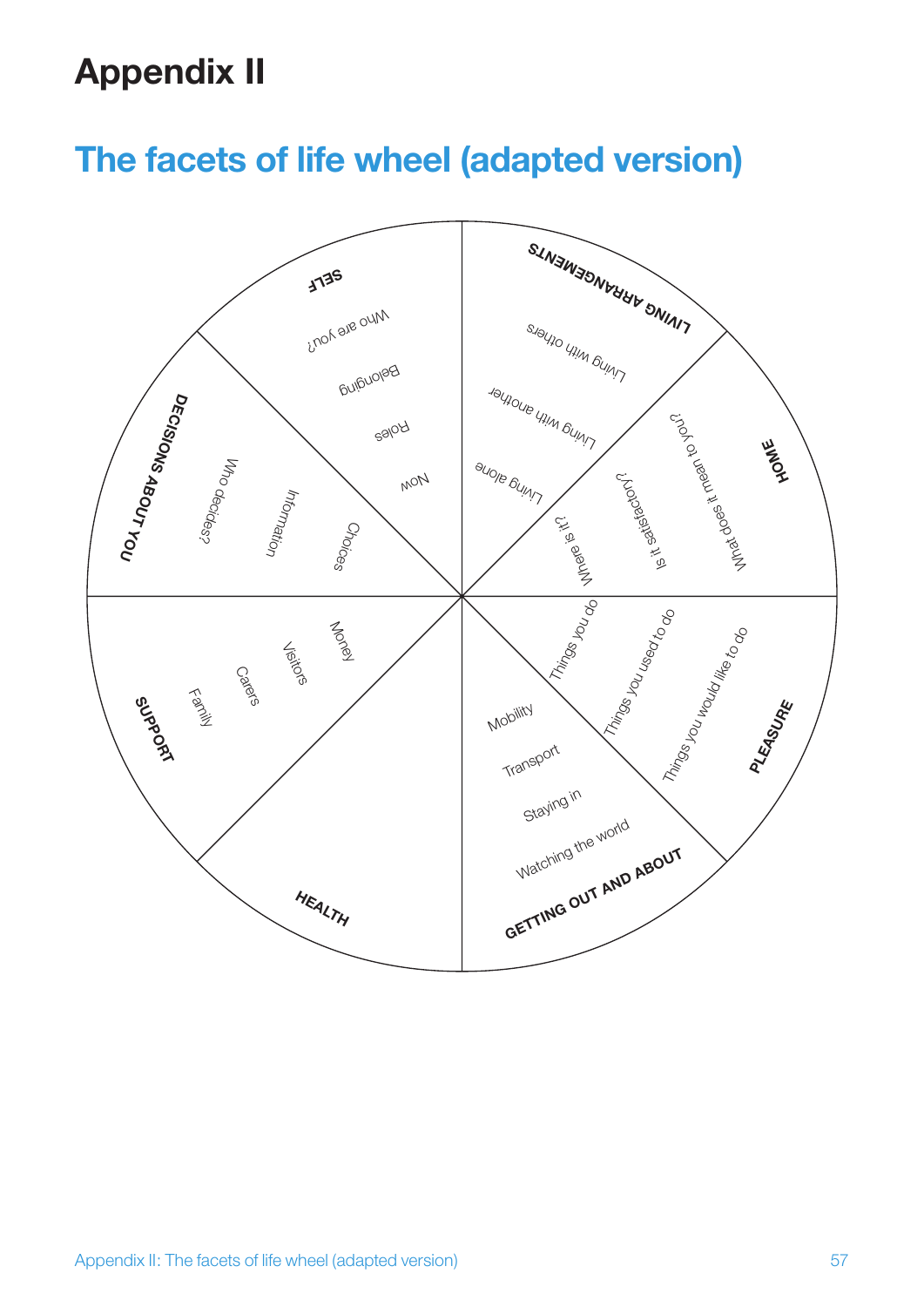## **Appendix II**

## **The facets of life wheel (adapted version)**

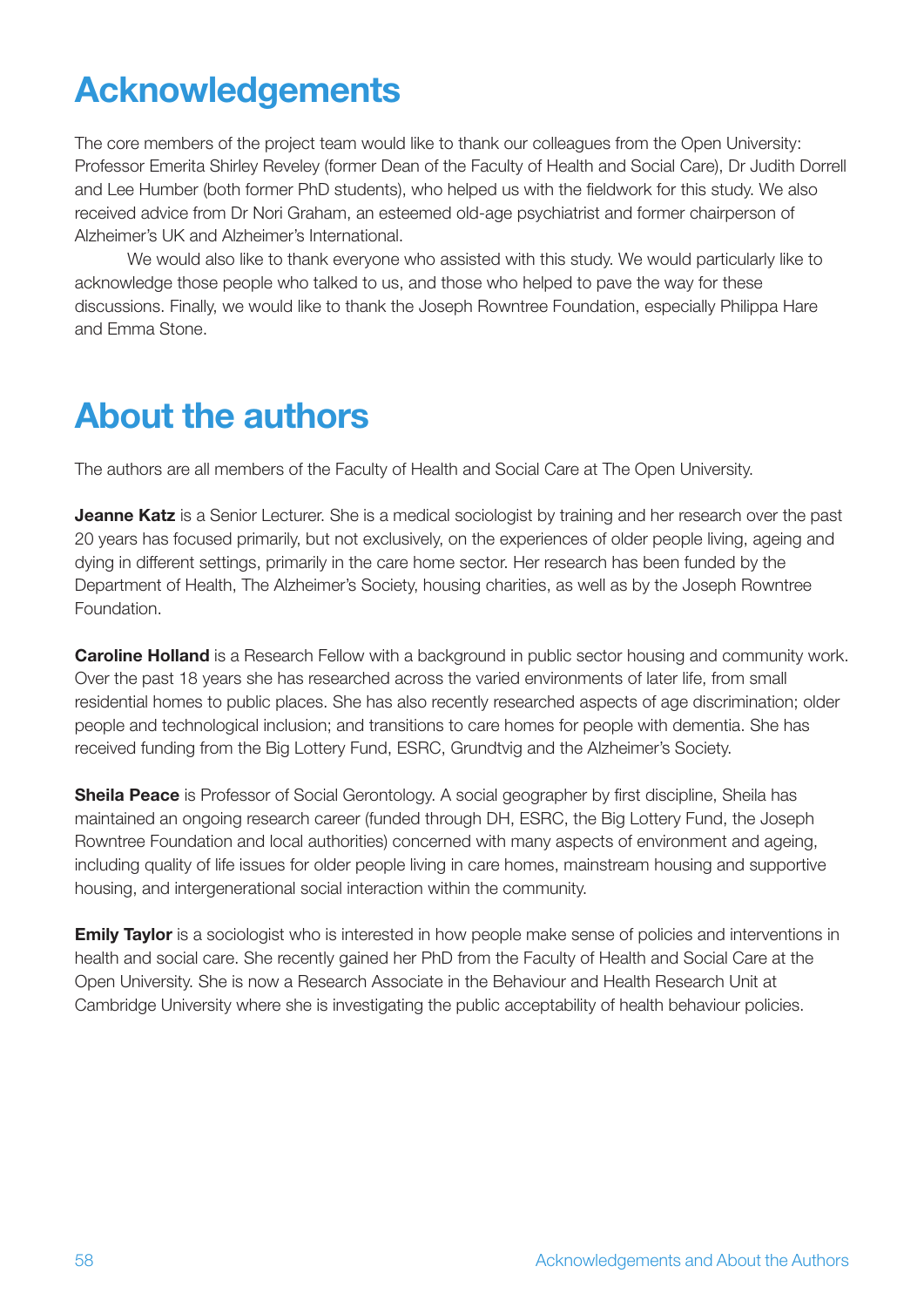## **Acknowledgements**

The core members of the project team would like to thank our colleagues from the Open University: Professor Emerita Shirley Reveley (former Dean of the Faculty of Health and Social Care), Dr Judith Dorrell and Lee Humber (both former PhD students), who helped us with the fieldwork for this study. We also received advice from Dr Nori Graham, an esteemed old-age psychiatrist and former chairperson of Alzheimer's UK and Alzheimer's International.

We would also like to thank everyone who assisted with this study. We would particularly like to acknowledge those people who talked to us, and those who helped to pave the way for these discussions. Finally, we would like to thank the Joseph Rowntree Foundation, especially Philippa Hare and Emma Stone.

## **About the authors**

The authors are all members of the Faculty of Health and Social Care at The Open University.

**Jeanne Katz** is a Senior Lecturer. She is a medical sociologist by training and her research over the past 20 years has focused primarily, but not exclusively, on the experiences of older people living, ageing and dying in different settings, primarily in the care home sector. Her research has been funded by the Department of Health, The Alzheimer's Society, housing charities, as well as by the Joseph Rowntree Foundation.

**Caroline Holland** is a Research Fellow with a background in public sector housing and community work. Over the past 18 years she has researched across the varied environments of later life, from small residential homes to public places. She has also recently researched aspects of age discrimination; older people and technological inclusion; and transitions to care homes for people with dementia. She has received funding from the Big Lottery Fund, ESRC, Grundtvig and the Alzheimer's Society.

**Sheila Peace** is Professor of Social Gerontology. A social geographer by first discipline, Sheila has maintained an ongoing research career (funded through DH, ESRC, the Big Lottery Fund, the Joseph Rowntree Foundation and local authorities) concerned with many aspects of environment and ageing, including quality of life issues for older people living in care homes, mainstream housing and supportive housing, and intergenerational social interaction within the community.

**Emily Taylor** is a sociologist who is interested in how people make sense of policies and interventions in health and social care. She recently gained her PhD from the Faculty of Health and Social Care at the Open University. She is now a Research Associate in the Behaviour and Health Research Unit at Cambridge University where she is investigating the public acceptability of health behaviour policies.